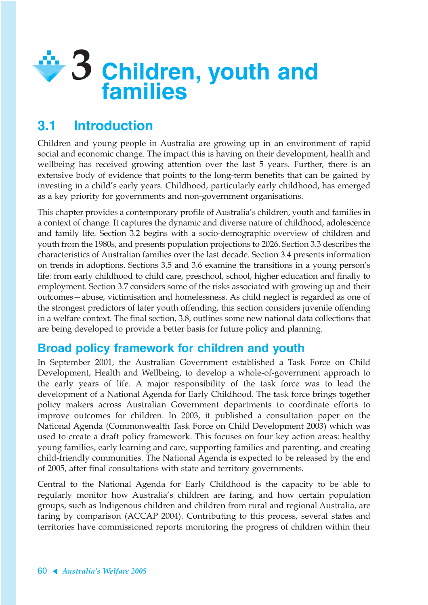

# **3.1 Introduction**

Children and young people in Australia are growing up in an environment of rapid social and economic change. The impact this is having on their development, health and wellbeing has received growing attention over the last 5 years. Further, there is an extensive body of evidence that points to the long-term benefits that can be gained by investing in a child's early years. Childhood, particularly early childhood, has emerged as a key priority for governments and non-government organisations.

This chapter provides a contemporary profile of Australia's children, youth and families in a context of change. It captures the dynamic and diverse nature of childhood, adolescence and family life. Section 3.2 begins with a socio-demographic overview of children and youth from the 1980s, and presents population projections to 2026. Section 3.3 describes the characteristics of Australian families over the last decade. Section 3.4 presents information on trends in adoptions. Sections 3.5 and 3.6 examine the transitions in a young person's life: from early childhood to child care, preschool, school, higher education and finally to employment. Section 3.7 considers some of the risks associated with growing up and their outcomes—abuse, victimisation and homelessness. As child neglect is regarded as one of the strongest predictors of later youth offending, this section considers juvenile offending in a welfare context. The final section, 3.8, outlines some new national data collections that are being developed to provide a better basis for future policy and planning.

# **Broad policy framework for children and youth**

In September 2001, the Australian Government established a Task Force on Child Development, Health and Wellbeing, to develop a whole-of-government approach to the early years of life. A major responsibility of the task force was to lead the development of a National Agenda for Early Childhood. The task force brings together policy makers across Australian Government departments to coordinate efforts to improve outcomes for children. In 2003, it published a consultation paper on the National Agenda (Commonwealth Task Force on Child Development 2003) which was used to create a draft policy framework. This focuses on four key action areas: healthy young families, early learning and care, supporting families and parenting, and creating child-friendly communities. The National Agenda is expected to be released by the end of 2005, after final consultations with state and territory governments.

Central to the National Agenda for Early Childhood is the capacity to be able to regularly monitor how Australia's children are faring, and how certain population groups, such as Indigenous children and children from rural and regional Australia, are faring by comparison (ACCAP 2004). Contributing to this process, several states and territories have commissioned reports monitoring the progress of children within their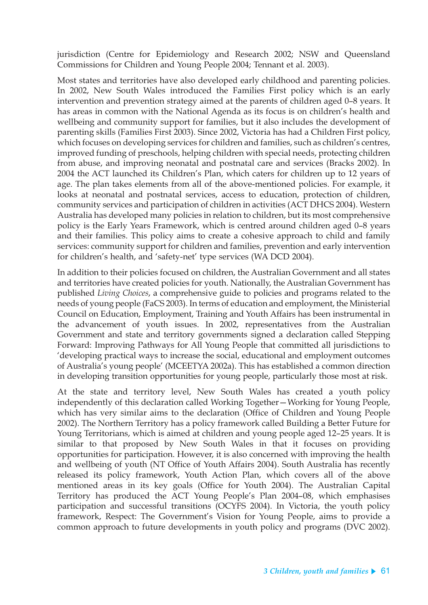jurisdiction (Centre for Epidemiology and Research 2002; NSW and Queensland Commissions for Children and Young People 2004; Tennant et al. 2003).

Most states and territories have also developed early childhood and parenting policies. In 2002, New South Wales introduced the Families First policy which is an early intervention and prevention strategy aimed at the parents of children aged 0–8 years. It has areas in common with the National Agenda as its focus is on children's health and wellbeing and community support for families, but it also includes the development of parenting skills (Families First 2003). Since 2002, Victoria has had a Children First policy, which focuses on developing services for children and families, such as children's centres, improved funding of preschools, helping children with special needs, protecting children from abuse, and improving neonatal and postnatal care and services (Bracks 2002). In 2004 the ACT launched its Children's Plan, which caters for children up to 12 years of age. The plan takes elements from all of the above-mentioned policies. For example, it looks at neonatal and postnatal services, access to education, protection of children, community services and participation of children in activities (ACT DHCS 2004). Western Australia has developed many policies in relation to children, but its most comprehensive policy is the Early Years Framework, which is centred around children aged 0–8 years and their families. This policy aims to create a cohesive approach to child and family services: community support for children and families, prevention and early intervention for children's health, and 'safety-net' type services (WA DCD 2004).

In addition to their policies focused on children, the Australian Government and all states and territories have created policies for youth. Nationally, the Australian Government has published *Living Choices*, a comprehensive guide to policies and programs related to the needs of young people (FaCS 2003). In terms of education and employment, the Ministerial Council on Education, Employment, Training and Youth Affairs has been instrumental in the advancement of youth issues. In 2002, representatives from the Australian Government and state and territory governments signed a declaration called Stepping Forward: Improving Pathways for All Young People that committed all jurisdictions to 'developing practical ways to increase the social, educational and employment outcomes of Australia's young people' (MCEETYA 2002a). This has established a common direction in developing transition opportunities for young people, particularly those most at risk.

At the state and territory level, New South Wales has created a youth policy independently of this declaration called Working Together—Working for Young People, which has very similar aims to the declaration (Office of Children and Young People 2002). The Northern Territory has a policy framework called Building a Better Future for Young Territorians, which is aimed at children and young people aged 12–25 years. It is similar to that proposed by New South Wales in that it focuses on providing opportunities for participation. However, it is also concerned with improving the health and wellbeing of youth (NT Office of Youth Affairs 2004). South Australia has recently released its policy framework, Youth Action Plan, which covers all of the above mentioned areas in its key goals (Office for Youth 2004). The Australian Capital Territory has produced the ACT Young People's Plan 2004–08, which emphasises participation and successful transitions (OCYFS 2004). In Victoria, the youth policy framework, Respect: The Government's Vision for Young People, aims to provide a common approach to future developments in youth policy and programs (DVC 2002).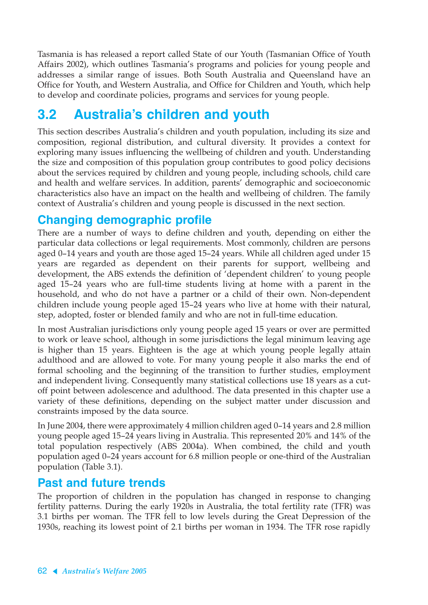Tasmania is has released a report called State of our Youth (Tasmanian Office of Youth Affairs 2002), which outlines Tasmania's programs and policies for young people and addresses a similar range of issues. Both South Australia and Queensland have an Office for Youth, and Western Australia, and Office for Children and Youth, which help to develop and coordinate policies, programs and services for young people.

# **3.2 Australia's children and youth**

This section describes Australia's children and youth population, including its size and composition, regional distribution, and cultural diversity. It provides a context for exploring many issues influencing the wellbeing of children and youth. Understanding the size and composition of this population group contributes to good policy decisions about the services required by children and young people, including schools, child care and health and welfare services. In addition, parents' demographic and socioeconomic characteristics also have an impact on the health and wellbeing of children. The family context of Australia's children and young people is discussed in the next section.

# **Changing demographic profile**

There are a number of ways to define children and youth, depending on either the particular data collections or legal requirements. Most commonly, children are persons aged 0–14 years and youth are those aged 15–24 years. While all children aged under 15 years are regarded as dependent on their parents for support, wellbeing and development, the ABS extends the definition of 'dependent children' to young people aged 15–24 years who are full-time students living at home with a parent in the household, and who do not have a partner or a child of their own. Non-dependent children include young people aged 15–24 years who live at home with their natural, step, adopted, foster or blended family and who are not in full-time education.

In most Australian jurisdictions only young people aged 15 years or over are permitted to work or leave school, although in some jurisdictions the legal minimum leaving age is higher than 15 years. Eighteen is the age at which young people legally attain adulthood and are allowed to vote. For many young people it also marks the end of formal schooling and the beginning of the transition to further studies, employment and independent living. Consequently many statistical collections use 18 years as a cutoff point between adolescence and adulthood. The data presented in this chapter use a variety of these definitions, depending on the subject matter under discussion and constraints imposed by the data source.

In June 2004, there were approximately 4 million children aged 0–14 years and 2.8 million young people aged 15–24 years living in Australia. This represented 20% and 14% of the total population respectively (ABS 2004a). When combined, the child and youth population aged 0–24 years account for 6.8 million people or one-third of the Australian population (Table 3.1).

# **Past and future trends**

The proportion of children in the population has changed in response to changing fertility patterns. During the early 1920s in Australia, the total fertility rate (TFR) was 3.1 births per woman. The TFR fell to low levels during the Great Depression of the 1930s, reaching its lowest point of 2.1 births per woman in 1934. The TFR rose rapidly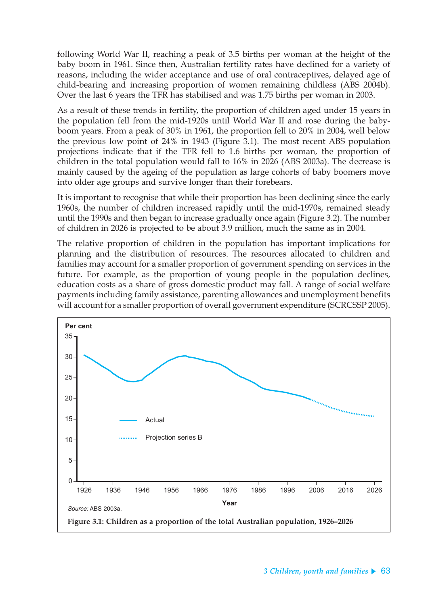following World War II, reaching a peak of 3.5 births per woman at the height of the baby boom in 1961. Since then, Australian fertility rates have declined for a variety of reasons, including the wider acceptance and use of oral contraceptives, delayed age of child-bearing and increasing proportion of women remaining childless (ABS 2004b). Over the last 6 years the TFR has stabilised and was 1.75 births per woman in 2003.

As a result of these trends in fertility, the proportion of children aged under 15 years in the population fell from the mid-1920s until World War II and rose during the babyboom years. From a peak of 30% in 1961, the proportion fell to 20% in 2004, well below the previous low point of 24% in 1943 (Figure 3.1). The most recent ABS population projections indicate that if the TFR fell to 1.6 births per woman, the proportion of children in the total population would fall to 16% in 2026 (ABS 2003a). The decrease is mainly caused by the ageing of the population as large cohorts of baby boomers move into older age groups and survive longer than their forebears.

It is important to recognise that while their proportion has been declining since the early 1960s, the number of children increased rapidly until the mid-1970s, remained steady until the 1990s and then began to increase gradually once again (Figure 3.2). The number of children in 2026 is projected to be about 3.9 million, much the same as in 2004.

The relative proportion of children in the population has important implications for planning and the distribution of resources. The resources allocated to children and families may account for a smaller proportion of government spending on services in the future. For example, as the proportion of young people in the population declines, education costs as a share of gross domestic product may fall. A range of social welfare payments including family assistance, parenting allowances and unemployment benefits will account for a smaller proportion of overall government expenditure (SCRCSSP 2005).

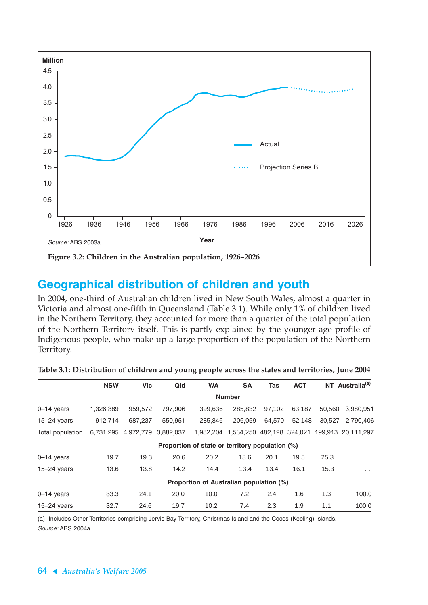

# **Geographical distribution of children and youth**

In 2004, one-third of Australian children lived in New South Wales, almost a quarter in Victoria and almost one-fifth in Queensland (Table 3.1). While only 1% of children lived in the Northern Territory, they accounted for more than a quarter of the total population of the Northern Territory itself. This is partly explained by the younger age profile of Indigenous people, who make up a large proportion of the population of the Northern Territory.

|                  | <b>NSW</b> | <b>Vic</b>                    | Qld     | <b>WA</b>                                       | <b>SA</b>                 | Tas    | <b>ACT</b> |        | NT Australia <sup>(a)</sup> |
|------------------|------------|-------------------------------|---------|-------------------------------------------------|---------------------------|--------|------------|--------|-----------------------------|
|                  |            |                               |         |                                                 | <b>Number</b>             |        |            |        |                             |
| $0 - 14$ years   | 1,326,389  | 959,572                       | 797,906 | 399,636                                         | 285,832                   | 97,102 | 63,187     | 50,560 | 3,980,951                   |
| $15 - 24$ years  | 912.714    | 687.237                       | 550.951 | 285.846                                         | 206.059                   | 64.570 | 52.148     | 30.527 | 2.790.406                   |
| Total population |            | 6,731,295 4,972,779 3,882,037 |         | 1.982.204                                       | 1,534,250 482,128 324,021 |        |            |        | 199,913 20,111,297          |
|                  |            |                               |         | Proportion of state or territory population (%) |                           |        |            |        |                             |
| $0-14$ years     | 19.7       | 19.3                          | 20.6    | 20.2                                            | 18.6                      | 20.1   | 19.5       | 25.3   | $\sim$                      |
| $15-24$ years    | 13.6       | 13.8                          | 14.2    | 14.4                                            | 13.4                      | 13.4   | 16.1       | 15.3   | $\sim$ $\sim$               |
|                  |            |                               |         | Proportion of Australian population (%)         |                           |        |            |        |                             |
| $0 - 14$ years   | 33.3       | 24.1                          | 20.0    | 10.0                                            | 7.2                       | 2.4    | 1.6        | 1.3    | 100.0                       |
| $15-24$ years    | 32.7       | 24.6                          | 19.7    | 10.2                                            | 7.4                       | 2.3    | 1.9        | 1.1    | 100.0                       |

| Table 3.1: Distribution of children and young people across the states and territories, June 2004 |  |  |  |
|---------------------------------------------------------------------------------------------------|--|--|--|
|---------------------------------------------------------------------------------------------------|--|--|--|

(a) Includes Other Territories comprising Jervis Bay Territory, Christmas Island and the Cocos (Keeling) Islands. Source: ABS 2004a.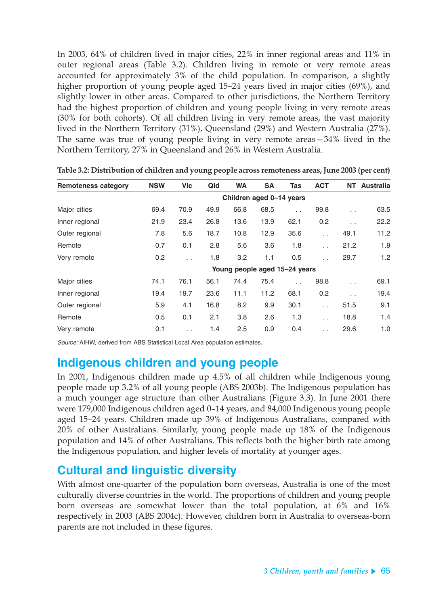In 2003, 64% of children lived in major cities, 22% in inner regional areas and 11% in outer regional areas (Table 3.2). Children living in remote or very remote areas accounted for approximately 3% of the child population. In comparison, a slightly higher proportion of young people aged 15–24 years lived in major cities (69%), and slightly lower in other areas. Compared to other jurisdictions, the Northern Territory had the highest proportion of children and young people living in very remote areas (30% for both cohorts). Of all children living in very remote areas, the vast majority lived in the Northern Territory (31%), Queensland (29%) and Western Australia (27%). The same was true of young people living in very remote areas—34% lived in the Northern Territory, 27% in Queensland and 26% in Western Australia.

| <b>Remoteness category</b> | <b>NSW</b>               | <b>Vic</b>           | Qld  | <b>WA</b> | <b>SA</b> | Tas                           | <b>ACT</b>    | <b>NT</b>            | <b>Australia</b> |  |
|----------------------------|--------------------------|----------------------|------|-----------|-----------|-------------------------------|---------------|----------------------|------------------|--|
|                            | Children aged 0-14 years |                      |      |           |           |                               |               |                      |                  |  |
| Major cities               | 69.4                     | 70.9                 | 49.9 | 66.8      | 68.5      | $\sim$                        | 99.8          | $\ddot{\phantom{a}}$ | 63.5             |  |
| Inner regional             | 21.9                     | 23.4                 | 26.8 | 13.6      | 13.9      | 62.1                          | 0.2           | $\ddot{\phantom{a}}$ | 22.2             |  |
| Outer regional             | 7.8                      | 5.6                  | 18.7 | 10.8      | 12.9      | 35.6                          | $\sim$ $\sim$ | 49.1                 | 11.2             |  |
| Remote                     | 0.7                      | 0.1                  | 2.8  | 5.6       | 3.6       | 1.8                           | $\sim$        | 21.2                 | 1.9              |  |
| Very remote                | 0.2                      | $\ddot{\phantom{a}}$ | 1.8  | 3.2       | 1.1       | 0.5                           | . .           | 29.7                 | 1.2              |  |
|                            |                          |                      |      |           |           | Young people aged 15-24 years |               |                      |                  |  |
| Major cities               | 74.1                     | 76.1                 | 56.1 | 74.4      | 75.4      | $\mathbf{r}$                  | 98.8          | $\ddot{\phantom{a}}$ | 69.1             |  |
| Inner regional             | 19.4                     | 19.7                 | 23.6 | 11.1      | 11.2      | 68.1                          | 0.2           | $\sim$               | 19.4             |  |
| Outer regional             | 5.9                      | 4.1                  | 16.8 | 8.2       | 9.9       | 30.1                          | $\mathbf{r}$  | 51.5                 | 9.1              |  |
| Remote                     | 0.5                      | 0.1                  | 2.1  | 3.8       | 2.6       | 1.3                           | $\sim$        | 18.8                 | 1.4              |  |
| Very remote                | 0.1                      | $\cdot$ .            | 1.4  | 2.5       | 0.9       | 0.4                           | $\sim$        | 29.6                 | 1.0              |  |

**Table 3.2: Distribution of children and young people across remoteness areas, June 2003 (per cent)**

Source: AIHW, derived from ABS Statistical Local Area population estimates.

### **Indigenous children and young people**

In 2001, Indigenous children made up 4.5% of all children while Indigenous young people made up 3.2% of all young people (ABS 2003b). The Indigenous population has a much younger age structure than other Australians (Figure 3.3). In June 2001 there were 179,000 Indigenous children aged 0–14 years, and 84,000 Indigenous young people aged 15–24 years. Children made up 39% of Indigenous Australians, compared with 20% of other Australians. Similarly, young people made up 18% of the Indigenous population and 14% of other Australians. This reflects both the higher birth rate among the Indigenous population, and higher levels of mortality at younger ages.

# **Cultural and linguistic diversity**

With almost one-quarter of the population born overseas, Australia is one of the most culturally diverse countries in the world. The proportions of children and young people born overseas are somewhat lower than the total population, at 6% and 16% respectively in 2003 (ABS 2004c). However, children born in Australia to overseas-born parents are not included in these figures.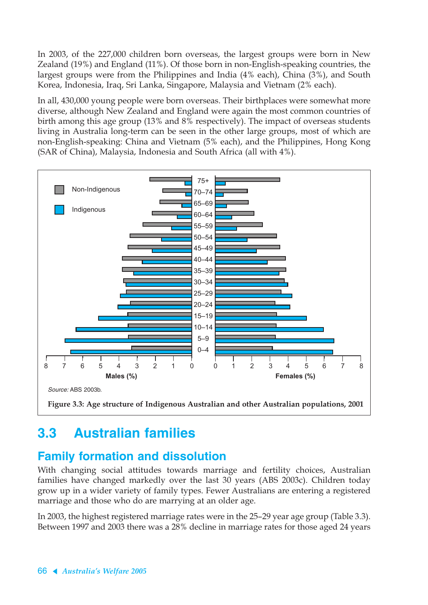In 2003, of the 227,000 children born overseas, the largest groups were born in New Zealand (19%) and England (11%). Of those born in non-English-speaking countries, the largest groups were from the Philippines and India (4% each), China (3%), and South Korea, Indonesia, Iraq, Sri Lanka, Singapore, Malaysia and Vietnam (2% each).

In all, 430,000 young people were born overseas. Their birthplaces were somewhat more diverse, although New Zealand and England were again the most common countries of birth among this age group (13% and 8% respectively). The impact of overseas students living in Australia long-term can be seen in the other large groups, most of which are non-English-speaking: China and Vietnam (5% each), and the Philippines, Hong Kong (SAR of China), Malaysia, Indonesia and South Africa (all with 4%).



# **3.3 Australian families**

# **Family formation and dissolution**

With changing social attitudes towards marriage and fertility choices, Australian families have changed markedly over the last 30 years (ABS 2003c). Children today grow up in a wider variety of family types. Fewer Australians are entering a registered marriage and those who do are marrying at an older age.

In 2003, the highest registered marriage rates were in the 25–29 year age group (Table 3.3). Between 1997 and 2003 there was a 28% decline in marriage rates for those aged 24 years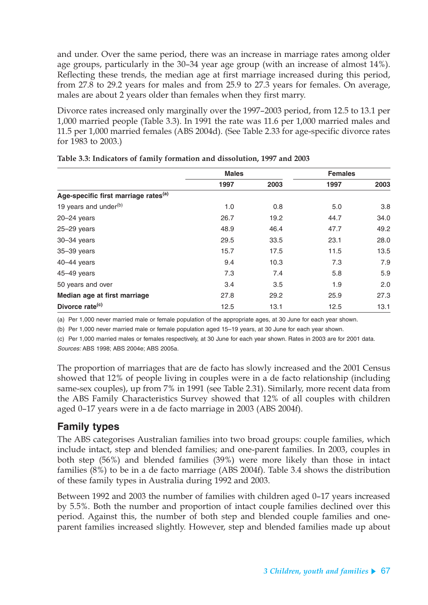and under. Over the same period, there was an increase in marriage rates among older age groups, particularly in the 30–34 year age group (with an increase of almost 14%). Reflecting these trends, the median age at first marriage increased during this period, from 27.8 to 29.2 years for males and from 25.9 to 27.3 years for females. On average, males are about 2 years older than females when they first marry.

Divorce rates increased only marginally over the 1997–2003 period, from 12.5 to 13.1 per 1,000 married people (Table 3.3). In 1991 the rate was 11.6 per 1,000 married males and 11.5 per 1,000 married females (ABS 2004d). (See Table 2.33 for age-specific divorce rates for 1983 to 2003.)

|                                                  | <b>Males</b> |      | <b>Females</b> |      |  |
|--------------------------------------------------|--------------|------|----------------|------|--|
|                                                  | 1997         | 2003 | 1997           | 2003 |  |
| Age-specific first marriage rates <sup>(a)</sup> |              |      |                |      |  |
| 19 years and under <sup>(b)</sup>                | 1.0          | 0.8  | 5.0            | 3.8  |  |
| $20 - 24$ years                                  | 26.7         | 19.2 | 44.7           | 34.0 |  |
| $25 - 29$ years                                  | 48.9         | 46.4 | 47.7           | 49.2 |  |
| $30 - 34$ years                                  | 29.5         | 33.5 | 23.1           | 28.0 |  |
| $35 - 39$ years                                  | 15.7         | 17.5 | 11.5           | 13.5 |  |
| $40-44$ years                                    | 9.4          | 10.3 | 7.3            | 7.9  |  |
| 45-49 years                                      | 7.3          | 7.4  | 5.8            | 5.9  |  |
| 50 years and over                                | 3.4          | 3.5  | 1.9            | 2.0  |  |
| Median age at first marriage                     | 27.8         | 29.2 | 25.9           | 27.3 |  |
| Divorce rate <sup>(c)</sup>                      | 12.5         | 13.1 | 12.5           | 13.1 |  |

(a) Per 1,000 never married male or female population of the appropriate ages, at 30 June for each year shown.

(b) Per 1,000 never married male or female population aged 15–19 years, at 30 June for each year shown.

(c) Per 1,000 married males or females respectively, at 30 June for each year shown. Rates in 2003 are for 2001 data. Sources: ABS 1998; ABS 2004e; ABS 2005a.

The proportion of marriages that are de facto has slowly increased and the 2001 Census showed that 12% of people living in couples were in a de facto relationship (including same-sex couples), up from 7% in 1991 (see Table 2.31). Similarly, more recent data from the ABS Family Characteristics Survey showed that 12% of all couples with children aged 0–17 years were in a de facto marriage in 2003 (ABS 2004f).

#### **Family types**

The ABS categorises Australian families into two broad groups: couple families, which include intact, step and blended families; and one-parent families. In 2003, couples in both step (56%) and blended families (39%) were more likely than those in intact families (8%) to be in a de facto marriage (ABS 2004f). Table 3.4 shows the distribution of these family types in Australia during 1992 and 2003.

Between 1992 and 2003 the number of families with children aged 0–17 years increased by 5.5%. Both the number and proportion of intact couple families declined over this period. Against this, the number of both step and blended couple families and oneparent families increased slightly. However, step and blended families made up about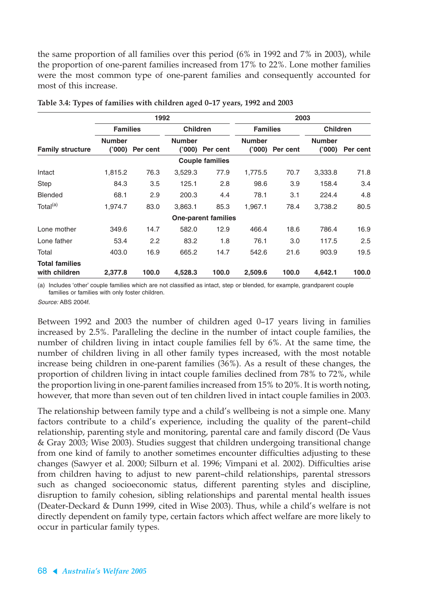the same proportion of all families over this period (6% in 1992 and 7% in 2003), while the proportion of one-parent families increased from 17% to 22%. Lone mother families were the most common type of one-parent families and consequently accounted for most of this increase.

|                                        | 1992                    |          |                         |                            | 2003                   |          |                         |          |  |
|----------------------------------------|-------------------------|----------|-------------------------|----------------------------|------------------------|----------|-------------------------|----------|--|
|                                        | <b>Families</b>         |          | <b>Children</b>         |                            | <b>Families</b>        |          | <b>Children</b>         |          |  |
| <b>Family structure</b>                | <b>Number</b><br>(000)' | Per cent | <b>Number</b><br>('000) | Per cent                   | <b>Number</b><br>(000) | Per cent | <b>Number</b><br>(000)' | Per cent |  |
|                                        |                         |          |                         | <b>Couple families</b>     |                        |          |                         |          |  |
| Intact                                 | 1,815.2                 | 76.3     | 3,529.3                 | 77.9                       | 1,775.5                | 70.7     | 3,333.8                 | 71.8     |  |
| <b>Step</b>                            | 84.3                    | 3.5      | 125.1                   | 2.8                        | 98.6                   | 3.9      | 158.4                   | 3.4      |  |
| <b>Blended</b>                         | 68.1                    | 2.9      | 200.3                   | 4.4                        | 78.1                   | 3.1      | 224.4                   | 4.8      |  |
| Total <sup>(a)</sup>                   | 1,974.7                 | 83.0     | 3,863.1                 | 85.3                       | 1,967.1                | 78.4     | 3,738.2                 | 80.5     |  |
|                                        |                         |          |                         | <b>One-parent families</b> |                        |          |                         |          |  |
| Lone mother                            | 349.6                   | 14.7     | 582.0                   | 12.9                       | 466.4                  | 18.6     | 786.4                   | 16.9     |  |
| Lone father                            | 53.4                    | 2.2      | 83.2                    | 1.8                        | 76.1                   | 3.0      | 117.5                   | 2.5      |  |
| Total                                  | 403.0                   | 16.9     | 665.2                   | 14.7                       | 542.6                  | 21.6     | 903.9                   | 19.5     |  |
| <b>Total families</b><br>with children | 2,377.8                 | 100.0    | 4,528.3                 | 100.0                      | 2,509.6                | 100.0    | 4,642.1                 | 100.0    |  |

|  | Table 3.4: Types of families with children aged 0-17 years, 1992 and 2003 |  |  |  |  |
|--|---------------------------------------------------------------------------|--|--|--|--|
|  |                                                                           |  |  |  |  |

(a) Includes 'other' couple families which are not classified as intact, step or blended, for example, grandparent couple families or families with only foster children.

Source: ABS 2004f.

Between 1992 and 2003 the number of children aged 0–17 years living in families increased by 2.5%. Paralleling the decline in the number of intact couple families, the number of children living in intact couple families fell by 6%. At the same time, the number of children living in all other family types increased, with the most notable increase being children in one-parent families (36%). As a result of these changes, the proportion of children living in intact couple families declined from 78% to 72%, while the proportion living in one-parent families increased from 15% to 20%. It is worth noting, however, that more than seven out of ten children lived in intact couple families in 2003.

The relationship between family type and a child's wellbeing is not a simple one. Many factors contribute to a child's experience, including the quality of the parent–child relationship, parenting style and monitoring, parental care and family discord (De Vaus & Gray 2003; Wise 2003). Studies suggest that children undergoing transitional change from one kind of family to another sometimes encounter difficulties adjusting to these changes (Sawyer et al. 2000; Silburn et al. 1996; Vimpani et al. 2002). Difficulties arise from children having to adjust to new parent–child relationships, parental stressors such as changed socioeconomic status, different parenting styles and discipline, disruption to family cohesion, sibling relationships and parental mental health issues (Deater-Deckard & Dunn 1999, cited in Wise 2003). Thus, while a child's welfare is not directly dependent on family type, certain factors which affect welfare are more likely to occur in particular family types.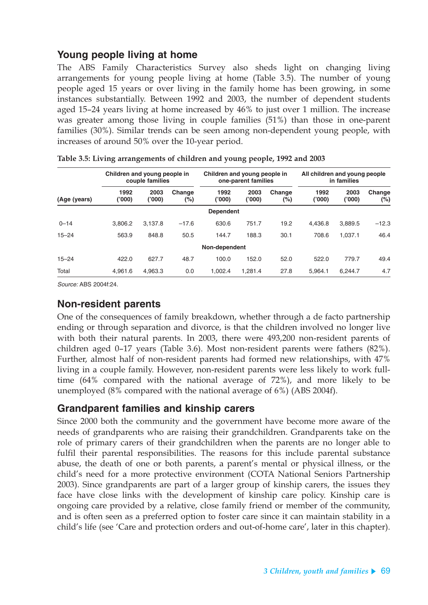### **Young people living at home**

The ABS Family Characteristics Survey also sheds light on changing living arrangements for young people living at home (Table 3.5). The number of young people aged 15 years or over living in the family home has been growing, in some instances substantially. Between 1992 and 2003, the number of dependent students aged 15–24 years living at home increased by 46% to just over 1 million. The increase was greater among those living in couple families (51%) than those in one-parent families (30%). Similar trends can be seen among non-dependent young people, with increases of around 50% over the 10-year period.

|              | Children and young people in<br>couple families |                | Children and young people in<br>one-parent families |                  |                | All children and young people<br>in families |                |                |               |
|--------------|-------------------------------------------------|----------------|-----------------------------------------------------|------------------|----------------|----------------------------------------------|----------------|----------------|---------------|
| (Age (years) | 1992<br>('000)                                  | 2003<br>('000) | Change<br>(%)                                       | 1992<br>('000)   | 2003<br>('000) | Change<br>(%)                                | 1992<br>('000) | 2003<br>(000)' | Change<br>(%) |
|              |                                                 |                |                                                     | <b>Dependent</b> |                |                                              |                |                |               |
| $0 - 14$     | 3.806.2                                         | 3.137.8        | $-17.6$                                             | 630.6            | 751.7          | 19.2                                         | 4.436.8        | 3.889.5        | $-12.3$       |
| $15 - 24$    | 563.9                                           | 848.8          | 50.5                                                | 144.7            | 188.3          | 30.1                                         | 708.6          | 1.037.1        | 46.4          |
|              |                                                 |                |                                                     | Non-dependent    |                |                                              |                |                |               |
| $15 - 24$    | 422.0                                           | 627.7          | 48.7                                                | 100.0            | 152.0          | 52.0                                         | 522.0          | 779.7          | 49.4          |
| Total        | 4.961.6                                         | 4.963.3        | 0.0                                                 | 1.002.4          | 1.281.4        | 27.8                                         | 5.964.1        | 6.244.7        | 4.7           |

Source: ABS 2004f:24.

#### **Non-resident parents**

One of the consequences of family breakdown, whether through a de facto partnership ending or through separation and divorce, is that the children involved no longer live with both their natural parents. In 2003, there were 493,200 non-resident parents of children aged 0–17 years (Table 3.6). Most non-resident parents were fathers (82%). Further, almost half of non-resident parents had formed new relationships, with 47% living in a couple family. However, non-resident parents were less likely to work fulltime (64% compared with the national average of 72%), and more likely to be unemployed (8% compared with the national average of 6%) (ABS 2004f).

#### **Grandparent families and kinship carers**

Since 2000 both the community and the government have become more aware of the needs of grandparents who are raising their grandchildren. Grandparents take on the role of primary carers of their grandchildren when the parents are no longer able to fulfil their parental responsibilities. The reasons for this include parental substance abuse, the death of one or both parents, a parent's mental or physical illness, or the child's need for a more protective environment (COTA National Seniors Partnership 2003). Since grandparents are part of a larger group of kinship carers, the issues they face have close links with the development of kinship care policy. Kinship care is ongoing care provided by a relative, close family friend or member of the community, and is often seen as a preferred option to foster care since it can maintain stability in a child's life (see 'Care and protection orders and out-of-home care', later in this chapter).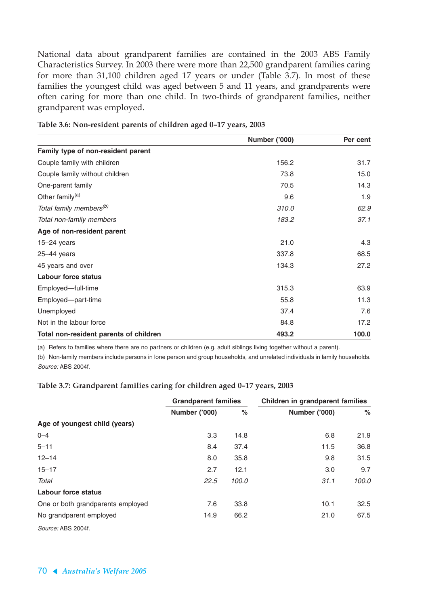National data about grandparent families are contained in the 2003 ABS Family Characteristics Survey. In 2003 there were more than 22,500 grandparent families caring for more than 31,100 children aged 17 years or under (Table 3.7). In most of these families the youngest child was aged between 5 and 11 years, and grandparents were often caring for more than one child. In two-thirds of grandparent families, neither grandparent was employed.

|                                        | Number ('000) | Per cent |
|----------------------------------------|---------------|----------|
| Family type of non-resident parent     |               |          |
| Couple family with children            | 156.2         | 31.7     |
| Couple family without children         | 73.8          | 15.0     |
| One-parent family                      | 70.5          | 14.3     |
| Other family <sup>(a)</sup>            | 9.6           | 1.9      |
| Total family members <sup>(b)</sup>    | 310.0         | 62.9     |
| Total non-family members               | 183.2         | 37.1     |
| Age of non-resident parent             |               |          |
| $15-24$ years                          | 21.0          | 4.3      |
| $25 - 44$ years                        | 337.8         | 68.5     |
| 45 years and over                      | 134.3         | 27.2     |
| <b>Labour force status</b>             |               |          |
| Employed-full-time                     | 315.3         | 63.9     |
| Employed-part-time                     | 55.8          | 11.3     |
| Unemployed                             | 37.4          | 7.6      |
| Not in the labour force                | 84.8          | 17.2     |
| Total non-resident parents of children | 493.2         | 100.0    |

**Table 3.6: Non-resident parents of children aged 0–17 years, 2003**

(a) Refers to families where there are no partners or children (e.g. adult siblings living together without a parent).

(b) Non-family members include persons in lone person and group households, and unrelated individuals in family households. Source: ABS 2004f.

|                                   | <b>Grandparent families</b> |       | Children in grandparent families |       |
|-----------------------------------|-----------------------------|-------|----------------------------------|-------|
|                                   | Number ('000)               | $\%$  | Number ('000)                    | $\%$  |
| Age of youngest child (years)     |                             |       |                                  |       |
| $0 - 4$                           | 3.3                         | 14.8  | 6.8                              | 21.9  |
| $5 - 11$                          | 8.4                         | 37.4  | 11.5                             | 36.8  |
| $12 - 14$                         | 8.0                         | 35.8  | 9.8                              | 31.5  |
| $15 - 17$                         | 2.7                         | 12.1  | 3.0                              | 9.7   |
| Total                             | 22.5                        | 100.0 | 31.1                             | 100.0 |
| Labour force status               |                             |       |                                  |       |
| One or both grandparents employed | 7.6                         | 33.8  | 10.1                             | 32.5  |
| No grandparent employed           | 14.9                        | 66.2  | 21.0                             | 67.5  |

#### **Table 3.7: Grandparent families caring for children aged 0–17 years, 2003**

Source: ABS 2004f.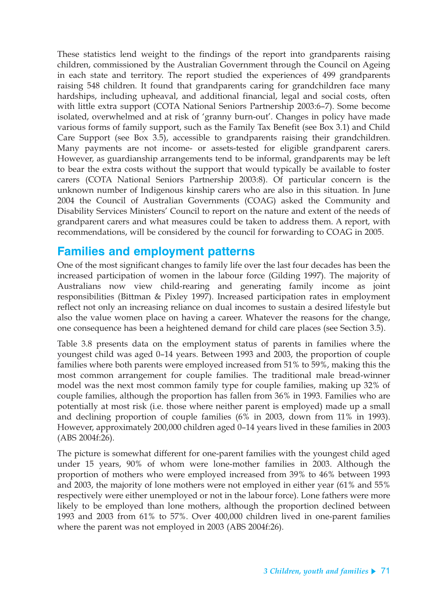These statistics lend weight to the findings of the report into grandparents raising children, commissioned by the Australian Government through the Council on Ageing in each state and territory. The report studied the experiences of 499 grandparents raising 548 children. It found that grandparents caring for grandchildren face many hardships, including upheaval, and additional financial, legal and social costs, often with little extra support (COTA National Seniors Partnership 2003:6–7). Some become isolated, overwhelmed and at risk of 'granny burn-out'. Changes in policy have made various forms of family support, such as the Family Tax Benefit (see Box 3.1) and Child Care Support (see Box 3.5), accessible to grandparents raising their grandchildren. Many payments are not income- or assets-tested for eligible grandparent carers. However, as guardianship arrangements tend to be informal, grandparents may be left to bear the extra costs without the support that would typically be available to foster carers (COTA National Seniors Partnership 2003:8). Of particular concern is the unknown number of Indigenous kinship carers who are also in this situation. In June 2004 the Council of Australian Governments (COAG) asked the Community and Disability Services Ministers' Council to report on the nature and extent of the needs of grandparent carers and what measures could be taken to address them. A report, with recommendations, will be considered by the council for forwarding to COAG in 2005.

### **Families and employment patterns**

One of the most significant changes to family life over the last four decades has been the increased participation of women in the labour force (Gilding 1997). The majority of Australians now view child-rearing and generating family income as joint responsibilities (Bittman & Pixley 1997). Increased participation rates in employment reflect not only an increasing reliance on dual incomes to sustain a desired lifestyle but also the value women place on having a career. Whatever the reasons for the change, one consequence has been a heightened demand for child care places (see Section 3.5).

Table 3.8 presents data on the employment status of parents in families where the youngest child was aged 0–14 years. Between 1993 and 2003, the proportion of couple families where both parents were employed increased from 51% to 59%, making this the most common arrangement for couple families. The traditional male bread-winner model was the next most common family type for couple families, making up 32% of couple families, although the proportion has fallen from 36% in 1993. Families who are potentially at most risk (i.e. those where neither parent is employed) made up a small and declining proportion of couple families (6% in 2003, down from 11% in 1993). However, approximately 200,000 children aged 0–14 years lived in these families in 2003 (ABS 2004f:26).

The picture is somewhat different for one-parent families with the youngest child aged under 15 years, 90% of whom were lone-mother families in 2003. Although the proportion of mothers who were employed increased from 39% to 46% between 1993 and 2003, the majority of lone mothers were not employed in either year (61% and 55% respectively were either unemployed or not in the labour force). Lone fathers were more likely to be employed than lone mothers, although the proportion declined between 1993 and 2003 from 61% to 57%. Over 400,000 children lived in one-parent families where the parent was not employed in 2003 (ABS 2004f:26).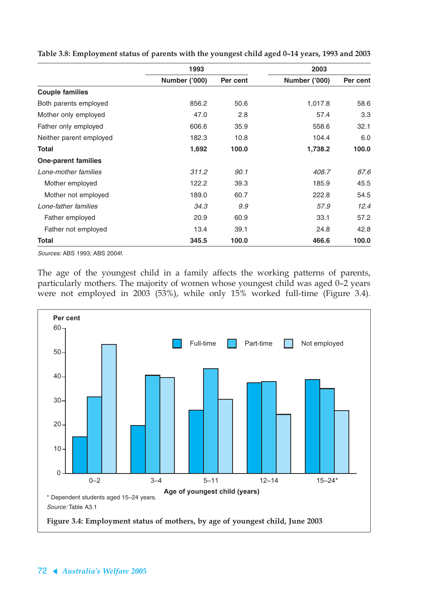|                            | 1993                 |          | 2003                 |          |  |
|----------------------------|----------------------|----------|----------------------|----------|--|
|                            | <b>Number ('000)</b> | Per cent | <b>Number ('000)</b> | Per cent |  |
| <b>Couple families</b>     |                      |          |                      |          |  |
| Both parents employed      | 856.2                | 50.6     | 1,017.8              | 58.6     |  |
| Mother only employed       | 47.0                 | 2.8      | 57.4                 | 3.3      |  |
| Father only employed       | 606.6                | 35.9     | 558.6                | 32.1     |  |
| Neither parent employed    | 182.3                | 10.8     | 104.4                | 6.0      |  |
| Total                      | 1,692                | 100.0    | 1,738.2              | 100.0    |  |
| <b>One-parent families</b> |                      |          |                      |          |  |
| Lone-mother families       | 311.2                | 90.1     | 408.7                | 87.6     |  |
| Mother employed            | 122.2                | 39.3     | 185.9                | 45.5     |  |
| Mother not employed        | 189.0                | 60.7     | 222.8                | 54.5     |  |
| Lone-father families       | 34.3                 | 9.9      | 57.9                 | 12.4     |  |
| Father employed            | 20.9                 | 60.9     | 33.1                 | 57.2     |  |
| Father not employed        | 13.4                 | 39.1     | 24.8                 | 42.8     |  |
| Total                      | 345.5                | 100.0    | 466.6                | 100.0    |  |

**Table 3.8: Employment status of parents with the youngest child aged 0–14 years, 1993 and 2003**

Sources: ABS 1993; ABS 2004f.

The age of the youngest child in a family affects the working patterns of parents, particularly mothers. The majority of women whose youngest child was aged 0–2 years were not employed in 2003 (53%), while only 15% worked full-time (Figure 3.4).

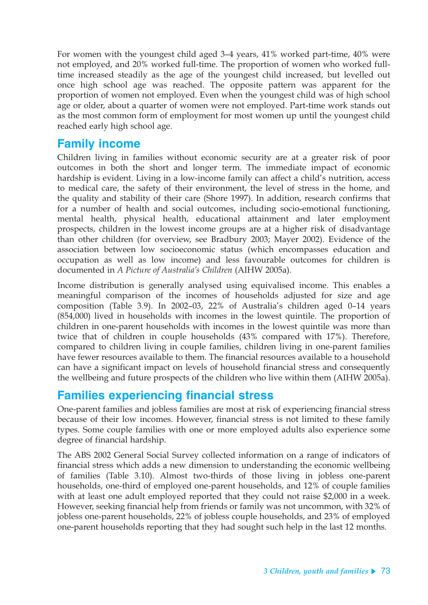For women with the youngest child aged 3–4 years, 41% worked part-time, 40% were not employed, and 20% worked full-time. The proportion of women who worked fulltime increased steadily as the age of the youngest child increased, but levelled out once high school age was reached. The opposite pattern was apparent for the proportion of women not employed. Even when the youngest child was of high school age or older, about a quarter of women were not employed. Part-time work stands out as the most common form of employment for most women up until the youngest child reached early high school age.

# **Family income**

Children living in families without economic security are at a greater risk of poor outcomes in both the short and longer term. The immediate impact of economic hardship is evident. Living in a low-income family can affect a child's nutrition, access to medical care, the safety of their environment, the level of stress in the home, and the quality and stability of their care (Shore 1997). In addition, research confirms that for a number of health and social outcomes, including socio-emotional functioning, mental health, physical health, educational attainment and later employment prospects, children in the lowest income groups are at a higher risk of disadvantage than other children (for overview, see Bradbury 2003; Mayer 2002). Evidence of the association between low socioeconomic status (which encompasses education and occupation as well as low income) and less favourable outcomes for children is documented in *A Picture of Australia's Children* (AIHW 2005a).

Income distribution is generally analysed using equivalised income. This enables a meaningful comparison of the incomes of households adjusted for size and age composition (Table 3.9). In 2002–03, 22% of Australia's children aged 0–14 years (854,000) lived in households with incomes in the lowest quintile. The proportion of children in one-parent households with incomes in the lowest quintile was more than twice that of children in couple households (43% compared with 17%). Therefore, compared to children living in couple families, children living in one-parent families have fewer resources available to them. The financial resources available to a household can have a significant impact on levels of household financial stress and consequently the wellbeing and future prospects of the children who live within them (AIHW 2005a).

# **Families experiencing financial stress**

One-parent families and jobless families are most at risk of experiencing financial stress because of their low incomes. However, financial stress is not limited to these family types. Some couple families with one or more employed adults also experience some degree of financial hardship.

The ABS 2002 General Social Survey collected information on a range of indicators of financial stress which adds a new dimension to understanding the economic wellbeing of families (Table 3.10). Almost two-thirds of those living in jobless one-parent households, one-third of employed one-parent households, and 12% of couple families with at least one adult employed reported that they could not raise \$2,000 in a week. However, seeking financial help from friends or family was not uncommon, with 32% of jobless one-parent households, 22% of jobless couple households, and 23% of employed one-parent households reporting that they had sought such help in the last 12 months.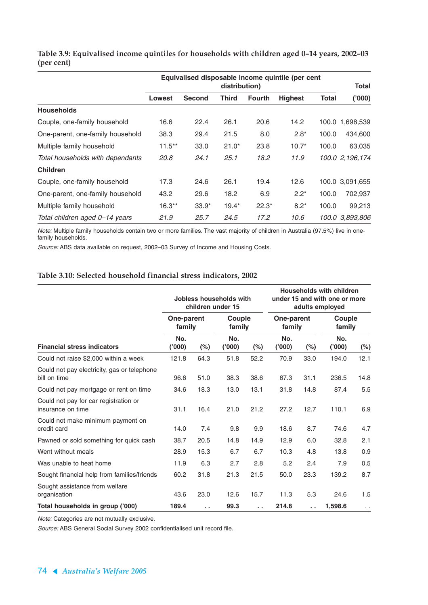|                                  | Equivalised disposable income quintile (per cent<br>distribution) |               |         |               |                | <b>Total</b> |                   |
|----------------------------------|-------------------------------------------------------------------|---------------|---------|---------------|----------------|--------------|-------------------|
|                                  | <b>Lowest</b>                                                     | <b>Second</b> | Third   | <b>Fourth</b> | <b>Highest</b> | <b>Total</b> | (000)             |
| <b>Households</b>                |                                                                   |               |         |               |                |              |                   |
| Couple, one-family household     | 16.6                                                              | 22.4          | 26.1    | 20.6          | 14.2           |              | 100.0 1.698,539   |
| One-parent, one-family household | 38.3                                                              | 29.4          | 21.5    | 8.0           | $2.8*$         | 100.0        | 434,600           |
| Multiple family household        | $11.5***$                                                         | 33.0          | $21.0*$ | 23.8          | $10.7*$        | 100.0        | 63,035            |
| Total households with dependants | 20.8                                                              | 24.1          | 25.1    | 18.2          | 11.9           |              | 100.0 2, 196, 174 |
| <b>Children</b>                  |                                                                   |               |         |               |                |              |                   |
| Couple, one-family household     | 17.3                                                              | 24.6          | 26.1    | 19.4          | 12.6           |              | 100.0 3,091,655   |
| One-parent, one-family household | 43.2                                                              | 29.6          | 18.2    | 6.9           | $2.2*$         | 100.0        | 702,937           |
| Multiple family household        | $16.3**$                                                          | $33.9*$       | $19.4*$ | $22.3*$       | $8.2*$         | 100.0        | 99,213            |
| Total children aged 0-14 years   | 21.9                                                              | 25.7          | 24.5    | 17.2          | 10.6           |              | 100.0 3.893.806   |

**Table 3.9: Equivalised income quintiles for households with children aged 0–14 years, 2002–03 (per cent)**

Note: Multiple family households contain two or more families. The vast majority of children in Australia (97.5%) live in onefamily households.

Source: ABS data available on request, 2002–03 Survey of Income and Housing Costs.

#### **Table 3.10: Selected household financial stress indicators, 2002**

|                                                             | Jobless households with<br>children under 15 |        |                  |         | <b>Households with children</b><br>under 15 and with one or more<br>adults employed |        |                  |                      |
|-------------------------------------------------------------|----------------------------------------------|--------|------------------|---------|-------------------------------------------------------------------------------------|--------|------------------|----------------------|
|                                                             | One-parent<br>family                         |        | Couple<br>family |         | One-parent<br>family                                                                |        | Couple<br>family |                      |
| <b>Financial stress indicators</b>                          | No.<br>(000)                                 | $(\%)$ | No.<br>(000)     | $(\% )$ | No.<br>(000)                                                                        | $(\%)$ | No.<br>(000)'    | $(\%)$               |
| Could not raise \$2,000 within a week                       | 121.8                                        | 64.3   | 51.8             | 52.2    | 70.9                                                                                | 33.0   | 194.0            | 12.1                 |
| Could not pay electricity, gas or telephone<br>bill on time | 96.6                                         | 51.0   | 38.3             | 38.6    | 67.3                                                                                | 31.1   | 236.5            | 14.8                 |
| Could not pay mortgage or rent on time                      | 34.6                                         | 18.3   | 13.0             | 13.1    | 31.8                                                                                | 14.8   | 87.4             | 5.5                  |
| Could not pay for car registration or<br>insurance on time  | 31.1                                         | 16.4   | 21.0             | 21.2    | 27.2                                                                                | 12.7   | 110.1            | 6.9                  |
| Could not make minimum payment on<br>credit card            | 14.0                                         | 7.4    | 9.8              | 9.9     | 18.6                                                                                | 8.7    | 74.6             | 4.7                  |
| Pawned or sold something for quick cash                     | 38.7                                         | 20.5   | 14.8             | 14.9    | 12.9                                                                                | 6.0    | 32.8             | 2.1                  |
| Went without meals                                          | 28.9                                         | 15.3   | 6.7              | 6.7     | 10.3                                                                                | 4.8    | 13.8             | 0.9                  |
| Was unable to heat home                                     | 11.9                                         | 6.3    | 2.7              | 2.8     | 5.2                                                                                 | 2.4    | 7.9              | 0.5                  |
| Sought financial help from families/friends                 | 60.2                                         | 31.8   | 21.3             | 21.5    | 50.0                                                                                | 23.3   | 139.2            | 8.7                  |
| Sought assistance from welfare<br>organisation              | 43.6                                         | 23.0   | 12.6             | 15.7    | 11.3                                                                                | 5.3    | 24.6             | 1.5                  |
| Total households in group ('000)                            | 189.4                                        | . .    | 99.3             | . .     | 214.8                                                                               | . .    | 1,598.6          | $\ddot{\phantom{0}}$ |

Note: Categories are not mutually exclusive.

Source: ABS General Social Survey 2002 confidentialised unit record file.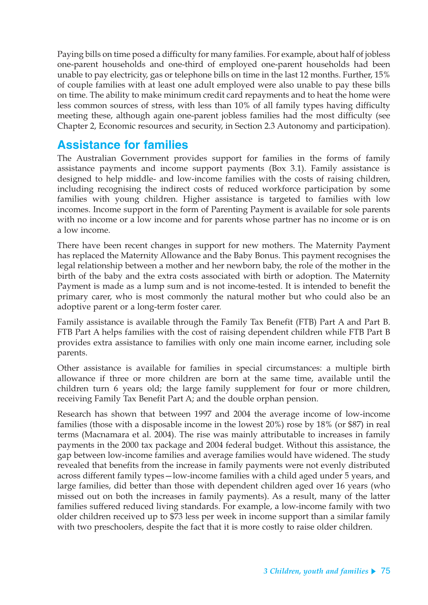Paying bills on time posed a difficulty for many families. For example, about half of jobless one-parent households and one-third of employed one-parent households had been unable to pay electricity, gas or telephone bills on time in the last 12 months. Further, 15% of couple families with at least one adult employed were also unable to pay these bills on time. The ability to make minimum credit card repayments and to heat the home were less common sources of stress, with less than 10% of all family types having difficulty meeting these, although again one-parent jobless families had the most difficulty (see Chapter 2, Economic resources and security, in Section 2.3 Autonomy and participation).

# **Assistance for families**

The Australian Government provides support for families in the forms of family assistance payments and income support payments (Box 3.1). Family assistance is designed to help middle- and low-income families with the costs of raising children, including recognising the indirect costs of reduced workforce participation by some families with young children. Higher assistance is targeted to families with low incomes. Income support in the form of Parenting Payment is available for sole parents with no income or a low income and for parents whose partner has no income or is on a low income.

There have been recent changes in support for new mothers. The Maternity Payment has replaced the Maternity Allowance and the Baby Bonus. This payment recognises the legal relationship between a mother and her newborn baby, the role of the mother in the birth of the baby and the extra costs associated with birth or adoption. The Maternity Payment is made as a lump sum and is not income-tested. It is intended to benefit the primary carer, who is most commonly the natural mother but who could also be an adoptive parent or a long-term foster carer.

Family assistance is available through the Family Tax Benefit (FTB) Part A and Part B. FTB Part A helps families with the cost of raising dependent children while FTB Part B provides extra assistance to families with only one main income earner, including sole parents.

Other assistance is available for families in special circumstances: a multiple birth allowance if three or more children are born at the same time, available until the children turn 6 years old; the large family supplement for four or more children, receiving Family Tax Benefit Part A; and the double orphan pension.

Research has shown that between 1997 and 2004 the average income of low-income families (those with a disposable income in the lowest 20%) rose by 18% (or \$87) in real terms (Macnamara et al. 2004). The rise was mainly attributable to increases in family payments in the 2000 tax package and 2004 federal budget. Without this assistance, the gap between low-income families and average families would have widened. The study revealed that benefits from the increase in family payments were not evenly distributed across different family types—low-income families with a child aged under 5 years, and large families, did better than those with dependent children aged over 16 years (who missed out on both the increases in family payments). As a result, many of the latter families suffered reduced living standards. For example, a low-income family with two older children received up to \$73 less per week in income support than a similar family with two preschoolers, despite the fact that it is more costly to raise older children.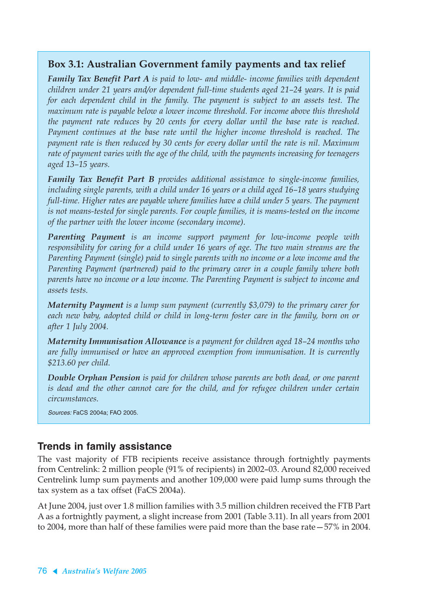#### **Box 3.1: Australian Government family payments and tax relief**

*Family Tax Benefit Part A is paid to low- and middle- income families with dependent children under 21 years and/or dependent full-time students aged 21–24 years. It is paid for each dependent child in the family. The payment is subject to an assets test. The maximum rate is payable below a lower income threshold. For income above this threshold the payment rate reduces by 20 cents for every dollar until the base rate is reached. Payment continues at the base rate until the higher income threshold is reached. The payment rate is then reduced by 30 cents for every dollar until the rate is nil. Maximum rate of payment varies with the age of the child, with the payments increasing for teenagers aged 13–15 years.*

*Family Tax Benefit Part B provides additional assistance to single-income families, including single parents, with a child under 16 years or a child aged 16–18 years studying full-time. Higher rates are payable where families have a child under 5 years. The payment is not means-tested for single parents. For couple families, it is means-tested on the income of the partner with the lower income (secondary income).*

*Parenting Payment is an income support payment for low-income people with responsibility for caring for a child under 16 years of age. The two main streams are the Parenting Payment (single) paid to single parents with no income or a low income and the Parenting Payment (partnered) paid to the primary carer in a couple family where both parents have no income or a low income. The Parenting Payment is subject to income and assets tests.*

*Maternity Payment is a lump sum payment (currently \$3,079) to the primary carer for each new baby, adopted child or child in long-term foster care in the family, born on or after 1 July 2004.*

*Maternity Immunisation Allowance is a payment for children aged 18–24 months who are fully immunised or have an approved exemption from immunisation. It is currently \$213.60 per child.*

*Double Orphan Pension is paid for children whose parents are both dead, or one parent is dead and the other cannot care for the child, and for refugee children under certain circumstances.*

Sources: FaCS 2004a; FAO 2005.

#### **Trends in family assistance**

The vast majority of FTB recipients receive assistance through fortnightly payments from Centrelink: 2 million people (91% of recipients) in 2002–03. Around 82,000 received Centrelink lump sum payments and another 109,000 were paid lump sums through the tax system as a tax offset (FaCS 2004a).

At June 2004, just over 1.8 million families with 3.5 million children received the FTB Part A as a fortnightly payment, a slight increase from 2001 (Table 3.11). In all years from 2001 to 2004, more than half of these families were paid more than the base rate—57% in 2004.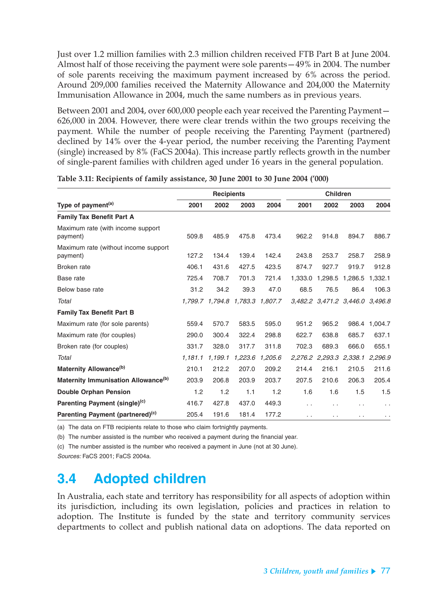Just over 1.2 million families with 2.3 million children received FTB Part B at June 2004. Almost half of those receiving the payment were sole parents—49% in 2004. The number of sole parents receiving the maximum payment increased by 6% across the period. Around 209,000 families received the Maternity Allowance and 204,000 the Maternity Immunisation Allowance in 2004, much the same numbers as in previous years.

Between 2001 and 2004, over 600,000 people each year received the Parenting Payment— 626,000 in 2004. However, there were clear trends within the two groups receiving the payment. While the number of people receiving the Parenting Payment (partnered) declined by 14% over the 4-year period, the number receiving the Parenting Payment (single) increased by 8% (FaCS 2004a). This increase partly reflects growth in the number of single-parent families with children aged under 16 years in the general population.

|                                                  | <b>Recipients</b> |                 |         |         | <b>Children</b>      |                 |                                 |         |
|--------------------------------------------------|-------------------|-----------------|---------|---------|----------------------|-----------------|---------------------------------|---------|
| Type of payment <sup>(a)</sup>                   | 2001              | 2002            | 2003    | 2004    | 2001                 | 2002            | 2003                            | 2004    |
| <b>Family Tax Benefit Part A</b>                 |                   |                 |         |         |                      |                 |                                 |         |
| Maximum rate (with income support<br>payment)    | 509.8             | 485.9           | 475.8   | 473.4   | 962.2                | 914.8           | 894.7                           | 886.7   |
| Maximum rate (without income support<br>payment) | 127.2             | 134.4           | 139.4   | 142.4   | 243.8                | 253.7           | 258.7                           | 258.9   |
| Broken rate                                      | 406.1             | 431.6           | 427.5   | 423.5   | 874.7                | 927.7           | 919.7                           | 912.8   |
| Base rate                                        | 725.4             | 708.7           | 701.3   | 721.4   |                      | 1,333.0 1,298.5 | 1,286.5                         | 1,332.1 |
| Below base rate                                  | 31.2              | 34.2            | 39.3    | 47.0    | 68.5                 | 76.5            | 86.4                            | 106.3   |
| Total                                            |                   | 1.799.7 1.794.8 | 1.783.3 | 1,807.7 |                      |                 | 3,482.2 3,471.2 3,446.0 3,496.8 |         |
| <b>Family Tax Benefit Part B</b>                 |                   |                 |         |         |                      |                 |                                 |         |
| Maximum rate (for sole parents)                  | 559.4             | 570.7           | 583.5   | 595.0   | 951.2                | 965.2           | 986.4                           | 1,004.7 |
| Maximum rate (for couples)                       | 290.0             | 300.4           | 322.4   | 298.8   | 622.7                | 638.8           | 685.7                           | 637.1   |
| Broken rate (for couples)                        | 331.7             | 328.0           | 317.7   | 311.8   | 702.3                | 689.3           | 666.0                           | 655.1   |
| Total                                            | 1,181.1           | 1,199.1         | 1,223.6 | 1,205.6 |                      |                 | 2,276.2 2,293.3 2,338.1         | 2,296.9 |
| Maternity Allowance <sup>(b)</sup>               | 210.1             | 212.2           | 207.0   | 209.2   | 214.4                | 216.1           | 210.5                           | 211.6   |
| Maternity Immunisation Allowance <sup>(b)</sup>  | 203.9             | 206.8           | 203.9   | 203.7   | 207.5                | 210.6           | 206.3                           | 205.4   |
| <b>Double Orphan Pension</b>                     | 1.2               | 1.2             | 1.1     | 1.2     | 1.6                  | 1.6             | 1.5                             | 1.5     |
| Parenting Payment (single) <sup>(c)</sup>        | 416.7             | 427.8           | 437.0   | 449.3   | $\ddot{\phantom{0}}$ | . .             |                                 | . .     |
| Parenting Payment (partnered) <sup>(c)</sup>     | 205.4             | 191.6           | 181.4   | 177.2   | $\ddot{\phantom{0}}$ | $\cdot$ .       | . .                             |         |

**Table 3.11: Recipients of family assistance, 30 June 2001 to 30 June 2004 ('000)**

(a) The data on FTB recipients relate to those who claim fortnightly payments.

(b) The number assisted is the number who received a payment during the financial year.

(c) The number assisted is the number who received a payment in June (not at 30 June).

Sources: FaCS 2001; FaCS 2004a.

# **3.4 Adopted children**

In Australia, each state and territory has responsibility for all aspects of adoption within its jurisdiction, including its own legislation, policies and practices in relation to adoption. The Institute is funded by the state and territory community services departments to collect and publish national data on adoptions. The data reported on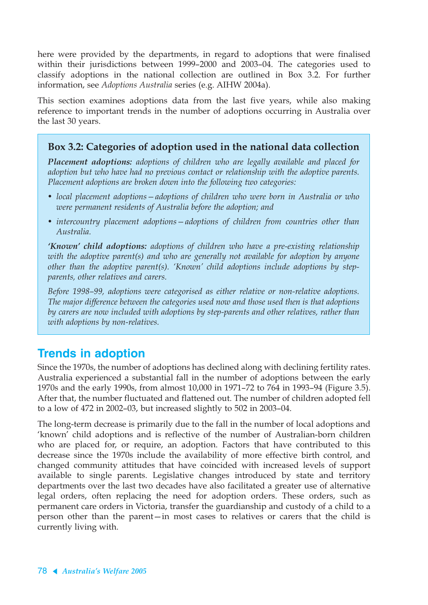here were provided by the departments, in regard to adoptions that were finalised within their jurisdictions between 1999–2000 and 2003–04. The categories used to classify adoptions in the national collection are outlined in Box 3.2. For further information, see *Adoptions Australia* series (e.g. AIHW 2004a).

This section examines adoptions data from the last five years, while also making reference to important trends in the number of adoptions occurring in Australia over the last 30 years.

#### **Box 3.2: Categories of adoption used in the national data collection**

*Placement adoptions: adoptions of children who are legally available and placed for adoption but who have had no previous contact or relationship with the adoptive parents. Placement adoptions are broken down into the following two categories:*

- *local placement adoptions—adoptions of children who were born in Australia or who were permanent residents of Australia before the adoption; and*
- *intercountry placement adoptions—adoptions of children from countries other than Australia.*

*'Known' child adoptions: adoptions of children who have a pre-existing relationship with the adoptive parent(s) and who are generally not available for adoption by anyone other than the adoptive parent(s). 'Known' child adoptions include adoptions by stepparents, other relatives and carers.*

*Before 1998–99, adoptions were categorised as either relative or non-relative adoptions. The major difference between the categories used now and those used then is that adoptions by carers are now included with adoptions by step-parents and other relatives, rather than with adoptions by non-relatives.*

# **Trends in adoption**

Since the 1970s, the number of adoptions has declined along with declining fertility rates. Australia experienced a substantial fall in the number of adoptions between the early 1970s and the early 1990s, from almost 10,000 in 1971–72 to 764 in 1993–94 (Figure 3.5). After that, the number fluctuated and flattened out. The number of children adopted fell to a low of 472 in 2002–03, but increased slightly to 502 in 2003–04.

The long-term decrease is primarily due to the fall in the number of local adoptions and 'known' child adoptions and is reflective of the number of Australian-born children who are placed for, or require, an adoption. Factors that have contributed to this decrease since the 1970s include the availability of more effective birth control, and changed community attitudes that have coincided with increased levels of support available to single parents. Legislative changes introduced by state and territory departments over the last two decades have also facilitated a greater use of alternative legal orders, often replacing the need for adoption orders. These orders, such as permanent care orders in Victoria, transfer the guardianship and custody of a child to a person other than the parent—in most cases to relatives or carers that the child is currently living with.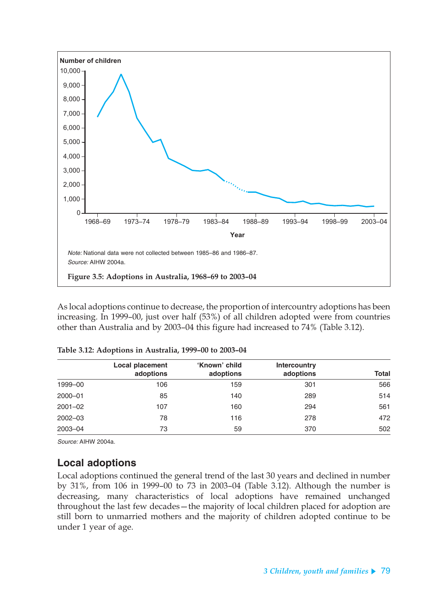

As local adoptions continue to decrease, the proportion of intercountry adoptions has been increasing. In 1999–00, just over half (53%) of all children adopted were from countries other than Australia and by 2003–04 this figure had increased to 74% (Table 3.12).

|             | <b>Local placement</b><br>adoptions | 'Known' child<br>adoptions | <b>Intercountry</b><br>adoptions | Total |
|-------------|-------------------------------------|----------------------------|----------------------------------|-------|
| 1999-00     | 106                                 | 159                        | 301                              | 566   |
| $2000 - 01$ | 85                                  | 140                        | 289                              | 514   |
| $2001 - 02$ | 107                                 | 160                        | 294                              | 561   |
| $2002 - 03$ | 78                                  | 116                        | 278                              | 472   |
| 2003-04     | 73                                  | 59                         | 370                              | 502   |

**Table 3.12: Adoptions in Australia, 1999–00 to 2003–04**

Source: AIHW 2004a.

#### **Local adoptions**

Local adoptions continued the general trend of the last 30 years and declined in number by 31%, from 106 in 1999–00 to 73 in 2003–04 (Table 3.12). Although the number is decreasing, many characteristics of local adoptions have remained unchanged throughout the last few decades—the majority of local children placed for adoption are still born to unmarried mothers and the majority of children adopted continue to be under 1 year of age.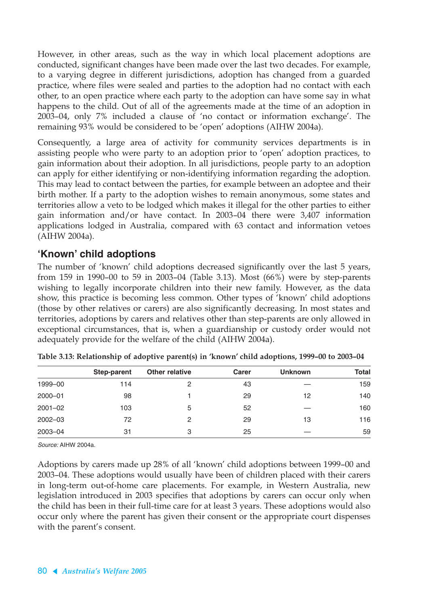However, in other areas, such as the way in which local placement adoptions are conducted, significant changes have been made over the last two decades. For example, to a varying degree in different jurisdictions, adoption has changed from a guarded practice, where files were sealed and parties to the adoption had no contact with each other, to an open practice where each party to the adoption can have some say in what happens to the child. Out of all of the agreements made at the time of an adoption in 2003–04, only 7% included a clause of 'no contact or information exchange'. The remaining 93% would be considered to be 'open' adoptions (AIHW 2004a).

Consequently, a large area of activity for community services departments is in assisting people who were party to an adoption prior to 'open' adoption practices, to gain information about their adoption. In all jurisdictions, people party to an adoption can apply for either identifying or non-identifying information regarding the adoption. This may lead to contact between the parties, for example between an adoptee and their birth mother. If a party to the adoption wishes to remain anonymous, some states and territories allow a veto to be lodged which makes it illegal for the other parties to either gain information and/or have contact. In 2003–04 there were 3,407 information applications lodged in Australia, compared with 63 contact and information vetoes (AIHW 2004a).

#### **'Known' child adoptions**

The number of 'known' child adoptions decreased significantly over the last 5 years, from 159 in 1990–00 to 59 in 2003–04 (Table 3.13). Most (66%) were by step-parents wishing to legally incorporate children into their new family. However, as the data show, this practice is becoming less common. Other types of 'known' child adoptions (those by other relatives or carers) are also significantly decreasing. In most states and territories, adoptions by carers and relatives other than step-parents are only allowed in exceptional circumstances, that is, when a guardianship or custody order would not adequately provide for the welfare of the child (AIHW 2004a).

|             | Step-parent | Other relative | Carer | <b>Unknown</b> | <b>Total</b> |
|-------------|-------------|----------------|-------|----------------|--------------|
| 1999-00     | 114         | 2              | 43    |                | 159          |
| $2000 - 01$ | 98          |                | 29    | 12             | 140          |
| $2001 - 02$ | 103         | 5              | 52    |                | 160          |
| $2002 - 03$ | 72          | 2              | 29    | 13             | 116          |
| 2003-04     | 31          | 3              | 25    |                | 59           |

**Table 3.13: Relationship of adoptive parent(s) in 'known' child adoptions, 1999–00 to 2003–04**

Source: AIHW 2004a.

Adoptions by carers made up 28% of all 'known' child adoptions between 1999–00 and 2003–04. These adoptions would usually have been of children placed with their carers in long-term out-of-home care placements. For example, in Western Australia, new legislation introduced in 2003 specifies that adoptions by carers can occur only when the child has been in their full-time care for at least 3 years. These adoptions would also occur only where the parent has given their consent or the appropriate court dispenses with the parent's consent.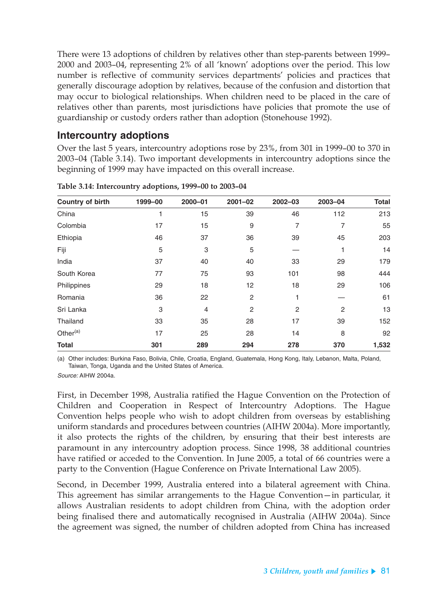There were 13 adoptions of children by relatives other than step-parents between 1999– 2000 and 2003–04, representing 2% of all 'known' adoptions over the period. This low number is reflective of community services departments' policies and practices that generally discourage adoption by relatives, because of the confusion and distortion that may occur to biological relationships. When children need to be placed in the care of relatives other than parents, most jurisdictions have policies that promote the use of guardianship or custody orders rather than adoption (Stonehouse 1992).

#### **Intercountry adoptions**

Over the last 5 years, intercountry adoptions rose by 23%, from 301 in 1999–00 to 370 in 2003–04 (Table 3.14). Two important developments in intercountry adoptions since the beginning of 1999 may have impacted on this overall increase.

| <b>Country of birth</b> | 1999-00 | $2000 - 01$    | $2001 - 02$    | $2002 - 03$ | 2003-04 | <b>Total</b> |
|-------------------------|---------|----------------|----------------|-------------|---------|--------------|
| China                   | 1       | 15             | 39             | 46          | 112     | 213          |
| Colombia                | 17      | 15             | 9              | 7           | 7       | 55           |
| Ethiopia                | 46      | 37             | 36             | 39          | 45      | 203          |
| Fiji                    | 5       | 3              | 5              |             |         | 14           |
| India                   | 37      | 40             | 40             | 33          | 29      | 179          |
| South Korea             | 77      | 75             | 93             | 101         | 98      | 444          |
| Philippines             | 29      | 18             | 12             | 18          | 29      | 106          |
| Romania                 | 36      | 22             | $\overline{2}$ |             |         | 61           |
| Sri Lanka               | 3       | $\overline{4}$ | $\overline{2}$ | 2           | 2       | 13           |
| Thailand                | 33      | 35             | 28             | 17          | 39      | 152          |
| Other <sup>(a)</sup>    | 17      | 25             | 28             | 14          | 8       | 92           |
| <b>Total</b>            | 301     | 289            | 294            | 278         | 370     | 1,532        |

**Table 3.14: Intercountry adoptions, 1999–00 to 2003–04**

(a) Other includes: Burkina Faso, Bolivia, Chile, Croatia, England, Guatemala, Hong Kong, Italy, Lebanon, Malta, Poland, Taiwan, Tonga, Uganda and the United States of America.

Source: AIHW 2004a.

First, in December 1998, Australia ratified the Hague Convention on the Protection of Children and Cooperation in Respect of Intercountry Adoptions. The Hague Convention helps people who wish to adopt children from overseas by establishing uniform standards and procedures between countries (AIHW 2004a). More importantly, it also protects the rights of the children, by ensuring that their best interests are paramount in any intercountry adoption process. Since 1998, 38 additional countries have ratified or acceded to the Convention. In June 2005, a total of 66 countries were a party to the Convention (Hague Conference on Private International Law 2005).

Second, in December 1999, Australia entered into a bilateral agreement with China. This agreement has similar arrangements to the Hague Convention—in particular, it allows Australian residents to adopt children from China, with the adoption order being finalised there and automatically recognised in Australia (AIHW 2004a). Since the agreement was signed, the number of children adopted from China has increased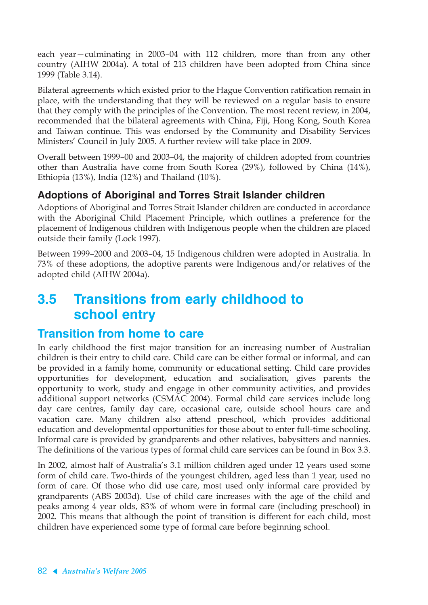each year—culminating in 2003–04 with 112 children, more than from any other country (AIHW 2004a). A total of 213 children have been adopted from China since 1999 (Table 3.14).

Bilateral agreements which existed prior to the Hague Convention ratification remain in place, with the understanding that they will be reviewed on a regular basis to ensure that they comply with the principles of the Convention. The most recent review, in 2004, recommended that the bilateral agreements with China, Fiji, Hong Kong, South Korea and Taiwan continue. This was endorsed by the Community and Disability Services Ministers' Council in July 2005. A further review will take place in 2009.

Overall between 1999–00 and 2003–04, the majority of children adopted from countries other than Australia have come from South Korea (29%), followed by China (14%), Ethiopia (13%), India (12%) and Thailand (10%).

### **Adoptions of Aboriginal and Torres Strait Islander children**

Adoptions of Aboriginal and Torres Strait Islander children are conducted in accordance with the Aboriginal Child Placement Principle, which outlines a preference for the placement of Indigenous children with Indigenous people when the children are placed outside their family (Lock 1997).

Between 1999–2000 and 2003–04, 15 Indigenous children were adopted in Australia. In 73% of these adoptions, the adoptive parents were Indigenous and/or relatives of the adopted child (AIHW 2004a).

# **3.5 Transitions from early childhood to school entry**

# **Transition from home to care**

In early childhood the first major transition for an increasing number of Australian children is their entry to child care. Child care can be either formal or informal, and can be provided in a family home, community or educational setting. Child care provides opportunities for development, education and socialisation, gives parents the opportunity to work, study and engage in other community activities, and provides additional support networks (CSMAC 2004). Formal child care services include long day care centres, family day care, occasional care, outside school hours care and vacation care. Many children also attend preschool, which provides additional education and developmental opportunities for those about to enter full-time schooling. Informal care is provided by grandparents and other relatives, babysitters and nannies. The definitions of the various types of formal child care services can be found in Box 3.3.

In 2002, almost half of Australia's 3.1 million children aged under 12 years used some form of child care. Two-thirds of the youngest children, aged less than 1 year, used no form of care. Of those who did use care, most used only informal care provided by grandparents (ABS 2003d). Use of child care increases with the age of the child and peaks among 4 year olds, 83% of whom were in formal care (including preschool) in 2002. This means that although the point of transition is different for each child, most children have experienced some type of formal care before beginning school.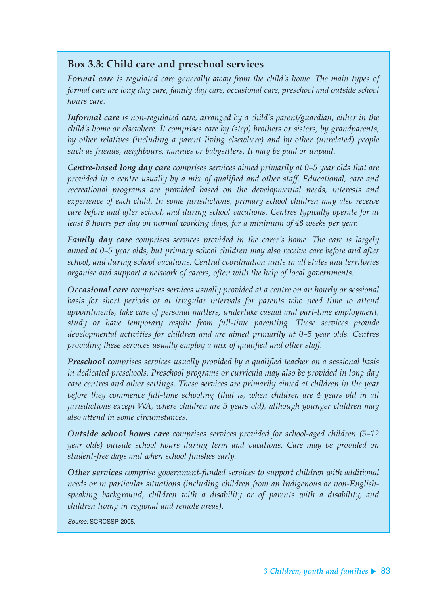### **Box 3.3: Child care and preschool services**

*Formal care is regulated care generally away from the child's home. The main types of formal care are long day care, family day care, occasional care, preschool and outside school hours care.*

*Informal care is non-regulated care, arranged by a child's parent/guardian, either in the child's home or elsewhere. It comprises care by (step) brothers or sisters, by grandparents, by other relatives (including a parent living elsewhere) and by other (unrelated) people such as friends, neighbours, nannies or babysitters. It may be paid or unpaid.*

*Centre-based long day care comprises services aimed primarily at 0–5 year olds that are provided in a centre usually by a mix of qualified and other staff. Educational, care and recreational programs are provided based on the developmental needs, interests and experience of each child. In some jurisdictions, primary school children may also receive care before and after school, and during school vacations. Centres typically operate for at least 8 hours per day on normal working days, for a minimum of 48 weeks per year.*

*Family day care comprises services provided in the carer's home. The care is largely aimed at 0–5 year olds, but primary school children may also receive care before and after school, and during school vacations. Central coordination units in all states and territories organise and support a network of carers, often with the help of local governments.*

*Occasional care comprises services usually provided at a centre on an hourly or sessional basis for short periods or at irregular intervals for parents who need time to attend appointments, take care of personal matters, undertake casual and part-time employment, study or have temporary respite from full-time parenting. These services provide developmental activities for children and are aimed primarily at 0–5 year olds. Centres providing these services usually employ a mix of qualified and other staff.*

*Preschool comprises services usually provided by a qualified teacher on a sessional basis in dedicated preschools. Preschool programs or curricula may also be provided in long day care centres and other settings. These services are primarily aimed at children in the year before they commence full-time schooling (that is, when children are 4 years old in all jurisdictions except WA, where children are 5 years old), although younger children may also attend in some circumstances.*

*Outside school hours care comprises services provided for school-aged children (5–12 year olds) outside school hours during term and vacations. Care may be provided on student-free days and when school finishes early.*

*Other services comprise government-funded services to support children with additional needs or in particular situations (including children from an Indigenous or non-Englishspeaking background, children with a disability or of parents with a disability, and children living in regional and remote areas).*

Source: SCRCSSP 2005.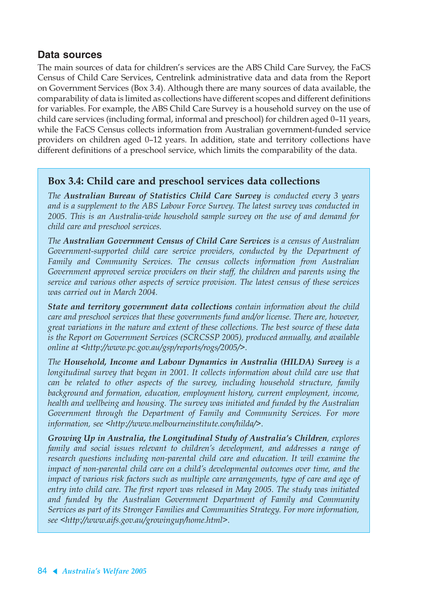#### **Data sources**

The main sources of data for children's services are the ABS Child Care Survey, the FaCS Census of Child Care Services, Centrelink administrative data and data from the Report on Government Services (Box 3.4). Although there are many sources of data available, the comparability of data is limited as collections have different scopes and different definitions for variables. For example, the ABS Child Care Survey is a household survey on the use of child care services (including formal, informal and preschool) for children aged 0–11 years, while the FaCS Census collects information from Australian government-funded service providers on children aged 0–12 years. In addition, state and territory collections have different definitions of a preschool service, which limits the comparability of the data.

#### **Box 3.4: Child care and preschool services data collections**

*The Australian Bureau of Statistics Child Care Survey is conducted every 3 years and is a supplement to the ABS Labour Force Survey. The latest survey was conducted in 2005. This is an Australia-wide household sample survey on the use of and demand for child care and preschool services.*

*The Australian Government Census of Child Care Services is a census of Australian Government-supported child care service providers, conducted by the Department of Family and Community Services. The census collects information from Australian Government approved service providers on their staff, the children and parents using the service and various other aspects of service provision. The latest census of these services was carried out in March 2004.*

*State and territory government data collections contain information about the child care and preschool services that these governments fund and/or license. There are, however, great variations in the nature and extent of these collections. The best source of these data is the Report on Government Services (SCRCSSP 2005), produced annually, and available online at <http://www.pc.gov.au/gsp/reports/rogs/2005/>.*

*The Household, Income and Labour Dynamics in Australia (HILDA) Survey is a longitudinal survey that began in 2001. It collects information about child care use that can be related to other aspects of the survey, including household structure, family background and formation, education, employment history, current employment, income, health and wellbeing and housing. The survey was initiated and funded by the Australian Government through the Department of Family and Community Services. For more information, see <http://www.melbourneinstitute.com/hilda/>.*

*Growing Up in Australia, the Longitudinal Study of Australia's Children, explores family and social issues relevant to children's development, and addresses a range of research questions including non-parental child care and education. It will examine the impact of non-parental child care on a child's developmental outcomes over time, and the impact of various risk factors such as multiple care arrangements, type of care and age of entry into child care. The first report was released in May 2005. The study was initiated and funded by the Australian Government Department of Family and Community Services as part of its Stronger Families and Communities Strategy. For more information, see <http://www.aifs.gov.au/growingup/home.html>.*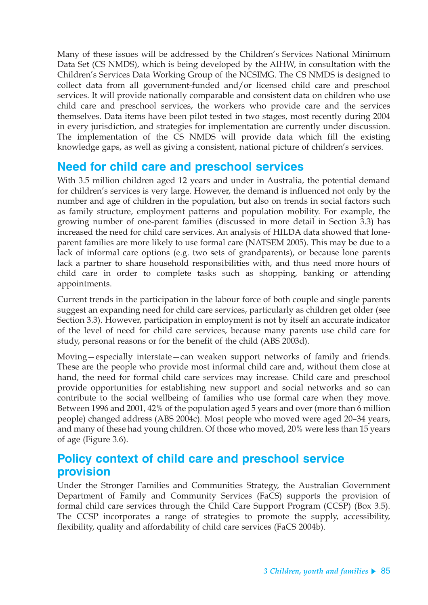Many of these issues will be addressed by the Children's Services National Minimum Data Set (CS NMDS), which is being developed by the AIHW, in consultation with the Children's Services Data Working Group of the NCSIMG. The CS NMDS is designed to collect data from all government-funded and/or licensed child care and preschool services. It will provide nationally comparable and consistent data on children who use child care and preschool services, the workers who provide care and the services themselves. Data items have been pilot tested in two stages, most recently during 2004 in every jurisdiction, and strategies for implementation are currently under discussion. The implementation of the CS NMDS will provide data which fill the existing knowledge gaps, as well as giving a consistent, national picture of children's services.

# **Need for child care and preschool services**

With 3.5 million children aged 12 years and under in Australia, the potential demand for children's services is very large. However, the demand is influenced not only by the number and age of children in the population, but also on trends in social factors such as family structure, employment patterns and population mobility. For example, the growing number of one-parent families (discussed in more detail in Section 3.3) has increased the need for child care services. An analysis of HILDA data showed that loneparent families are more likely to use formal care (NATSEM 2005). This may be due to a lack of informal care options (e.g. two sets of grandparents), or because lone parents lack a partner to share household responsibilities with, and thus need more hours of child care in order to complete tasks such as shopping, banking or attending appointments.

Current trends in the participation in the labour force of both couple and single parents suggest an expanding need for child care services, particularly as children get older (see Section 3.3). However, participation in employment is not by itself an accurate indicator of the level of need for child care services, because many parents use child care for study, personal reasons or for the benefit of the child (ABS 2003d).

Moving—especially interstate—can weaken support networks of family and friends. These are the people who provide most informal child care and, without them close at hand, the need for formal child care services may increase. Child care and preschool provide opportunities for establishing new support and social networks and so can contribute to the social wellbeing of families who use formal care when they move. Between 1996 and 2001, 42% of the population aged 5 years and over (more than 6 million people) changed address (ABS 2004c). Most people who moved were aged 20–34 years, and many of these had young children. Of those who moved, 20% were less than 15 years of age (Figure 3.6).

# **Policy context of child care and preschool service provision**

Under the Stronger Families and Communities Strategy, the Australian Government Department of Family and Community Services (FaCS) supports the provision of formal child care services through the Child Care Support Program (CCSP) (Box 3.5). The CCSP incorporates a range of strategies to promote the supply, accessibility, flexibility, quality and affordability of child care services (FaCS 2004b).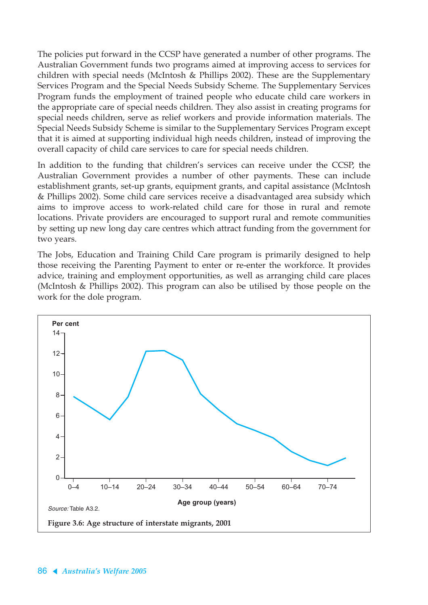The policies put forward in the CCSP have generated a number of other programs. The Australian Government funds two programs aimed at improving access to services for children with special needs (McIntosh & Phillips 2002). These are the Supplementary Services Program and the Special Needs Subsidy Scheme. The Supplementary Services Program funds the employment of trained people who educate child care workers in the appropriate care of special needs children. They also assist in creating programs for special needs children, serve as relief workers and provide information materials. The Special Needs Subsidy Scheme is similar to the Supplementary Services Program except that it is aimed at supporting individual high needs children, instead of improving the overall capacity of child care services to care for special needs children.

In addition to the funding that children's services can receive under the CCSP, the Australian Government provides a number of other payments. These can include establishment grants, set-up grants, equipment grants, and capital assistance (McIntosh & Phillips 2002). Some child care services receive a disadvantaged area subsidy which aims to improve access to work-related child care for those in rural and remote locations. Private providers are encouraged to support rural and remote communities by setting up new long day care centres which attract funding from the government for two years.

The Jobs, Education and Training Child Care program is primarily designed to help those receiving the Parenting Payment to enter or re-enter the workforce. It provides advice, training and employment opportunities, as well as arranging child care places (McIntosh & Phillips 2002). This program can also be utilised by those people on the work for the dole program.

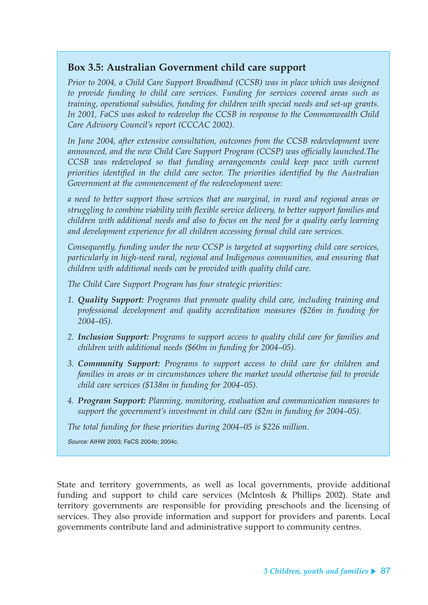#### **Box 3.5: Australian Government child care support**

*Prior to 2004, a Child Care Support Broadband (CCSB) was in place which was designed to provide funding to child care services. Funding for services covered areas such as training, operational subsidies, funding for children with special needs and set-up grants. In 2001, FaCS was asked to redevelop the CCSB in response to the Commonwealth Child Care Advisory Council's report (CCCAC 2002).*

*In June 2004, after extensive consultation, outcomes from the CCSB redevelopment were announced, and the new Child Care Support Program (CCSP) was officially launched.The CCSB was redeveloped so that funding arrangements could keep pace with current priorities identified in the child care sector. The priorities identified by the Australian Government at the commencement of the redevelopment were:*

*a need to better support those services that are marginal, in rural and regional areas or struggling to combine viability with flexible service delivery, to better support families and children with additional needs and also to focus on the need for a quality early learning and development experience for all children accessing formal child care services.*

*Consequently, funding under the new CCSP is targeted at supporting child care services, particularly in high-need rural, regional and Indigenous communities, and ensuring that children with additional needs can be provided with quality child care.*

*The Child Care Support Program has four strategic priorities:*

- *1. Quality Support: Programs that promote quality child care, including training and professional development and quality accreditation measures (\$26m in funding for 2004–05).*
- *2. Inclusion Support: Programs to support access to quality child care for families and children with additional needs (\$60m in funding for 2004–05).*
- *3. Community Support: Programs to support access to child care for children and families in areas or in circumstances where the market would otherwise fail to provide child care services (\$138m in funding for 2004–05).*
- *4. Program Support: Planning, monitoring, evaluation and communication measures to support the government's investment in child care (\$2m in funding for 2004–05).*

*The total funding for these priorities during 2004–05 is \$226 million.*

Source: AIHW 2003; FaCS 2004b; 2004c.

State and territory governments, as well as local governments, provide additional funding and support to child care services (McIntosh & Phillips 2002). State and territory governments are responsible for providing preschools and the licensing of services. They also provide information and support for providers and parents. Local governments contribute land and administrative support to community centres.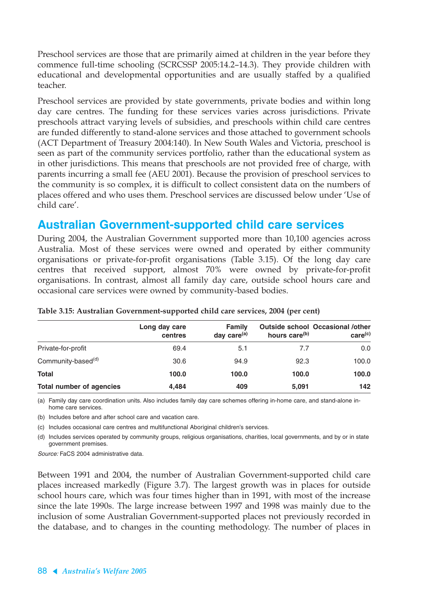Preschool services are those that are primarily aimed at children in the year before they commence full-time schooling (SCRCSSP 2005:14.2–14.3). They provide children with educational and developmental opportunities and are usually staffed by a qualified teacher.

Preschool services are provided by state governments, private bodies and within long day care centres. The funding for these services varies across jurisdictions. Private preschools attract varying levels of subsidies, and preschools within child care centres are funded differently to stand-alone services and those attached to government schools (ACT Department of Treasury 2004:140). In New South Wales and Victoria, preschool is seen as part of the community services portfolio, rather than the educational system as in other jurisdictions. This means that preschools are not provided free of charge, with parents incurring a small fee (AEU 2001). Because the provision of preschool services to the community is so complex, it is difficult to collect consistent data on the numbers of places offered and who uses them. Preschool services are discussed below under 'Use of child care'.

### **Australian Government-supported child care services**

During 2004, the Australian Government supported more than 10,100 agencies across Australia. Most of these services were owned and operated by either community organisations or private-for-profit organisations (Table 3.15). Of the long day care centres that received support, almost 70% were owned by private-for-profit organisations. In contrast, almost all family day care, outside school hours care and occasional care services were owned by community-based bodies.

|                                 | Long day care<br>centres | Family<br>day care $(a)$ | hours care <sup>(b)</sup> | <b>Outside school Occasional /other</b><br>care <sup>(c)</sup> |  |
|---------------------------------|--------------------------|--------------------------|---------------------------|----------------------------------------------------------------|--|
| Private-for-profit              | 69.4                     | 5.1                      | 7.7                       | 0.0                                                            |  |
| Community-based <sup>(d)</sup>  | 30.6                     | 94.9                     | 92.3                      | 100.0                                                          |  |
| <b>Total</b>                    | 100.0                    | 100.0                    | 100.0                     | 100.0                                                          |  |
| <b>Total number of agencies</b> | 4.484                    | 409                      | 5,091                     | 142                                                            |  |

| Table 3.15: Australian Government-supported child care services, 2004 (per cent) |  |  |  |
|----------------------------------------------------------------------------------|--|--|--|
|                                                                                  |  |  |  |

(a) Family day care coordination units. Also includes family day care schemes offering in-home care, and stand-alone inhome care services.

(b) Includes before and after school care and vacation care.

(c) Includes occasional care centres and multifunctional Aboriginal children's services.

(d) Includes services operated by community groups, religious organisations, charities, local governments, and by or in state government premises.

Source: FaCS 2004 administrative data.

Between 1991 and 2004, the number of Australian Government-supported child care places increased markedly (Figure 3.7). The largest growth was in places for outside school hours care, which was four times higher than in 1991, with most of the increase since the late 1990s. The large increase between 1997 and 1998 was mainly due to the inclusion of some Australian Government-supported places not previously recorded in the database, and to changes in the counting methodology. The number of places in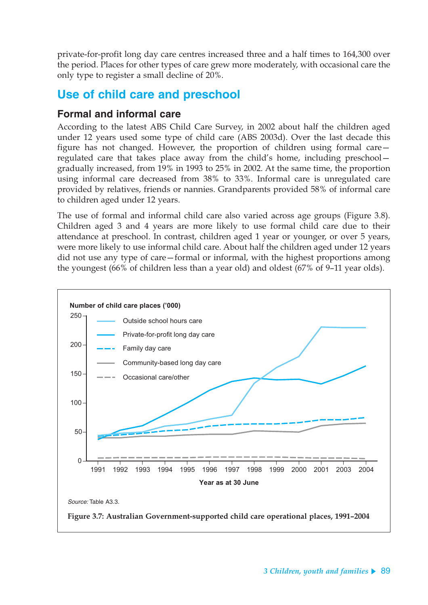private-for-profit long day care centres increased three and a half times to 164,300 over the period. Places for other types of care grew more moderately, with occasional care the only type to register a small decline of 20%.

# **Use of child care and preschool**

#### **Formal and informal care**

According to the latest ABS Child Care Survey, in 2002 about half the children aged under 12 years used some type of child care (ABS 2003d). Over the last decade this figure has not changed. However, the proportion of children using formal care regulated care that takes place away from the child's home, including preschool gradually increased, from 19% in 1993 to 25% in 2002. At the same time, the proportion using informal care decreased from 38% to 33%. Informal care is unregulated care provided by relatives, friends or nannies. Grandparents provided 58% of informal care to children aged under 12 years.

The use of formal and informal child care also varied across age groups (Figure 3.8). Children aged 3 and 4 years are more likely to use formal child care due to their attendance at preschool. In contrast, children aged 1 year or younger, or over 5 years, were more likely to use informal child care. About half the children aged under 12 years did not use any type of care—formal or informal, with the highest proportions among the youngest (66% of children less than a year old) and oldest (67% of 9–11 year olds).

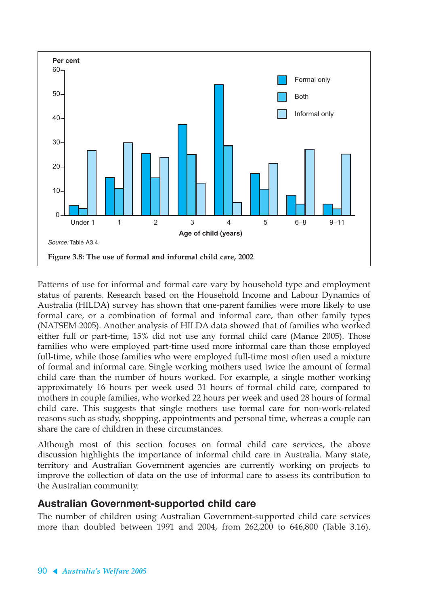

Patterns of use for informal and formal care vary by household type and employment status of parents. Research based on the Household Income and Labour Dynamics of Australia (HILDA) survey has shown that one-parent families were more likely to use formal care, or a combination of formal and informal care, than other family types (NATSEM 2005). Another analysis of HILDA data showed that of families who worked either full or part-time, 15% did not use any formal child care (Mance 2005). Those families who were employed part-time used more informal care than those employed full-time, while those families who were employed full-time most often used a mixture of formal and informal care. Single working mothers used twice the amount of formal child care than the number of hours worked. For example, a single mother working approximately 16 hours per week used 31 hours of formal child care, compared to mothers in couple families, who worked 22 hours per week and used 28 hours of formal child care. This suggests that single mothers use formal care for non-work-related reasons such as study, shopping, appointments and personal time, whereas a couple can share the care of children in these circumstances.

Although most of this section focuses on formal child care services, the above discussion highlights the importance of informal child care in Australia. Many state, territory and Australian Government agencies are currently working on projects to improve the collection of data on the use of informal care to assess its contribution to the Australian community.

#### **Australian Government-supported child care**

The number of children using Australian Government-supported child care services more than doubled between 1991 and 2004, from 262,200 to 646,800 (Table 3.16).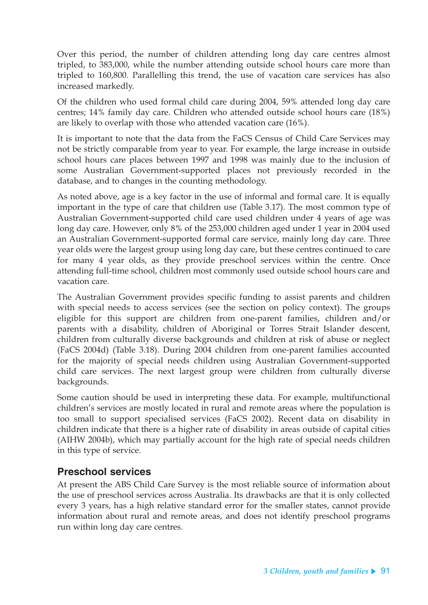Over this period, the number of children attending long day care centres almost tripled, to 383,000, while the number attending outside school hours care more than tripled to 160,800. Parallelling this trend, the use of vacation care services has also increased markedly.

Of the children who used formal child care during 2004, 59% attended long day care centres; 14% family day care. Children who attended outside school hours care (18%) are likely to overlap with those who attended vacation care (16%).

It is important to note that the data from the FaCS Census of Child Care Services may not be strictly comparable from year to year. For example, the large increase in outside school hours care places between 1997 and 1998 was mainly due to the inclusion of some Australian Government-supported places not previously recorded in the database, and to changes in the counting methodology.

As noted above, age is a key factor in the use of informal and formal care. It is equally important in the type of care that children use (Table 3.17). The most common type of Australian Government-supported child care used children under 4 years of age was long day care. However, only 8% of the 253,000 children aged under 1 year in 2004 used an Australian Government-supported formal care service, mainly long day care. Three year olds were the largest group using long day care, but these centres continued to care for many 4 year olds, as they provide preschool services within the centre. Once attending full-time school, children most commonly used outside school hours care and vacation care.

The Australian Government provides specific funding to assist parents and children with special needs to access services (see the section on policy context). The groups eligible for this support are children from one-parent families, children and/or parents with a disability, children of Aboriginal or Torres Strait Islander descent, children from culturally diverse backgrounds and children at risk of abuse or neglect (FaCS 2004d) (Table 3.18). During 2004 children from one-parent families accounted for the majority of special needs children using Australian Government-supported child care services. The next largest group were children from culturally diverse backgrounds.

Some caution should be used in interpreting these data. For example, multifunctional children's services are mostly located in rural and remote areas where the population is too small to support specialised services (FaCS 2002). Recent data on disability in children indicate that there is a higher rate of disability in areas outside of capital cities (AIHW 2004b), which may partially account for the high rate of special needs children in this type of service.

#### **Preschool services**

At present the ABS Child Care Survey is the most reliable source of information about the use of preschool services across Australia. Its drawbacks are that it is only collected every 3 years, has a high relative standard error for the smaller states, cannot provide information about rural and remote areas, and does not identify preschool programs run within long day care centres.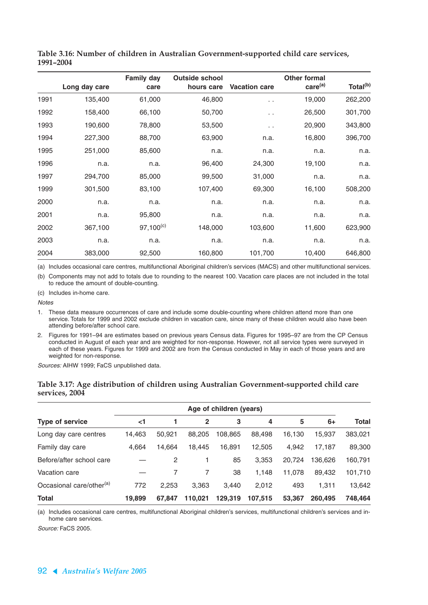|      |               | <b>Family day</b> | <b>Outside school</b> |                      | <b>Other formal</b> |                      |
|------|---------------|-------------------|-----------------------|----------------------|---------------------|----------------------|
|      | Long day care | care              | hours care            | <b>Vacation care</b> | care <sup>(a)</sup> | Total <sup>(b)</sup> |
| 1991 | 135,400       | 61,000            | 46,800                | $\ddotsc$            | 19,000              | 262,200              |
| 1992 | 158,400       | 66,100            | 50,700                | . .                  | 26,500              | 301,700              |
| 1993 | 190,600       | 78,800            | 53,500                | $\ddot{\phantom{1}}$ | 20,900              | 343,800              |
| 1994 | 227,300       | 88,700            | 63,900                | n.a.                 | 16,800              | 396,700              |
| 1995 | 251,000       | 85,600            | n.a.                  | n.a.                 | n.a.                | n.a.                 |
| 1996 | n.a.          | n.a.              | 96,400                | 24,300               | 19,100              | n.a.                 |
| 1997 | 294,700       | 85,000            | 99,500                | 31,000               | n.a.                | n.a.                 |
| 1999 | 301,500       | 83,100            | 107,400               | 69,300               | 16,100              | 508,200              |
| 2000 | n.a.          | n.a.              | n.a.                  | n.a.                 | n.a.                | n.a.                 |
| 2001 | n.a.          | 95,800            | n.a.                  | n.a.                 | n.a.                | n.a.                 |
| 2002 | 367,100       | $97,100^{(c)}$    | 148,000               | 103,600              | 11,600              | 623,900              |
| 2003 | n.a.          | n.a.              | n.a.                  | n.a.                 | n.a.                | n.a.                 |
| 2004 | 383,000       | 92,500            | 160,800               | 101,700              | 10,400              | 646,800              |

**Table 3.16: Number of children in Australian Government-supported child care services, 1991–2004**

(a) Includes occasional care centres, multifunctional Aboriginal children's services (MACS) and other multifunctional services.

(b) Components may not add to totals due to rounding to the nearest 100. Vacation care places are not included in the total to reduce the amount of double-counting.

(c) Includes in-home care.

**Notes** 

- 1. These data measure occurrences of care and include some double-counting where children attend more than one service. Totals for 1999 and 2002 exclude children in vacation care, since many of these children would also have been attending before/after school care.
- 2. Figures for 1991–94 are estimates based on previous years Census data. Figures for 1995–97 are from the CP Census conducted in August of each year and are weighted for non-response. However, not all service types were surveyed in each of these years. Figures for 1999 and 2002 are from the Census conducted in May in each of those years and are weighted for non-response.

Sources: AIHW 1999; FaCS unpublished data.

#### **Table 3.17: Age distribution of children using Australian Government-supported child care services, 2004**

|                                      | Age of children (years) |        |              |         |         |        |         |              |
|--------------------------------------|-------------------------|--------|--------------|---------|---------|--------|---------|--------------|
| Type of service                      | $\leq$ 1                |        | $\mathbf{2}$ | 3       | 4       | 5      | $6+$    | <b>Total</b> |
| Long day care centres                | 14,463                  | 50,921 | 88,205       | 108.865 | 88,498  | 16,130 | 15,937  | 383,021      |
| Family day care                      | 4,664                   | 14.664 | 18.445       | 16.891  | 12,505  | 4.942  | 17.187  | 89,300       |
| Before/after school care             |                         | 2      |              | 85      | 3,353   | 20,724 | 136,626 | 160,791      |
| Vacation care                        |                         |        |              | 38      | 1,148   | 11,078 | 89,432  | 101,710      |
| Occasional care/other <sup>(a)</sup> | 772                     | 2,253  | 3.363        | 3.440   | 2,012   | 493    | 1.311   | 13,642       |
| Total                                | 19,899                  | 67.847 | 110.021      | 129.319 | 107.515 | 53,367 | 260,495 | 748,464      |

(a) Includes occasional care centres, multifunctional Aboriginal children's services, multifunctional children's services and inhome care services.

Source: FaCS 2005.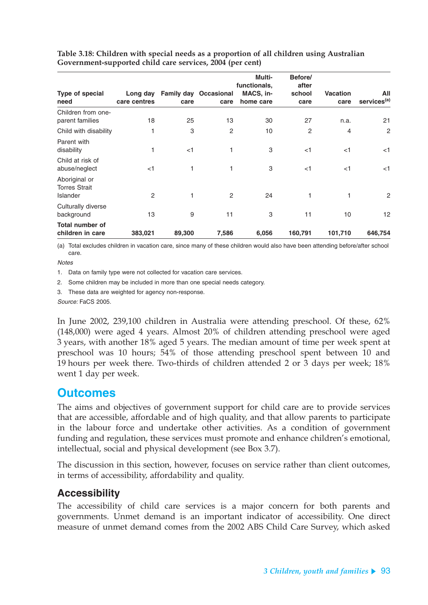|                                                   |              |        |                              | Multi-<br>functionals, | Before/<br>after |                 |                         |
|---------------------------------------------------|--------------|--------|------------------------------|------------------------|------------------|-----------------|-------------------------|
| Type of special                                   | Long day     |        | <b>Family day Occasional</b> | MACS, in-              | school           | <b>Vacation</b> | All                     |
| need                                              | care centres | care   | care                         | home care              | care             | care            | services <sup>(a)</sup> |
| Children from one-<br>parent families             | 18           | 25     | 13                           | 30                     | 27               | n.a.            | 21                      |
| Child with disability                             | 1            | 3      | 2                            | 10                     | 2                | $\overline{4}$  | $\mathbf{2}$            |
| Parent with<br>disability                         |              | $<$ 1  | 1                            | 3                      | $<$ 1            | $<$ 1           | $<$ 1                   |
| Child at risk of<br>abuse/neglect                 | $<$ 1        | 1      | 1                            | 3                      | $<$ 1            | $<$ 1           | <1                      |
| Aboriginal or<br><b>Torres Strait</b><br>Islander | 2            | 1      | 2                            | 24                     | 1                | 1               | $\mathbf{2}$            |
| Culturally diverse<br>background                  | 13           | 9      | 11                           | 3                      | 11               | 10              | 12                      |
| <b>Total number of</b><br>children in care        | 383,021      | 89,300 | 7,586                        | 6,056                  | 160,791          | 101,710         | 646,754                 |

**Table 3.18: Children with special needs as a proportion of all children using Australian Government-supported child care services, 2004 (per cent)**

(a) Total excludes children in vacation care, since many of these children would also have been attending before/after school care.

**Notes** 

1. Data on family type were not collected for vacation care services.

2. Some children may be included in more than one special needs category.

3. These data are weighted for agency non-response.

Source: FaCS 2005.

In June 2002, 239,100 children in Australia were attending preschool. Of these, 62% (148,000) were aged 4 years. Almost 20% of children attending preschool were aged 3 years, with another 18% aged 5 years. The median amount of time per week spent at preschool was 10 hours; 54% of those attending preschool spent between 10 and 19 hours per week there. Two-thirds of children attended 2 or 3 days per week; 18% went 1 day per week.

### **Outcomes**

The aims and objectives of government support for child care are to provide services that are accessible, affordable and of high quality, and that allow parents to participate in the labour force and undertake other activities. As a condition of government funding and regulation, these services must promote and enhance children's emotional, intellectual, social and physical development (see Box 3.7).

The discussion in this section, however, focuses on service rather than client outcomes, in terms of accessibility, affordability and quality.

#### **Accessibility**

The accessibility of child care services is a major concern for both parents and governments. Unmet demand is an important indicator of accessibility. One direct measure of unmet demand comes from the 2002 ABS Child Care Survey, which asked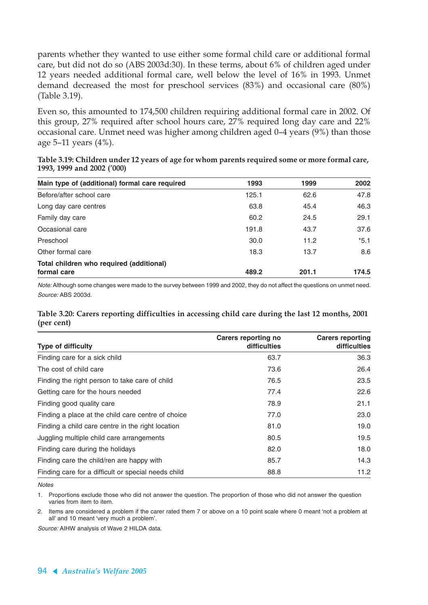parents whether they wanted to use either some formal child care or additional formal care, but did not do so (ABS 2003d:30). In these terms, about 6% of children aged under 12 years needed additional formal care, well below the level of 16% in 1993. Unmet demand decreased the most for preschool services (83%) and occasional care (80%) (Table 3.19).

Even so, this amounted to 174,500 children requiring additional formal care in 2002. Of this group, 27% required after school hours care, 27% required long day care and 22% occasional care. Unmet need was higher among children aged 0–4 years (9%) than those age 5–11 years (4%).

|                            |  | Table 3.19: Children under 12 years of age for whom parents required some or more formal care, |
|----------------------------|--|------------------------------------------------------------------------------------------------|
| 1993, 1999 and 2002 ('000) |  |                                                                                                |

| Main type of (additional) formal care required | 1993  | 1999  | 2002   |
|------------------------------------------------|-------|-------|--------|
| Before/after school care                       | 125.1 | 62.6  | 47.8   |
| Long day care centres                          | 63.8  | 45.4  | 46.3   |
| Family day care                                | 60.2  | 24.5  | 29.1   |
| Occasional care                                | 191.8 | 43.7  | 37.6   |
| Preschool                                      | 30.0  | 11.2  | $*5.1$ |
| Other formal care                              | 18.3  | 13.7  | 8.6    |
| Total children who required (additional)       |       |       |        |
| formal care                                    | 489.2 | 201.1 | 174.5  |

Note: Although some changes were made to the survey between 1999 and 2002, they do not affect the questions on unmet need. Source: ABS 2003d.

#### **Table 3.20: Carers reporting difficulties in accessing child care during the last 12 months, 2001 (per cent)**

|                                                     | Carers reporting no | <b>Carers reporting</b> |
|-----------------------------------------------------|---------------------|-------------------------|
| <b>Type of difficulty</b>                           | difficulties        | difficulties            |
| Finding care for a sick child                       | 63.7                | 36.3                    |
| The cost of child care                              | 73.6                | 26.4                    |
| Finding the right person to take care of child      | 76.5                | 23.5                    |
| Getting care for the hours needed                   | 77.4                | 22.6                    |
| Finding good quality care                           | 78.9                | 21.1                    |
| Finding a place at the child care centre of choice  | 77.0                | 23.0                    |
| Finding a child care centre in the right location   | 81.0                | 19.0                    |
| Juggling multiple child care arrangements           | 80.5                | 19.5                    |
| Finding care during the holidays                    | 82.0                | 18.0                    |
| Finding care the child/ren are happy with           | 85.7                | 14.3                    |
| Finding care for a difficult or special needs child | 88.8                | 11.2                    |

**Notes** 

1. Proportions exclude those who did not answer the question. The proportion of those who did not answer the question varies from item to item.

2. Items are considered a problem if the carer rated them 7 or above on a 10 point scale where 0 meant 'not a problem at all' and 10 meant 'very much a problem'.

Source: AIHW analysis of Wave 2 HILDA data.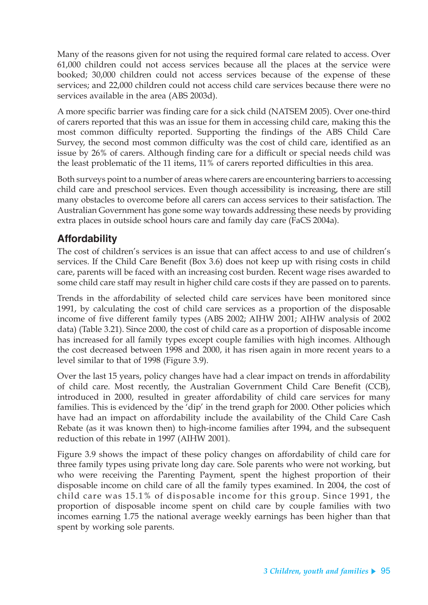Many of the reasons given for not using the required formal care related to access. Over 61,000 children could not access services because all the places at the service were booked; 30,000 children could not access services because of the expense of these services; and 22,000 children could not access child care services because there were no services available in the area (ABS 2003d).

A more specific barrier was finding care for a sick child (NATSEM 2005). Over one-third of carers reported that this was an issue for them in accessing child care, making this the most common difficulty reported. Supporting the findings of the ABS Child Care Survey, the second most common difficulty was the cost of child care, identified as an issue by 26% of carers. Although finding care for a difficult or special needs child was the least problematic of the 11 items, 11% of carers reported difficulties in this area.

Both surveys point to a number of areas where carers are encountering barriers to accessing child care and preschool services. Even though accessibility is increasing, there are still many obstacles to overcome before all carers can access services to their satisfaction. The Australian Government has gone some way towards addressing these needs by providing extra places in outside school hours care and family day care (FaCS 2004a).

### **Affordability**

The cost of children's services is an issue that can affect access to and use of children's services. If the Child Care Benefit (Box 3.6) does not keep up with rising costs in child care, parents will be faced with an increasing cost burden. Recent wage rises awarded to some child care staff may result in higher child care costs if they are passed on to parents.

Trends in the affordability of selected child care services have been monitored since 1991, by calculating the cost of child care services as a proportion of the disposable income of five different family types (ABS 2002; AIHW 2001; AIHW analysis of 2002 data) (Table 3.21). Since 2000, the cost of child care as a proportion of disposable income has increased for all family types except couple families with high incomes. Although the cost decreased between 1998 and 2000, it has risen again in more recent years to a level similar to that of 1998 (Figure 3.9).

Over the last 15 years, policy changes have had a clear impact on trends in affordability of child care. Most recently, the Australian Government Child Care Benefit (CCB), introduced in 2000, resulted in greater affordability of child care services for many families. This is evidenced by the 'dip' in the trend graph for 2000. Other policies which have had an impact on affordability include the availability of the Child Care Cash Rebate (as it was known then) to high-income families after 1994, and the subsequent reduction of this rebate in 1997 (AIHW 2001).

Figure 3.9 shows the impact of these policy changes on affordability of child care for three family types using private long day care. Sole parents who were not working, but who were receiving the Parenting Payment, spent the highest proportion of their disposable income on child care of all the family types examined. In 2004, the cost of child care was 15.1% of disposable income for this group. Since 1991, the proportion of disposable income spent on child care by couple families with two incomes earning 1.75 the national average weekly earnings has been higher than that spent by working sole parents.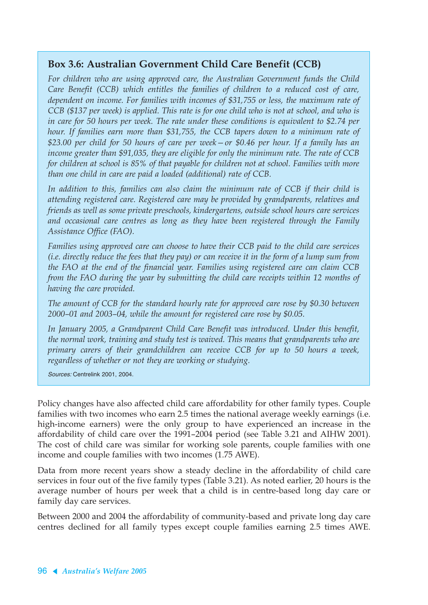### **Box 3.6: Australian Government Child Care Benefit (CCB)**

*For children who are using approved care, the Australian Government funds the Child Care Benefit (CCB) which entitles the families of children to a reduced cost of care, dependent on income. For families with incomes of \$31,755 or less, the maximum rate of CCB (\$137 per week) is applied. This rate is for one child who is not at school, and who is in care for 50 hours per week. The rate under these conditions is equivalent to \$2.74 per hour. If families earn more than \$31,755, the CCB tapers down to a minimum rate of \$23.00 per child for 50 hours of care per week—or \$0.46 per hour. If a family has an income greater than \$91,035, they are eligible for only the minimum rate. The rate of CCB for children at school is 85% of that payable for children not at school. Families with more than one child in care are paid a loaded (additional) rate of CCB.*

*In addition to this, families can also claim the minimum rate of CCB if their child is attending registered care. Registered care may be provided by grandparents, relatives and friends as well as some private preschools, kindergartens, outside school hours care services and occasional care centres as long as they have been registered through the Family Assistance Office (FAO).*

*Families using approved care can choose to have their CCB paid to the child care services (i.e. directly reduce the fees that they pay) or can receive it in the form of a lump sum from the FAO at the end of the financial year. Families using registered care can claim CCB from the FAO during the year by submitting the child care receipts within 12 months of having the care provided.*

*The amount of CCB for the standard hourly rate for approved care rose by \$0.30 between 2000–01 and 2003–04, while the amount for registered care rose by \$0.05.*

*In January 2005, a Grandparent Child Care Benefit was introduced. Under this benefit, the normal work, training and study test is waived. This means that grandparents who are primary carers of their grandchildren can receive CCB for up to 50 hours a week, regardless of whether or not they are working or studying.*

Sources: Centrelink 2001, 2004.

Policy changes have also affected child care affordability for other family types. Couple families with two incomes who earn 2.5 times the national average weekly earnings (i.e. high-income earners) were the only group to have experienced an increase in the affordability of child care over the 1991–2004 period (see Table 3.21 and AIHW 2001). The cost of child care was similar for working sole parents, couple families with one income and couple families with two incomes (1.75 AWE).

Data from more recent years show a steady decline in the affordability of child care services in four out of the five family types (Table 3.21). As noted earlier, 20 hours is the average number of hours per week that a child is in centre-based long day care or family day care services.

Between 2000 and 2004 the affordability of community-based and private long day care centres declined for all family types except couple families earning 2.5 times AWE.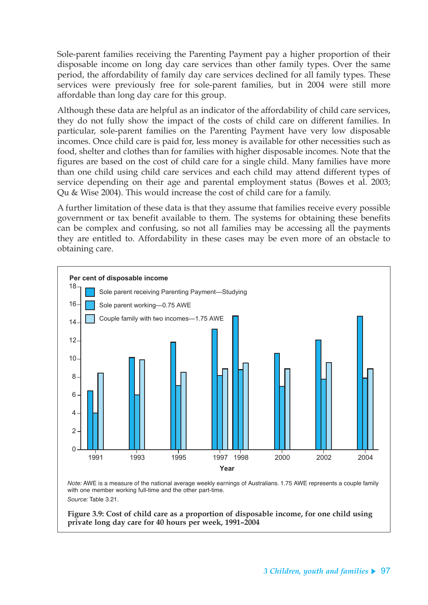Sole-parent families receiving the Parenting Payment pay a higher proportion of their disposable income on long day care services than other family types. Over the same period, the affordability of family day care services declined for all family types. These services were previously free for sole-parent families, but in 2004 were still more affordable than long day care for this group.

Although these data are helpful as an indicator of the affordability of child care services, they do not fully show the impact of the costs of child care on different families. In particular, sole-parent families on the Parenting Payment have very low disposable incomes. Once child care is paid for, less money is available for other necessities such as food, shelter and clothes than for families with higher disposable incomes. Note that the figures are based on the cost of child care for a single child. Many families have more than one child using child care services and each child may attend different types of service depending on their age and parental employment status (Bowes et al. 2003; Qu & Wise 2004). This would increase the cost of child care for a family.

A further limitation of these data is that they assume that families receive every possible government or tax benefit available to them. The systems for obtaining these benefits can be complex and confusing, so not all families may be accessing all the payments they are entitled to. Affordability in these cases may be even more of an obstacle to obtaining care.



*Note:* AWE is a measure of the national average weekly earnings of Australians. 1.75 AWE represents a couple family with one member working full-time and the other part-time. *Source:* Table 3.21.

**Figure 3.9: Cost of child care as a proportion of disposable income, for one child using private long day care for 40 hours per week, 1991–2004**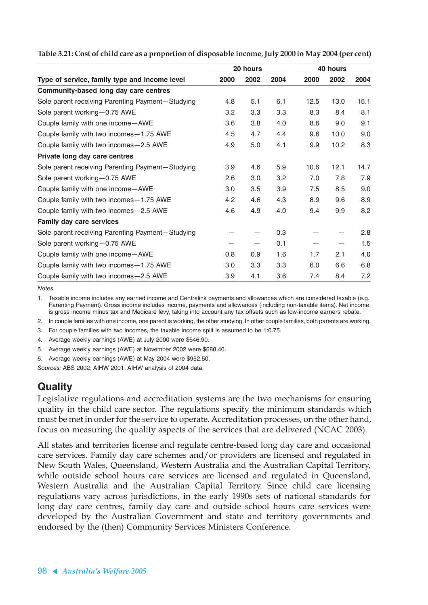|                                                  |      | 20 hours |      |      | 40 hours |      |
|--------------------------------------------------|------|----------|------|------|----------|------|
| Type of service, family type and income level    | 2000 | 2002     | 2004 | 2000 | 2002     | 2004 |
| Community-based long day care centres            |      |          |      |      |          |      |
| Sole parent receiving Parenting Payment-Studying | 4.8  | 5.1      | 6.1  | 12.5 | 13.0     | 15.1 |
| Sole parent working-0.75 AWE                     | 3.2  | 3.3      | 3.3  | 8.3  | 8.4      | 8.1  |
| Couple family with one income-AWE                | 3.6  | 3.8      | 4.0  | 8.6  | 9.0      | 9.1  |
| Couple family with two incomes-1.75 AWE          | 4.5  | 4.7      | 4.4  | 9.6  | 10.0     | 9.0  |
| Couple family with two incomes-2.5 AWE           | 4.9  | 5.0      | 4.1  | 9.9  | 10.2     | 8.3  |
| Private long day care centres                    |      |          |      |      |          |      |
| Sole parent receiving Parenting Payment-Studying | 3.9  | 4.6      | 5.9  | 10.6 | 12.1     | 14.7 |
| Sole parent working-0.75 AWE                     | 2.6  | 3.0      | 3.2  | 7.0  | 7.8      | 7.9  |
| Couple family with one income-AWE                | 3.0  | 3.5      | 3.9  | 7.5  | 8.5      | 9.0  |
| Couple family with two incomes-1.75 AWE          | 4.2  | 4.6      | 4.3  | 8.9  | 9.6      | 8.9  |
| Couple family with two incomes-2.5 AWE           | 4.6  | 4.9      | 4.0  | 9.4  | 9.9      | 8.2  |
| Family day care services                         |      |          |      |      |          |      |
| Sole parent receiving Parenting Payment-Studying |      |          | 0.3  |      |          | 2.8  |
| Sole parent working-0.75 AWE                     |      |          | 0.1  | —    |          | 1.5  |
| Couple family with one income-AWE                | 0.8  | 0.9      | 1.6  | 1.7  | 2.1      | 4.0  |
| Couple family with two incomes - 1.75 AWE        | 3.0  | 3.3      | 3.3  | 6.0  | 6.6      | 6.8  |
| Couple family with two incomes-2.5 AWE           | 3.9  | 4.1      | 3.6  | 7.4  | 8.4      | 7.2  |

Table 3.21: Cost of child care as a proportion of disposable income, July 2000 to May 2004 (per cent)

*Notes*

1. Taxable income includes any earned income and Centrelink payments and allowances which are considered taxable (e.g. Parenting Payment). Gross income includes income, payments and allowances (including non-taxable items). Net income is gross income minus tax and Medicare levy, taking into account any tax offsets such as low-income earners rebate.

2. In couple families with one income, one parent is working, the other studying. In other couple families, both parents are working.

- 3. For couple families with two incomes, the taxable income split is assumed to be 1:0.75.
- 4. Average weekly earnings (AWE) at July 2000 were \$646.90.
- 5. Average weekly earnings (AWE) at November 2002 were \$688.40.
- 6. Average weekly earnings (AWE) at May 2004 were \$952.50.

*Sources:* ABS 2002; AIHW 2001; AIHW analysis of 2004 data.

## **Quality**

Legislative regulations and accreditation systems are the two mechanisms for ensuring quality in the child care sector. The regulations specify the minimum standards which must be met in order for the service to operate. Accreditation processes, on the other hand, focus on measuring the quality aspects of the services that are delivered (NCAC 2003).

All states and territories license and regulate centre-based long day care and occasional care services. Family day care schemes and/or providers are licensed and regulated in New South Wales, Queensland, Western Australia and the Australian Capital Territory, while outside school hours care services are licensed and regulated in Queensland, Western Australia and the Australian Capital Territory. Since child care licensing regulations vary across jurisdictions, in the early 1990s sets of national standards for long day care centres, family day care and outside school hours care services were developed by the Australian Government and state and territory governments and endorsed by the (then) Community Services Ministers Conference.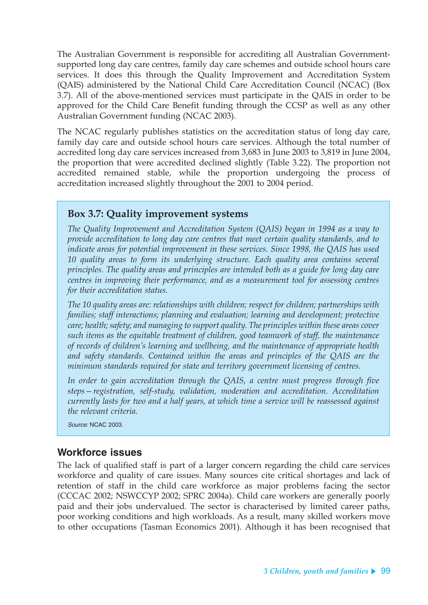The Australian Government is responsible for accrediting all Australian Governmentsupported long day care centres, family day care schemes and outside school hours care services. It does this through the Quality Improvement and Accreditation System (QAIS) administered by the National Child Care Accreditation Council (NCAC) (Box 3.7). All of the above-mentioned services must participate in the QAIS in order to be approved for the Child Care Benefit funding through the CCSP as well as any other Australian Government funding (NCAC 2003).

The NCAC regularly publishes statistics on the accreditation status of long day care, family day care and outside school hours care services. Although the total number of accredited long day care services increased from 3,683 in June 2003 to 3,819 in June 2004, the proportion that were accredited declined slightly (Table 3.22). The proportion not accredited remained stable, while the proportion undergoing the process of accreditation increased slightly throughout the 2001 to 2004 period.

#### **Box 3.7: Quality improvement systems**

*The Quality Improvement and Accreditation System (QAIS) began in 1994 as a way to provide accreditation to long day care centres that meet certain quality standards, and to indicate areas for potential improvement in these services. Since 1998, the QAIS has used 10 quality areas to form its underlying structure. Each quality area contains several principles. The quality areas and principles are intended both as a guide for long day care centres in improving their performance, and as a measurement tool for assessing centres for their accreditation status.*

*The 10 quality areas are: relationships with children; respect for children; partnerships with families; staff interactions; planning and evaluation; learning and development; protective care; health; safety; and managing to support quality. The principles within these areas cover such items as the equitable treatment of children, good teamwork of staff, the maintenance of records of children's learning and wellbeing, and the maintenance of appropriate health and safety standards. Contained within the areas and principles of the QAIS are the minimum standards required for state and territory government licensing of centres.*

*In order to gain accreditation through the QAIS, a centre must progress through five steps—registration, self-study, validation, moderation and accreditation. Accreditation currently lasts for two and a half years, at which time a service will be reassessed against the relevant criteria.*

Source: NCAC 2003.

#### **Workforce issues**

The lack of qualified staff is part of a larger concern regarding the child care services workforce and quality of care issues. Many sources cite critical shortages and lack of retention of staff in the child care workforce as major problems facing the sector (CCCAC 2002; NSWCCYP 2002; SPRC 2004a). Child care workers are generally poorly paid and their jobs undervalued. The sector is characterised by limited career paths, poor working conditions and high workloads. As a result, many skilled workers move to other occupations (Tasman Economics 2001). Although it has been recognised that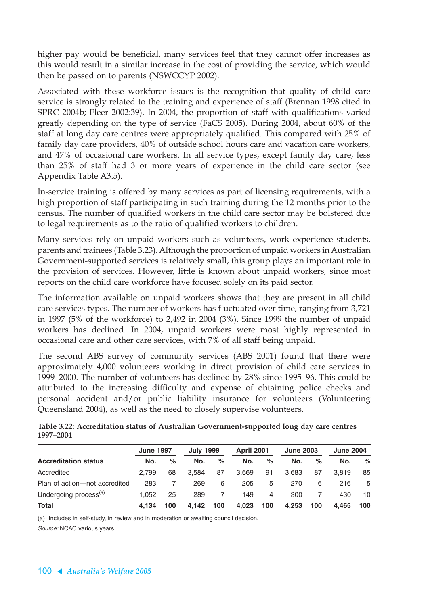higher pay would be beneficial, many services feel that they cannot offer increases as this would result in a similar increase in the cost of providing the service, which would then be passed on to parents (NSWCCYP 2002).

Associated with these workforce issues is the recognition that quality of child care service is strongly related to the training and experience of staff (Brennan 1998 cited in SPRC 2004b; Fleer 2002:39). In 2004, the proportion of staff with qualifications varied greatly depending on the type of service (FaCS 2005). During 2004, about 60% of the staff at long day care centres were appropriately qualified. This compared with 25% of family day care providers, 40% of outside school hours care and vacation care workers, and 47% of occasional care workers. In all service types, except family day care, less than 25% of staff had 3 or more years of experience in the child care sector (see Appendix Table A3.5).

In-service training is offered by many services as part of licensing requirements, with a high proportion of staff participating in such training during the 12 months prior to the census. The number of qualified workers in the child care sector may be bolstered due to legal requirements as to the ratio of qualified workers to children.

Many services rely on unpaid workers such as volunteers, work experience students, parents and trainees (Table 3.23). Although the proportion of unpaid workers in Australian Government-supported services is relatively small, this group plays an important role in the provision of services. However, little is known about unpaid workers, since most reports on the child care workforce have focused solely on its paid sector.

The information available on unpaid workers shows that they are present in all child care services types. The number of workers has fluctuated over time, ranging from 3,721 in 1997 (5% of the workforce) to 2,492 in 2004 (3%). Since 1999 the number of unpaid workers has declined. In 2004, unpaid workers were most highly represented in occasional care and other care services, with 7% of all staff being unpaid.

The second ABS survey of community services (ABS 2001) found that there were approximately 4,000 volunteers working in direct provision of child care services in 1999–2000. The number of volunteers has declined by 28% since 1995–96. This could be attributed to the increasing difficulty and expense of obtaining police checks and personal accident and/or public liability insurance for volunteers (Volunteering Queensland 2004), as well as the need to closely supervise volunteers.

|           |  | Table 3.22: Accreditation status of Australian Government-supported long day care centres |  |
|-----------|--|-------------------------------------------------------------------------------------------|--|
| 1997-2004 |  |                                                                                           |  |

|                                   | <b>June 1997</b> |      | <b>July 1999</b> |      | <b>April 2001</b> |     | <b>June 2003</b> |      | <b>June 2004</b> |      |
|-----------------------------------|------------------|------|------------------|------|-------------------|-----|------------------|------|------------------|------|
| <b>Accreditation status</b>       | No.              | $\%$ | No.              | $\%$ | No.               | %   | No.              | $\%$ | No.              | $\%$ |
| Accredited                        | 2.799            | 68   | 3.584            | 87   | 3.669             | 91  | 3.683            | 87   | 3.819            | 85   |
| Plan of action-not accredited     | 283              |      | 269              | 6    | 205               | 5   | 270              | 6    | 216              | 5    |
| Undergoing process <sup>(a)</sup> | 1.052            | 25   | 289              |      | 149               | 4   | 300              |      | 430              | 10   |
| <b>Total</b>                      | 4.134            | 100  | 4.142            | 100  | 4.023             | 100 | 4,253            | 100  | 4.465            | 100  |

(a) Includes in self-study, in review and in moderation or awaiting council decision.

Source: NCAC various years.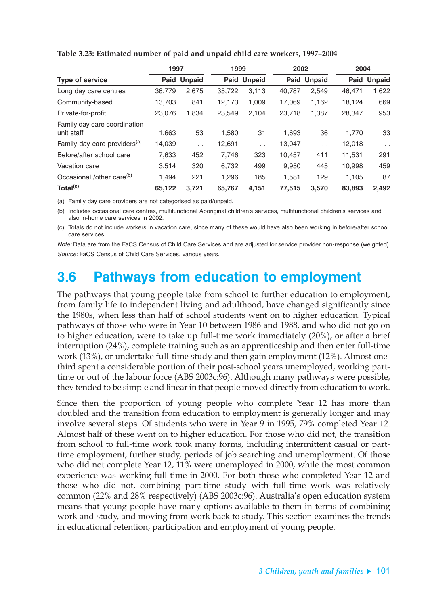|                                            | 1997   |                      | 1999   |                    | 2002   |                    | 2004   |               |
|--------------------------------------------|--------|----------------------|--------|--------------------|--------|--------------------|--------|---------------|
| <b>Type of service</b>                     |        | Paid Unpaid          |        | <b>Paid Unpaid</b> |        | <b>Paid Unpaid</b> |        | Paid Unpaid   |
| Long day care centres                      | 36,779 | 2,675                | 35,722 | 3,113              | 40,787 | 2,549              | 46,471 | 1,622         |
| Community-based                            | 13,703 | 841                  | 12,173 | 1,009              | 17,069 | 1,162              | 18,124 | 669           |
| Private-for-profit                         | 23,076 | 1,834                | 23,549 | 2,104              | 23,718 | 1,387              | 28,347 | 953           |
| Family day care coordination<br>unit staff | 1,663  | 53                   | 1,580  | 31                 | 1,693  | 36                 | 1,770  | 33            |
| Family day care providers <sup>(a)</sup>   | 14,039 | $\ddot{\phantom{0}}$ | 12,691 | $\sim$ $\sim$      | 13,047 | $\sim$             | 12,018 | $\sim$ $\sim$ |
| Before/after school care                   | 7,633  | 452                  | 7,746  | 323                | 10,457 | 411                | 11,531 | 291           |
| Vacation care                              | 3.514  | 320                  | 6,732  | 499                | 9,950  | 445                | 10,998 | 459           |
| Occasional /other care <sup>(b)</sup>      | 1.494  | 221                  | 1,296  | 185                | 1,581  | 129                | 1.105  | 87            |
| Total <sup>(c)</sup>                       | 65.122 | 3.721                | 65,767 | 4.151              | 77.515 | 3.570              | 83,893 | 2.492         |

**Table 3.23: Estimated number of paid and unpaid child care workers, 1997–2004**

(a) Family day care providers are not categorised as paid/unpaid.

(b) Includes occasional care centres, multifunctional Aboriginal children's services, multifunctional children's services and also in-home care services in 2002.

(c) Totals do not include workers in vacation care, since many of these would have also been working in before/after school care services.

Note: Data are from the FaCS Census of Child Care Services and are adjusted for service provider non-response (weighted). Source: FaCS Census of Child Care Services, various years.

# **3.6 Pathways from education to employment**

The pathways that young people take from school to further education to employment, from family life to independent living and adulthood, have changed significantly since the 1980s, when less than half of school students went on to higher education. Typical pathways of those who were in Year 10 between 1986 and 1988, and who did not go on to higher education, were to take up full-time work immediately (20%), or after a brief interruption (24%), complete training such as an apprenticeship and then enter full-time work (13%), or undertake full-time study and then gain employment (12%). Almost onethird spent a considerable portion of their post-school years unemployed, working parttime or out of the labour force (ABS 2003c:96). Although many pathways were possible, they tended to be simple and linear in that people moved directly from education to work.

Since then the proportion of young people who complete Year 12 has more than doubled and the transition from education to employment is generally longer and may involve several steps. Of students who were in Year 9 in 1995, 79% completed Year 12. Almost half of these went on to higher education. For those who did not, the transition from school to full-time work took many forms, including intermittent casual or parttime employment, further study, periods of job searching and unemployment. Of those who did not complete Year 12, 11% were unemployed in 2000, while the most common experience was working full-time in 2000. For both those who completed Year 12 and those who did not, combining part-time study with full-time work was relatively common (22% and 28% respectively) (ABS 2003c:96). Australia's open education system means that young people have many options available to them in terms of combining work and study, and moving from work back to study. This section examines the trends in educational retention, participation and employment of young people.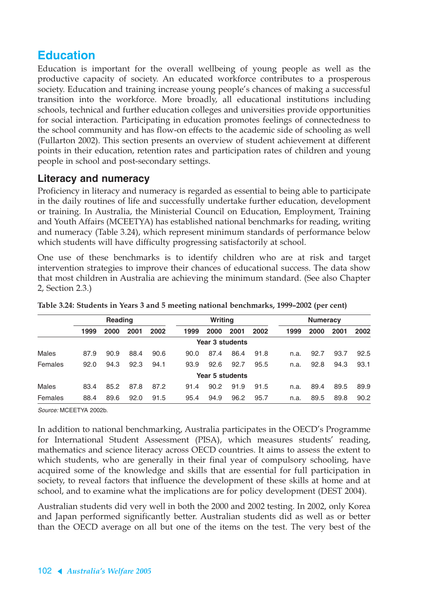## **Education**

Education is important for the overall wellbeing of young people as well as the productive capacity of society. An educated workforce contributes to a prosperous society. Education and training increase young people's chances of making a successful transition into the workforce. More broadly, all educational institutions including schools, technical and further education colleges and universities provide opportunities for social interaction. Participating in education promotes feelings of connectedness to the school community and has flow-on effects to the academic side of schooling as well (Fullarton 2002). This section presents an overview of student achievement at different points in their education, retention rates and participation rates of children and young people in school and post-secondary settings.

### **Literacy and numeracy**

Proficiency in literacy and numeracy is regarded as essential to being able to participate in the daily routines of life and successfully undertake further education, development or training. In Australia, the Ministerial Council on Education, Employment, Training and Youth Affairs (MCEETYA) has established national benchmarks for reading, writing and numeracy (Table 3.24), which represent minimum standards of performance below which students will have difficulty progressing satisfactorily at school.

One use of these benchmarks is to identify children who are at risk and target intervention strategies to improve their chances of educational success. The data show that most children in Australia are achieving the minimum standard. (See also Chapter 2, Section 2.3.)

|              |      | Reading |      |      |      | Writing         |      |      |      | <b>Numeracy</b> |      |      |  |
|--------------|------|---------|------|------|------|-----------------|------|------|------|-----------------|------|------|--|
|              | 1999 | 2000    | 2001 | 2002 | 1999 | 2000            | 2001 | 2002 | 1999 | 2000            | 2001 | 2002 |  |
|              |      |         |      |      |      | Year 3 students |      |      |      |                 |      |      |  |
| <b>Males</b> | 87.9 | 90.9    | 88.4 | 90.6 | 90.0 | 87.4            | 86.4 | 91.8 | n.a. | 92.7            | 93.7 | 92.5 |  |
| Females      | 92.0 | 94.3    | 92.3 | 94.1 | 93.9 | 92.6            | 92.7 | 95.5 | n.a. | 92.8            | 94.3 | 93.1 |  |
|              |      |         |      |      |      | Year 5 students |      |      |      |                 |      |      |  |
| <b>Males</b> | 83.4 | 85.2    | 87.8 | 87.2 | 91.4 | 90.2            | 91.9 | 91.5 | n.a. | 89.4            | 89.5 | 89.9 |  |
| Females      | 88.4 | 89.6    | 92.0 | 91.5 | 95.4 | 94.9            | 96.2 | 95.7 | n.a. | 89.5            | 89.8 | 90.2 |  |

**Table 3.24: Students in Years 3 and 5 meeting national benchmarks, 1999–2002 (per cent)**

Source: MCEETYA 2002b.

In addition to national benchmarking, Australia participates in the OECD's Programme for International Student Assessment (PISA), which measures students' reading, mathematics and science literacy across OECD countries. It aims to assess the extent to which students, who are generally in their final year of compulsory schooling, have acquired some of the knowledge and skills that are essential for full participation in society, to reveal factors that influence the development of these skills at home and at school, and to examine what the implications are for policy development (DEST 2004).

Australian students did very well in both the 2000 and 2002 testing. In 2002, only Korea and Japan performed significantly better. Australian students did as well as or better than the OECD average on all but one of the items on the test. The very best of the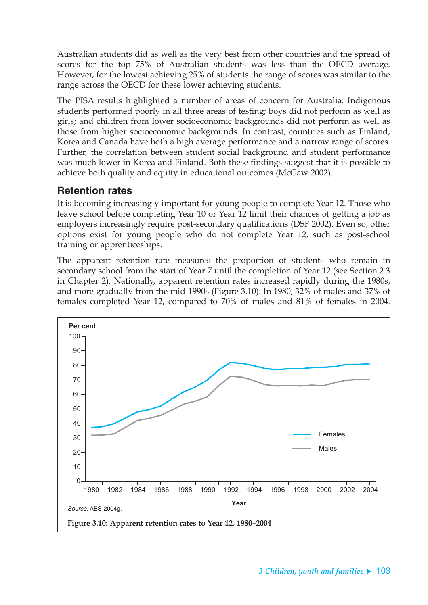Australian students did as well as the very best from other countries and the spread of scores for the top 75% of Australian students was less than the OECD average. However, for the lowest achieving 25% of students the range of scores was similar to the range across the OECD for these lower achieving students.

The PISA results highlighted a number of areas of concern for Australia: Indigenous students performed poorly in all three areas of testing; boys did not perform as well as girls; and children from lower socioeconomic backgrounds did not perform as well as those from higher socioeconomic backgrounds. In contrast, countries such as Finland, Korea and Canada have both a high average performance and a narrow range of scores. Further, the correlation between student social background and student performance was much lower in Korea and Finland. Both these findings suggest that it is possible to achieve both quality and equity in educational outcomes (McGaw 2002).

#### **Retention rates**

It is becoming increasingly important for young people to complete Year 12. Those who leave school before completing Year 10 or Year 12 limit their chances of getting a job as employers increasingly require post-secondary qualifications (DSF 2002). Even so, other options exist for young people who do not complete Year 12, such as post-school training or apprenticeships.

The apparent retention rate measures the proportion of students who remain in secondary school from the start of Year 7 until the completion of Year 12 (see Section 2.3 in Chapter 2). Nationally, apparent retention rates increased rapidly during the 1980s, and more gradually from the mid-1990s (Figure 3.10). In 1980, 32% of males and 37% of females completed Year 12, compared to 70% of males and 81% of females in 2004.

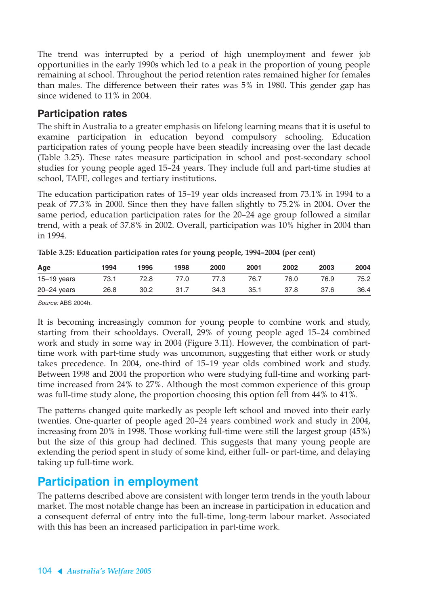The trend was interrupted by a period of high unemployment and fewer job opportunities in the early 1990s which led to a peak in the proportion of young people remaining at school. Throughout the period retention rates remained higher for females than males. The difference between their rates was 5% in 1980. This gender gap has since widened to 11% in 2004.

### **Participation rates**

The shift in Australia to a greater emphasis on lifelong learning means that it is useful to examine participation in education beyond compulsory schooling. Education participation rates of young people have been steadily increasing over the last decade (Table 3.25). These rates measure participation in school and post-secondary school studies for young people aged 15–24 years. They include full and part-time studies at school, TAFE, colleges and tertiary institutions.

The education participation rates of 15–19 year olds increased from 73.1% in 1994 to a peak of 77.3% in 2000. Since then they have fallen slightly to 75.2% in 2004. Over the same period, education participation rates for the 20–24 age group followed a similar trend, with a peak of 37.8% in 2002. Overall, participation was 10% higher in 2004 than in 1994.

| Age             | 1994 | 1996 | 1998 | 2000 | 2001 | 2002 | 2003 | 2004 |
|-----------------|------|------|------|------|------|------|------|------|
| $15 - 19$ years | 73.1 | 72.8 | 77.0 | 77.3 | 76.7 | 76.0 | 76.9 | 75.2 |
| $20 - 24$ years | 26.8 | 30.2 | 31.7 | 34.3 | 35.1 | 37.8 | 37.6 | 36.4 |

**Table 3.25: Education participation rates for young people, 1994–2004 (per cent)**

Source: ABS 2004h.

It is becoming increasingly common for young people to combine work and study, starting from their schooldays. Overall, 29% of young people aged 15–24 combined work and study in some way in 2004 (Figure 3.11). However, the combination of parttime work with part-time study was uncommon, suggesting that either work or study takes precedence. In 2004, one-third of 15–19 year olds combined work and study. Between 1998 and 2004 the proportion who were studying full-time and working parttime increased from 24% to 27%. Although the most common experience of this group was full-time study alone, the proportion choosing this option fell from 44% to 41%.

The patterns changed quite markedly as people left school and moved into their early twenties. One-quarter of people aged 20–24 years combined work and study in 2004, increasing from 20% in 1998. Those working full-time were still the largest group (45%) but the size of this group had declined. This suggests that many young people are extending the period spent in study of some kind, either full- or part-time, and delaying taking up full-time work.

## **Participation in employment**

The patterns described above are consistent with longer term trends in the youth labour market. The most notable change has been an increase in participation in education and a consequent deferral of entry into the full-time, long-term labour market. Associated with this has been an increased participation in part-time work.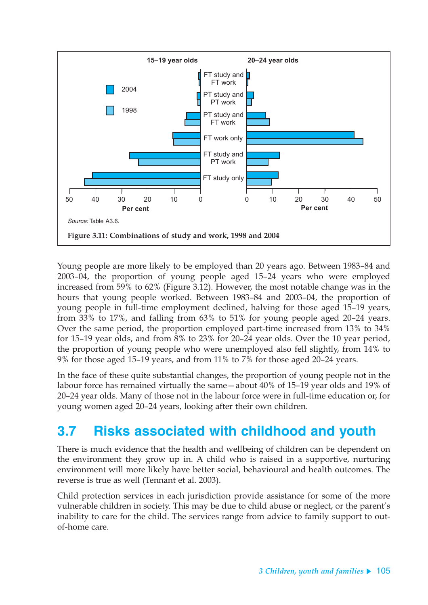

Young people are more likely to be employed than 20 years ago. Between 1983–84 and 2003–04, the proportion of young people aged 15–24 years who were employed increased from 59% to 62% (Figure 3.12). However, the most notable change was in the hours that young people worked. Between 1983–84 and 2003–04, the proportion of young people in full-time employment declined, halving for those aged 15–19 years, from 33% to 17%, and falling from 63% to 51% for young people aged 20–24 years. Over the same period, the proportion employed part-time increased from 13% to 34% for 15–19 year olds, and from 8% to 23% for 20–24 year olds. Over the 10 year period, the proportion of young people who were unemployed also fell slightly, from 14% to 9% for those aged 15–19 years, and from 11% to 7% for those aged 20–24 years.

In the face of these quite substantial changes, the proportion of young people not in the labour force has remained virtually the same—about 40% of 15–19 year olds and 19% of 20–24 year olds. Many of those not in the labour force were in full-time education or, for young women aged 20–24 years, looking after their own children.

# **3.7 Risks associated with childhood and youth**

There is much evidence that the health and wellbeing of children can be dependent on the environment they grow up in. A child who is raised in a supportive, nurturing environment will more likely have better social, behavioural and health outcomes. The reverse is true as well (Tennant et al. 2003).

Child protection services in each jurisdiction provide assistance for some of the more vulnerable children in society. This may be due to child abuse or neglect, or the parent's inability to care for the child. The services range from advice to family support to outof-home care.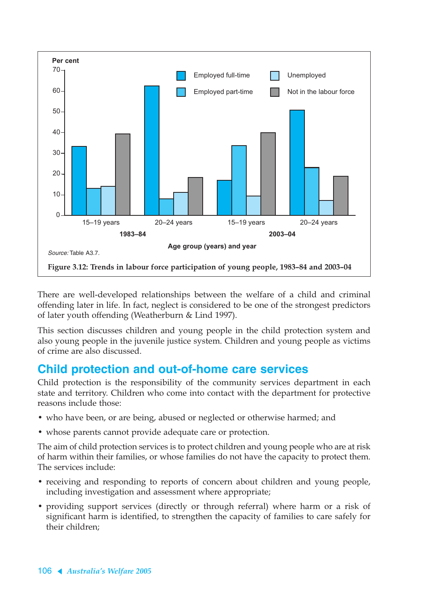

There are well-developed relationships between the welfare of a child and criminal offending later in life. In fact, neglect is considered to be one of the strongest predictors of later youth offending (Weatherburn & Lind 1997).

This section discusses children and young people in the child protection system and also young people in the juvenile justice system. Children and young people as victims of crime are also discussed.

## **Child protection and out-of-home care services**

Child protection is the responsibility of the community services department in each state and territory. Children who come into contact with the department for protective reasons include those:

- who have been, or are being, abused or neglected or otherwise harmed; and
- whose parents cannot provide adequate care or protection.

The aim of child protection services is to protect children and young people who are at risk of harm within their families, or whose families do not have the capacity to protect them. The services include:

- receiving and responding to reports of concern about children and young people, including investigation and assessment where appropriate;
- providing support services (directly or through referral) where harm or a risk of significant harm is identified, to strengthen the capacity of families to care safely for their children;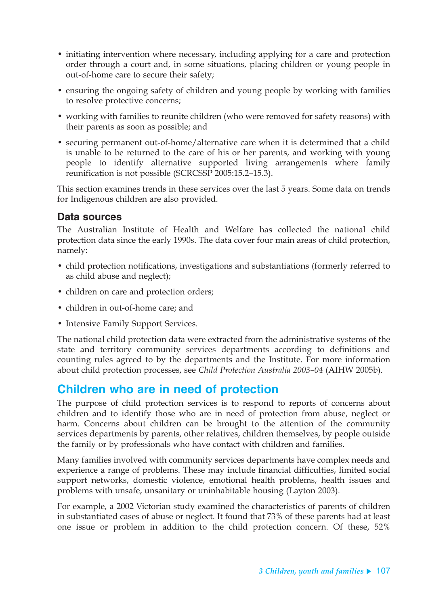- initiating intervention where necessary, including applying for a care and protection order through a court and, in some situations, placing children or young people in out-of-home care to secure their safety;
- ensuring the ongoing safety of children and young people by working with families to resolve protective concerns;
- working with families to reunite children (who were removed for safety reasons) with their parents as soon as possible; and
- securing permanent out-of-home/alternative care when it is determined that a child is unable to be returned to the care of his or her parents, and working with young people to identify alternative supported living arrangements where family reunification is not possible (SCRCSSP 2005:15.2–15.3).

This section examines trends in these services over the last 5 years. Some data on trends for Indigenous children are also provided.

## **Data sources**

The Australian Institute of Health and Welfare has collected the national child protection data since the early 1990s. The data cover four main areas of child protection, namely:

- child protection notifications, investigations and substantiations (formerly referred to as child abuse and neglect);
- children on care and protection orders;
- children in out-of-home care; and
- Intensive Family Support Services.

The national child protection data were extracted from the administrative systems of the state and territory community services departments according to definitions and counting rules agreed to by the departments and the Institute. For more information about child protection processes, see *Child Protection Australia 2003–04* (AIHW 2005b).

## **Children who are in need of protection**

The purpose of child protection services is to respond to reports of concerns about children and to identify those who are in need of protection from abuse, neglect or harm. Concerns about children can be brought to the attention of the community services departments by parents, other relatives, children themselves, by people outside the family or by professionals who have contact with children and families.

Many families involved with community services departments have complex needs and experience a range of problems. These may include financial difficulties, limited social support networks, domestic violence, emotional health problems, health issues and problems with unsafe, unsanitary or uninhabitable housing (Layton 2003).

For example, a 2002 Victorian study examined the characteristics of parents of children in substantiated cases of abuse or neglect. It found that 73% of these parents had at least one issue or problem in addition to the child protection concern. Of these, 52%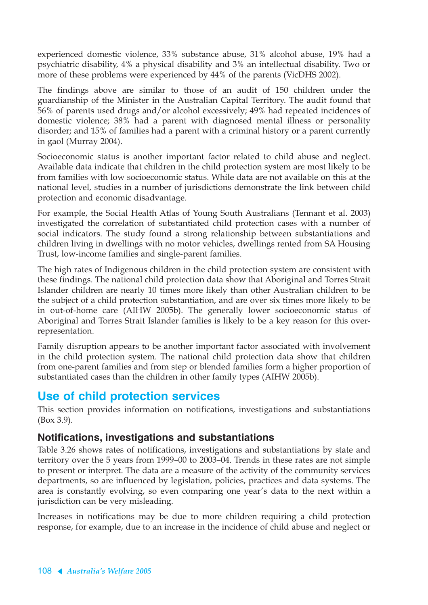experienced domestic violence, 33% substance abuse, 31% alcohol abuse, 19% had a psychiatric disability, 4% a physical disability and 3% an intellectual disability. Two or more of these problems were experienced by 44% of the parents (VicDHS 2002).

The findings above are similar to those of an audit of 150 children under the guardianship of the Minister in the Australian Capital Territory. The audit found that 56% of parents used drugs and/or alcohol excessively; 49% had repeated incidences of domestic violence; 38% had a parent with diagnosed mental illness or personality disorder; and 15% of families had a parent with a criminal history or a parent currently in gaol (Murray 2004).

Socioeconomic status is another important factor related to child abuse and neglect. Available data indicate that children in the child protection system are most likely to be from families with low socioeconomic status. While data are not available on this at the national level, studies in a number of jurisdictions demonstrate the link between child protection and economic disadvantage.

For example, the Social Health Atlas of Young South Australians (Tennant et al. 2003) investigated the correlation of substantiated child protection cases with a number of social indicators. The study found a strong relationship between substantiations and children living in dwellings with no motor vehicles, dwellings rented from SA Housing Trust, low-income families and single-parent families.

The high rates of Indigenous children in the child protection system are consistent with these findings. The national child protection data show that Aboriginal and Torres Strait Islander children are nearly 10 times more likely than other Australian children to be the subject of a child protection substantiation, and are over six times more likely to be in out-of-home care (AIHW 2005b). The generally lower socioeconomic status of Aboriginal and Torres Strait Islander families is likely to be a key reason for this overrepresentation.

Family disruption appears to be another important factor associated with involvement in the child protection system. The national child protection data show that children from one-parent families and from step or blended families form a higher proportion of substantiated cases than the children in other family types (AIHW 2005b).

## **Use of child protection services**

This section provides information on notifications, investigations and substantiations (Box 3.9).

#### **Notifications, investigations and substantiations**

Table 3.26 shows rates of notifications, investigations and substantiations by state and territory over the 5 years from 1999–00 to 2003–04. Trends in these rates are not simple to present or interpret. The data are a measure of the activity of the community services departments, so are influenced by legislation, policies, practices and data systems. The area is constantly evolving, so even comparing one year's data to the next within a jurisdiction can be very misleading.

Increases in notifications may be due to more children requiring a child protection response, for example, due to an increase in the incidence of child abuse and neglect or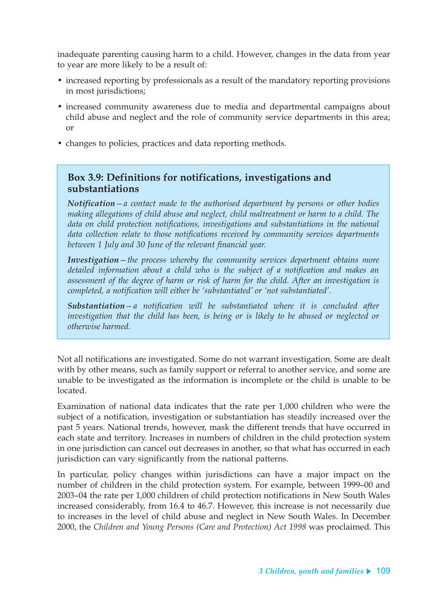inadequate parenting causing harm to a child. However, changes in the data from year to year are more likely to be a result of:

- increased reporting by professionals as a result of the mandatory reporting provisions in most jurisdictions;
- increased community awareness due to media and departmental campaigns about child abuse and neglect and the role of community service departments in this area; or
- changes to policies, practices and data reporting methods.

### **Box 3.9: Definitions for notifications, investigations and substantiations**

*Notification—a contact made to the authorised department by persons or other bodies making allegations of child abuse and neglect, child maltreatment or harm to a child. The data on child protection notifications, investigations and substantiations in the national data collection relate to those notifications received by community services departments between 1 July and 30 June of the relevant financial year.*

*Investigation—the process whereby the community services department obtains more detailed information about a child who is the subject of a notification and makes an assessment of the degree of harm or risk of harm for the child. After an investigation is completed, a notification will either be 'substantiated' or 'not substantiated'.*

*Substantiation—a notification will be substantiated where it is concluded after investigation that the child has been, is being or is likely to be abused or neglected or otherwise harmed.*

Not all notifications are investigated. Some do not warrant investigation. Some are dealt with by other means, such as family support or referral to another service, and some are unable to be investigated as the information is incomplete or the child is unable to be located.

Examination of national data indicates that the rate per 1,000 children who were the subject of a notification, investigation or substantiation has steadily increased over the past 5 years. National trends, however, mask the different trends that have occurred in each state and territory. Increases in numbers of children in the child protection system in one jurisdiction can cancel out decreases in another, so that what has occurred in each jurisdiction can vary significantly from the national patterns.

In particular, policy changes within jurisdictions can have a major impact on the number of children in the child protection system. For example, between 1999–00 and 2003–04 the rate per 1,000 children of child protection notifications in New South Wales increased considerably, from 16.4 to 46.7. However, this increase is not necessarily due to increases in the level of child abuse and neglect in New South Wales. In December 2000, the *Children and Young Persons (Care and Protection) Act 1998* was proclaimed. This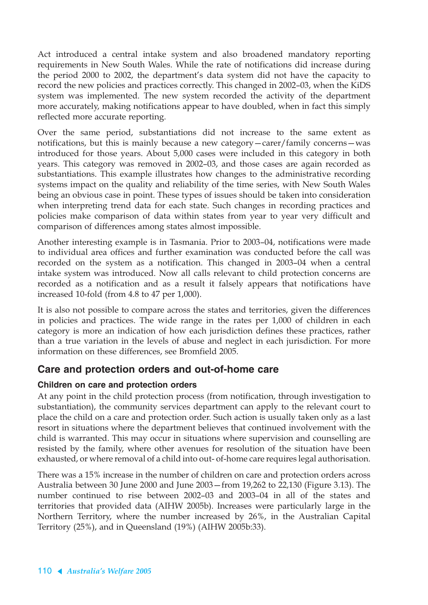Act introduced a central intake system and also broadened mandatory reporting requirements in New South Wales. While the rate of notifications did increase during the period 2000 to 2002, the department's data system did not have the capacity to record the new policies and practices correctly. This changed in 2002–03, when the KiDS system was implemented. The new system recorded the activity of the department more accurately, making notifications appear to have doubled, when in fact this simply reflected more accurate reporting.

Over the same period, substantiations did not increase to the same extent as notifications, but this is mainly because a new category—carer/family concerns—was introduced for those years. About 5,000 cases were included in this category in both years. This category was removed in 2002–03, and those cases are again recorded as substantiations. This example illustrates how changes to the administrative recording systems impact on the quality and reliability of the time series, with New South Wales being an obvious case in point. These types of issues should be taken into consideration when interpreting trend data for each state. Such changes in recording practices and policies make comparison of data within states from year to year very difficult and comparison of differences among states almost impossible.

Another interesting example is in Tasmania. Prior to 2003–04, notifications were made to individual area offices and further examination was conducted before the call was recorded on the system as a notification. This changed in 2003–04 when a central intake system was introduced. Now all calls relevant to child protection concerns are recorded as a notification and as a result it falsely appears that notifications have increased 10-fold (from 4.8 to 47 per 1,000).

It is also not possible to compare across the states and territories, given the differences in policies and practices. The wide range in the rates per 1,000 of children in each category is more an indication of how each jurisdiction defines these practices, rather than a true variation in the levels of abuse and neglect in each jurisdiction. For more information on these differences, see Bromfield 2005.

## **Care and protection orders and out-of-home care**

#### **Children on care and protection orders**

At any point in the child protection process (from notification, through investigation to substantiation), the community services department can apply to the relevant court to place the child on a care and protection order. Such action is usually taken only as a last resort in situations where the department believes that continued involvement with the child is warranted. This may occur in situations where supervision and counselling are resisted by the family, where other avenues for resolution of the situation have been exhausted, or where removal of a child into out- of-home care requires legal authorisation.

There was a 15% increase in the number of children on care and protection orders across Australia between 30 June 2000 and June 2003—from 19,262 to 22,130 (Figure 3.13). The number continued to rise between 2002–03 and 2003–04 in all of the states and territories that provided data (AIHW 2005b). Increases were particularly large in the Northern Territory, where the number increased by 26%, in the Australian Capital Territory (25%), and in Queensland (19%) (AIHW 2005b:33).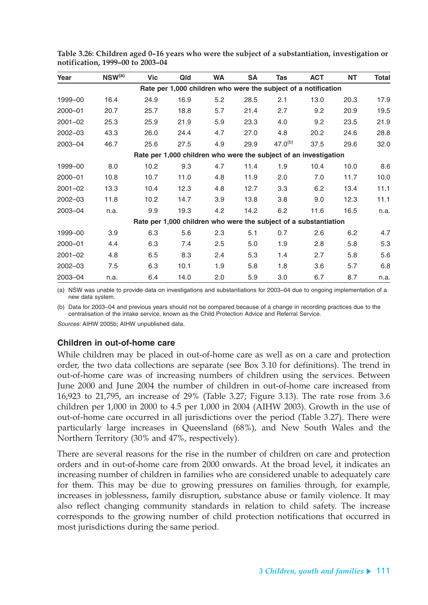| Year        | $NSW^{(a)}$ | Vic  | Qld  | <b>WA</b> | SA   | <b>Tas</b>                                                       | <b>ACT</b> | NT   | <b>Total</b> |
|-------------|-------------|------|------|-----------|------|------------------------------------------------------------------|------------|------|--------------|
|             |             |      |      |           |      | Rate per 1,000 children who were the subject of a notification   |            |      |              |
| 1999-00     | 16.4        | 24.9 | 16.9 | 5.2       | 28.5 | 2.1                                                              | 13.0       | 20.3 | 17.9         |
| 2000-01     | 20.7        | 25.7 | 18.8 | 5.7       | 21.4 | 2.7                                                              | 9.2        | 20.9 | 19.5         |
| $2001 - 02$ | 25.3        | 25.9 | 21.9 | 5.9       | 23.3 | 4.0                                                              | 9.2        | 23.5 | 21.9         |
| $2002 - 03$ | 43.3        | 26.0 | 24.4 | 4.7       | 27.0 | 4.8                                                              | 20.2       | 24.6 | 28.8         |
| 2003-04     | 46.7        | 25.6 | 27.5 | 4.9       | 29.9 | $47.0^{(b)}$                                                     | 37.5       | 29.6 | 32.0         |
|             |             |      |      |           |      | Rate per 1,000 children who were the subject of an investigation |            |      |              |
| 1999-00     | 8.0         | 10.2 | 9.3  | 4.7       | 11.4 | 1.9                                                              | 10.4       | 10.0 | 8.6          |
| 2000-01     | 10.8        | 10.7 | 11.0 | 4.8       | 11.9 | 2.0                                                              | 7.0        | 11.7 | 10.0         |
| $2001 - 02$ | 13.3        | 10.4 | 12.3 | 4.8       | 12.7 | 3.3                                                              | 6.2        | 13.4 | 11.1         |
| $2002 - 03$ | 11.8        | 10.2 | 14.7 | 3.9       | 13.8 | 3.8                                                              | 9.0        | 12.3 | 11.1         |
| 2003-04     | n.a.        | 9.9  | 19.3 | 4.2       | 14.2 | 6.2                                                              | 11.6       | 16.5 | n.a.         |
|             |             |      |      |           |      | Rate per 1,000 children who were the subject of a substantiation |            |      |              |
| 1999-00     | 3.9         | 6.3  | 5.6  | 2.3       | 5.1  | 0.7                                                              | 2.6        | 6.2  | 4.7          |
| 2000-01     | 4.4         | 6.3  | 7.4  | $2.5\,$   | 5.0  | 1.9                                                              | 2.8        | 5.8  | 5.3          |
| $2001 - 02$ | 4.8         | 6.5  | 8.3  | 2.4       | 5.3  | 1.4                                                              | 2.7        | 5.8  | 5.6          |
| $2002 - 03$ | 7.5         | 6.3  | 10.1 | 1.9       | 5.8  | 1.8                                                              | 3.6        | 5.7  | 6.8          |
| 2003-04     | n.a.        | 6.4  | 14.0 | 2.0       | 5.9  | 3.0                                                              | 6.7        | 8.7  | n.a.         |

**Table 3.26: Children aged 0–16 years who were the subject of a substantiation, investigation or notification, 1999–00 to 2003–04**

(a) NSW was unable to provide data on investigations and substantiations for 2003–04 due to ongoing implementation of a new data system.

(b) Data for 2003–04 and previous years should not be compared because of a change in recording practices due to the centralisation of the intake service, known as the Child Protection Advice and Referral Service.

Sources: AIHW 2005b; AIHW unpublished data.

#### **Children in out-of-home care**

While children may be placed in out-of-home care as well as on a care and protection order, the two data collections are separate (see Box 3.10 for definitions). The trend in out-of-home care was of increasing numbers of children using the services. Between June 2000 and June 2004 the number of children in out-of-home care increased from 16,923 to 21,795, an increase of 29% (Table 3.27; Figure 3.13). The rate rose from 3.6 children per 1,000 in 2000 to 4.5 per 1,000 in 2004 (AIHW 2003). Growth in the use of out-of-home care occurred in all jurisdictions over the period (Table 3.27). There were particularly large increases in Queensland (68%), and New South Wales and the Northern Territory (30% and 47%, respectively).

There are several reasons for the rise in the number of children on care and protection orders and in out-of-home care from 2000 onwards. At the broad level, it indicates an increasing number of children in families who are considered unable to adequately care for them. This may be due to growing pressures on families through, for example, increases in joblessness, family disruption, substance abuse or family violence. It may also reflect changing community standards in relation to child safety. The increase corresponds to the growing number of child protection notifications that occurred in most jurisdictions during the same period.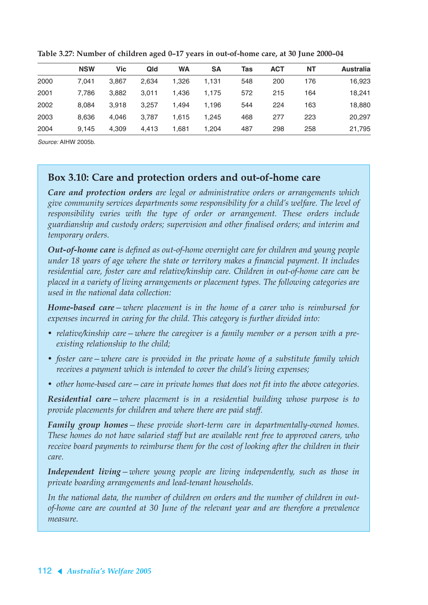|      | <b>NSW</b> | <b>Vic</b> | Qld   | <b>WA</b> | SΑ    | Tas | <b>ACT</b> | <b>NT</b> | <b>Australia</b> |
|------|------------|------------|-------|-----------|-------|-----|------------|-----------|------------------|
| 2000 | 7.041      | 3,867      | 2.634 | 1.326     | 1,131 | 548 | 200        | 176       | 16,923           |
| 2001 | 7.786      | 3,882      | 3.011 | 1.436     | 1.175 | 572 | 215        | 164       | 18.241           |
| 2002 | 8.084      | 3.918      | 3.257 | 1.494     | 1.196 | 544 | 224        | 163       | 18,880           |
| 2003 | 8.636      | 4.046      | 3.787 | 1.615     | 1.245 | 468 | 277        | 223       | 20,297           |
| 2004 | 9.145      | 4,309      | 4,413 | 1,681     | 1,204 | 487 | 298        | 258       | 21,795           |

**Table 3.27: Number of children aged 0–17 years in out-of-home care, at 30 June 2000–04**

Source: AIHW 2005b.

#### **Box 3.10: Care and protection orders and out-of-home care**

*Care and protection orders are legal or administrative orders or arrangements which give community services departments some responsibility for a child's welfare. The level of responsibility varies with the type of order or arrangement. These orders include guardianship and custody orders; supervision and other finalised orders; and interim and temporary orders.*

*Out-of-home care is defined as out-of-home overnight care for children and young people under 18 years of age where the state or territory makes a financial payment. It includes residential care, foster care and relative/kinship care. Children in out-of-home care can be placed in a variety of living arrangements or placement types. The following categories are used in the national data collection:*

*Home-based care—where placement is in the home of a carer who is reimbursed for expenses incurred in caring for the child. This category is further divided into:*

- *relative/kinship care—where the caregiver is a family member or a person with a preexisting relationship to the child;*
- *foster care—where care is provided in the private home of a substitute family which receives a payment which is intended to cover the child's living expenses;*
- *other home-based care—care in private homes that does not fit into the above categories.*

*Residential care—where placement is in a residential building whose purpose is to provide placements for children and where there are paid staff.*

*Family group homes—these provide short-term care in departmentally-owned homes. These homes do not have salaried staff but are available rent free to approved carers, who receive board payments to reimburse them for the cost of looking after the children in their care.*

*Independent living—where young people are living independently, such as those in private boarding arrangements and lead-tenant households.*

*In the national data, the number of children on orders and the number of children in outof-home care are counted at 30 June of the relevant year and are therefore a prevalence measure.*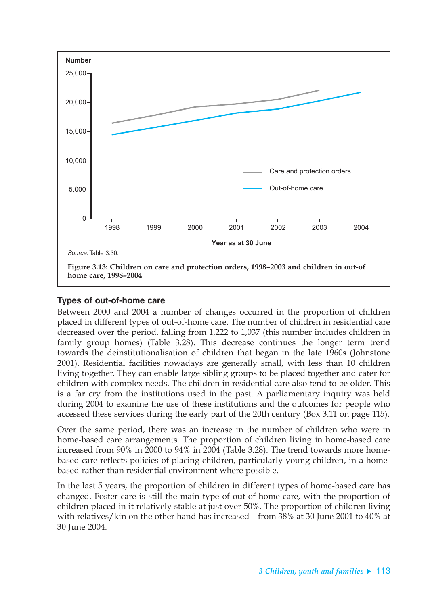

#### **Types of out-of-home care**

Between 2000 and 2004 a number of changes occurred in the proportion of children placed in different types of out-of-home care. The number of children in residential care decreased over the period, falling from 1,222 to 1,037 (this number includes children in family group homes) (Table 3.28). This decrease continues the longer term trend towards the deinstitutionalisation of children that began in the late 1960s (Johnstone 2001). Residential facilities nowadays are generally small, with less than 10 children living together. They can enable large sibling groups to be placed together and cater for children with complex needs. The children in residential care also tend to be older. This is a far cry from the institutions used in the past. A parliamentary inquiry was held during 2004 to examine the use of these institutions and the outcomes for people who accessed these services during the early part of the 20th century (Box 3.11 on page 115).

Over the same period, there was an increase in the number of children who were in home-based care arrangements. The proportion of children living in home-based care increased from 90% in 2000 to 94% in 2004 (Table 3.28). The trend towards more homebased care reflects policies of placing children, particularly young children, in a homebased rather than residential environment where possible.

In the last 5 years, the proportion of children in different types of home-based care has changed. Foster care is still the main type of out-of-home care, with the proportion of children placed in it relatively stable at just over 50%. The proportion of children living with relatives/kin on the other hand has increased—from 38% at 30 June 2001 to 40% at 30 June 2004.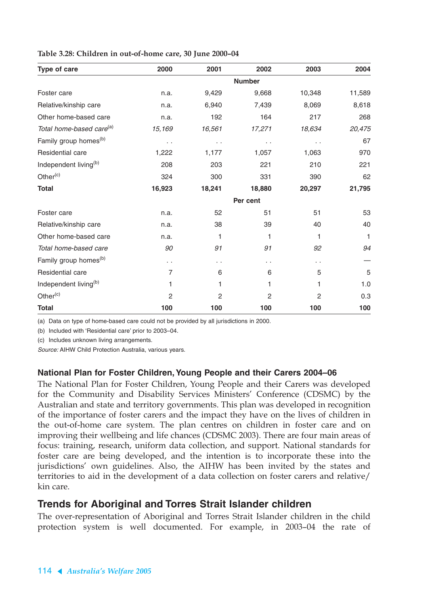| Type of care                         | 2000                 | 2001                 | 2002           | 2003                 | 2004   |
|--------------------------------------|----------------------|----------------------|----------------|----------------------|--------|
|                                      |                      |                      | <b>Number</b>  |                      |        |
| Foster care                          | n.a.                 | 9,429                | 9,668          | 10,348               | 11,589 |
| Relative/kinship care                | n.a.                 | 6,940                | 7,439          | 8,069                | 8,618  |
| Other home-based care                | n.a.                 | 192                  | 164            | 217                  | 268    |
| Total home-based care <sup>(a)</sup> | 15,169               | 16,561               | 17,271         | 18,634               | 20,475 |
| Family group homes <sup>(b)</sup>    | $\sim$ $\sim$        | $\ddotsc$            | $\sim$ $\sim$  | $\ddot{\phantom{0}}$ | 67     |
| Residential care                     | 1,222                | 1,177                | 1,057          | 1,063                | 970    |
| Independent living <sup>(b)</sup>    | 208                  | 203                  | 221            | 210                  | 221    |
| Other <sup>(c)</sup>                 | 324                  | 300                  | 331            | 390                  | 62     |
| <b>Total</b>                         | 16,923               | 18,241               | 18,880         | 20,297               | 21,795 |
|                                      |                      |                      | Per cent       |                      |        |
| Foster care                          | n.a.                 | 52                   | 51             | 51                   | 53     |
| Relative/kinship care                | n.a.                 | 38                   | 39             | 40                   | 40     |
| Other home-based care                | n.a.                 | 1                    | 1              | 1                    | 1      |
| Total home-based care                | 90                   | 91                   | 91             | 92                   | 94     |
| Family group homes <sup>(b)</sup>    | $\ddot{\phantom{0}}$ | $\ddot{\phantom{0}}$ | . .            | $\ddot{\phantom{0}}$ |        |
| Residential care                     | 7                    | 6                    | 6              | 5                    | 5      |
| Independent living <sup>(b)</sup>    | 1                    | 1                    | 1              | 1                    | 1.0    |
| Other <sup>(c)</sup>                 | $\overline{c}$       | $\overline{2}$       | $\overline{c}$ | 2                    | 0.3    |
| <b>Total</b>                         | 100                  | 100                  | 100            | 100                  | 100    |

**Table 3.28: Children in out-of-home care, 30 June 2000–04**

(a) Data on type of home-based care could not be provided by all jurisdictions in 2000.

(b) Included with 'Residential care' prior to 2003–04.

(c) Includes unknown living arrangements.

Source: AIHW Child Protection Australia, various years.

#### **National Plan for Foster Children, Young People and their Carers 2004–06**

The National Plan for Foster Children, Young People and their Carers was developed for the Community and Disability Services Ministers' Conference (CDSMC) by the Australian and state and territory governments. This plan was developed in recognition of the importance of foster carers and the impact they have on the lives of children in the out-of-home care system. The plan centres on children in foster care and on improving their wellbeing and life chances (CDSMC 2003). There are four main areas of focus: training, research, uniform data collection, and support. National standards for foster care are being developed, and the intention is to incorporate these into the jurisdictions' own guidelines. Also, the AIHW has been invited by the states and territories to aid in the development of a data collection on foster carers and relative/ kin care.

#### **Trends for Aboriginal and Torres Strait Islander children**

The over-representation of Aboriginal and Torres Strait Islander children in the child protection system is well documented. For example, in 2003–04 the rate of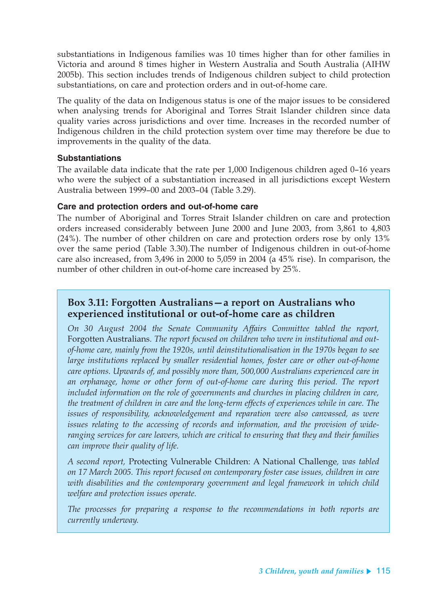substantiations in Indigenous families was 10 times higher than for other families in Victoria and around 8 times higher in Western Australia and South Australia (AIHW 2005b). This section includes trends of Indigenous children subject to child protection substantiations, on care and protection orders and in out-of-home care.

The quality of the data on Indigenous status is one of the major issues to be considered when analysing trends for Aboriginal and Torres Strait Islander children since data quality varies across jurisdictions and over time. Increases in the recorded number of Indigenous children in the child protection system over time may therefore be due to improvements in the quality of the data.

#### **Substantiations**

The available data indicate that the rate per 1,000 Indigenous children aged 0–16 years who were the subject of a substantiation increased in all jurisdictions except Western Australia between 1999–00 and 2003–04 (Table 3.29).

#### **Care and protection orders and out-of-home care**

The number of Aboriginal and Torres Strait Islander children on care and protection orders increased considerably between June 2000 and June 2003, from 3,861 to 4,803 (24%). The number of other children on care and protection orders rose by only 13% over the same period (Table 3.30).The number of Indigenous children in out-of-home care also increased, from 3,496 in 2000 to 5,059 in 2004 (a 45% rise). In comparison, the number of other children in out-of-home care increased by 25%.

### **Box 3.11: Forgotten Australians—a report on Australians who experienced institutional or out-of-home care as children**

*On 30 August 2004 the Senate Community Affairs Committee tabled the report,* Forgotten Australians*. The report focused on children who were in institutional and outof-home care, mainly from the 1920s, until deinstitutionalisation in the 1970s began to see large institutions replaced by smaller residential homes, foster care or other out-of-home care options. Upwards of, and possibly more than, 500,000 Australians experienced care in an orphanage, home or other form of out-of-home care during this period. The report included information on the role of governments and churches in placing children in care, the treatment of children in care and the long-term effects of experiences while in care. The issues of responsibility, acknowledgement and reparation were also canvassed, as were issues relating to the accessing of records and information, and the provision of wideranging services for care leavers, which are critical to ensuring that they and their families can improve their quality of life.* 

*A second report,* Protecting Vulnerable Children: A National Challenge*, was tabled on 17 March 2005. This report focused on contemporary foster case issues, children in care with disabilities and the contemporary government and legal framework in which child welfare and protection issues operate.* 

*The processes for preparing a response to the recommendations in both reports are currently underway.*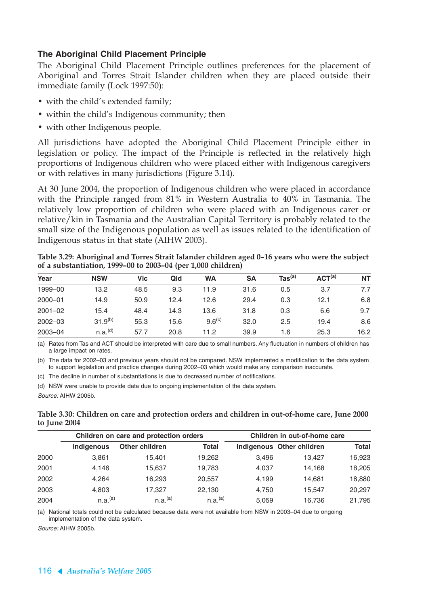#### **The Aboriginal Child Placement Principle**

The Aboriginal Child Placement Principle outlines preferences for the placement of Aboriginal and Torres Strait Islander children when they are placed outside their immediate family (Lock 1997:50):

- with the child's extended family;
- within the child's Indigenous community; then
- with other Indigenous people.

All jurisdictions have adopted the Aboriginal Child Placement Principle either in legislation or policy. The impact of the Principle is reflected in the relatively high proportions of Indigenous children who were placed either with Indigenous caregivers or with relatives in many jurisdictions (Figure 3.14).

At 30 June 2004, the proportion of Indigenous children who were placed in accordance with the Principle ranged from 81% in Western Australia to 40% in Tasmania. The relatively low proportion of children who were placed with an Indigenous carer or relative/kin in Tasmania and the Australian Capital Territory is probably related to the small size of the Indigenous population as well as issues related to the identification of Indigenous status in that state (AIHW 2003).

**Table 3.29: Aboriginal and Torres Strait Islander children aged 0–16 years who were the subject of a substantiation, 1999–00 to 2003–04 (per 1,000 children)**

| Year        | <b>NSW</b>          | <b>Vic</b> | Qld  | <b>WA</b>          | SΑ   | $\textsf{ Tas}^{\textsf{(a)}}$ | ACT <sup>(a)</sup> | <b>NT</b> |
|-------------|---------------------|------------|------|--------------------|------|--------------------------------|--------------------|-----------|
| 1999-00     | 13.2                | 48.5       | 9.3  | 11.9               | 31.6 | 0.5                            | 3.7                | 7.7       |
| $2000 - 01$ | 14.9                | 50.9       | 12.4 | 12.6               | 29.4 | 0.3                            | 12.1               | 6.8       |
| $2001 - 02$ | 15.4                | 48.4       | 14.3 | 13.6               | 31.8 | 0.3                            | 6.6                | 9.7       |
| $2002 - 03$ | $31.9^{(b)}$        | 55.3       | 15.6 | 9.6 <sup>(c)</sup> | 32.0 | 2.5                            | 19.4               | 8.6       |
| $2003 - 04$ | n.a. <sup>(d)</sup> | 57.7       | 20.8 | 11.2               | 39.9 | 1.6                            | 25.3               | 16.2      |

(a) Rates from Tas and ACT should be interpreted with care due to small numbers. Any fluctuation in numbers of children has a large impact on rates.

(b) The data for 2002–03 and previous years should not be compared. NSW implemented a modification to the data system to support legislation and practice changes during 2002–03 which would make any comparison inaccurate.

(c) The decline in number of substantiations is due to decreased number of notifications.

(d) NSW were unable to provide data due to ongoing implementation of the data system.

Source: AIHW 2005b.

**Table 3.30: Children on care and protection orders and children in out-of-home care, June 2000 to June 2004**

|      |                     | Children on care and protection orders |                     | Children in out-of-home care |                           |        |  |  |  |
|------|---------------------|----------------------------------------|---------------------|------------------------------|---------------------------|--------|--|--|--|
|      | <b>Indigenous</b>   | <b>Other children</b>                  | <b>Total</b>        |                              | Indigenous Other children | Total  |  |  |  |
| 2000 | 3,861               | 15.401                                 | 19,262              | 3.496                        | 13.427                    | 16,923 |  |  |  |
| 2001 | 4.146               | 15.637                                 | 19.783              | 4.037                        | 14.168                    | 18,205 |  |  |  |
| 2002 | 4.264               | 16.293                                 | 20,557              | 4,199                        | 14.681                    | 18,880 |  |  |  |
| 2003 | 4,803               | 17.327                                 | 22.130              | 4.750                        | 15.547                    | 20,297 |  |  |  |
| 2004 | n.a. <sup>(a)</sup> | n.a. <sup>(a)</sup>                    | n.a. <sup>(a)</sup> | 5.059                        | 16,736                    | 21.795 |  |  |  |

(a) National totals could not be calculated because data were not available from NSW in 2003–04 due to ongoing implementation of the data system.

Source: AIHW 2005b.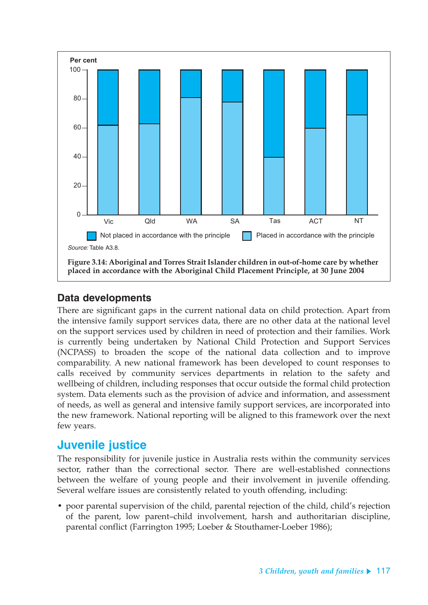

## **Data developments**

There are significant gaps in the current national data on child protection. Apart from the intensive family support services data, there are no other data at the national level on the support services used by children in need of protection and their families. Work is currently being undertaken by National Child Protection and Support Services (NCPASS) to broaden the scope of the national data collection and to improve comparability. A new national framework has been developed to count responses to calls received by community services departments in relation to the safety and wellbeing of children, including responses that occur outside the formal child protection system. Data elements such as the provision of advice and information, and assessment of needs, as well as general and intensive family support services, are incorporated into the new framework. National reporting will be aligned to this framework over the next few years.

## **Juvenile justice**

The responsibility for juvenile justice in Australia rests within the community services sector, rather than the correctional sector. There are well-established connections between the welfare of young people and their involvement in juvenile offending. Several welfare issues are consistently related to youth offending, including:

• poor parental supervision of the child, parental rejection of the child, child's rejection of the parent, low parent–child involvement, harsh and authoritarian discipline, parental conflict (Farrington 1995; Loeber & Stouthamer-Loeber 1986);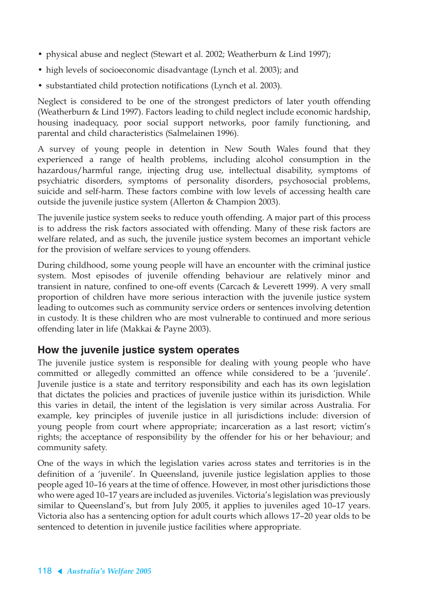- physical abuse and neglect (Stewart et al. 2002; Weatherburn & Lind 1997);
- high levels of socioeconomic disadvantage (Lynch et al. 2003); and
- substantiated child protection notifications (Lynch et al. 2003).

Neglect is considered to be one of the strongest predictors of later youth offending (Weatherburn & Lind 1997). Factors leading to child neglect include economic hardship, housing inadequacy, poor social support networks, poor family functioning, and parental and child characteristics (Salmelainen 1996).

A survey of young people in detention in New South Wales found that they experienced a range of health problems, including alcohol consumption in the hazardous/harmful range, injecting drug use, intellectual disability, symptoms of psychiatric disorders, symptoms of personality disorders, psychosocial problems, suicide and self-harm. These factors combine with low levels of accessing health care outside the juvenile justice system (Allerton & Champion 2003).

The juvenile justice system seeks to reduce youth offending. A major part of this process is to address the risk factors associated with offending. Many of these risk factors are welfare related, and as such, the juvenile justice system becomes an important vehicle for the provision of welfare services to young offenders.

During childhood, some young people will have an encounter with the criminal justice system. Most episodes of juvenile offending behaviour are relatively minor and transient in nature, confined to one-off events (Carcach & Leverett 1999). A very small proportion of children have more serious interaction with the juvenile justice system leading to outcomes such as community service orders or sentences involving detention in custody. It is these children who are most vulnerable to continued and more serious offending later in life (Makkai & Payne 2003).

#### **How the juvenile justice system operates**

The juvenile justice system is responsible for dealing with young people who have committed or allegedly committed an offence while considered to be a 'juvenile'. Juvenile justice is a state and territory responsibility and each has its own legislation that dictates the policies and practices of juvenile justice within its jurisdiction. While this varies in detail, the intent of the legislation is very similar across Australia. For example, key principles of juvenile justice in all jurisdictions include: diversion of young people from court where appropriate; incarceration as a last resort; victim's rights; the acceptance of responsibility by the offender for his or her behaviour; and community safety.

One of the ways in which the legislation varies across states and territories is in the definition of a 'juvenile'. In Queensland, juvenile justice legislation applies to those people aged 10–16 years at the time of offence. However, in most other jurisdictions those who were aged 10–17 years are included as juveniles. Victoria's legislation was previously similar to Queensland's, but from July 2005, it applies to juveniles aged 10–17 years. Victoria also has a sentencing option for adult courts which allows 17–20 year olds to be sentenced to detention in juvenile justice facilities where appropriate.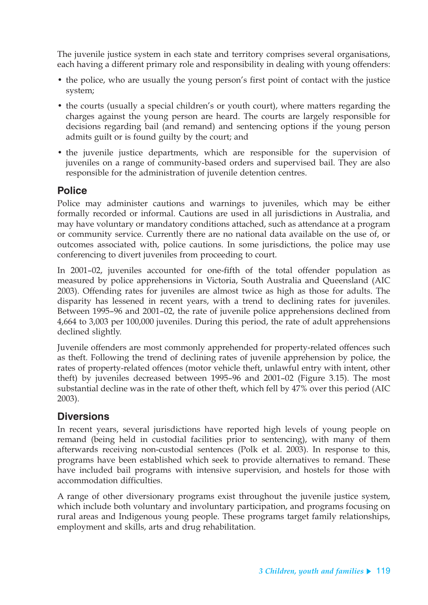The juvenile justice system in each state and territory comprises several organisations, each having a different primary role and responsibility in dealing with young offenders:

- the police, who are usually the young person's first point of contact with the justice system;
- the courts (usually a special children's or youth court), where matters regarding the charges against the young person are heard. The courts are largely responsible for decisions regarding bail (and remand) and sentencing options if the young person admits guilt or is found guilty by the court; and
- the juvenile justice departments, which are responsible for the supervision of juveniles on a range of community-based orders and supervised bail. They are also responsible for the administration of juvenile detention centres.

#### **Police**

Police may administer cautions and warnings to juveniles, which may be either formally recorded or informal. Cautions are used in all jurisdictions in Australia, and may have voluntary or mandatory conditions attached, such as attendance at a program or community service. Currently there are no national data available on the use of, or outcomes associated with, police cautions. In some jurisdictions, the police may use conferencing to divert juveniles from proceeding to court.

In 2001–02, juveniles accounted for one-fifth of the total offender population as measured by police apprehensions in Victoria, South Australia and Queensland (AIC 2003). Offending rates for juveniles are almost twice as high as those for adults. The disparity has lessened in recent years, with a trend to declining rates for juveniles. Between 1995–96 and 2001–02, the rate of juvenile police apprehensions declined from 4,664 to 3,003 per 100,000 juveniles. During this period, the rate of adult apprehensions declined slightly.

Juvenile offenders are most commonly apprehended for property-related offences such as theft. Following the trend of declining rates of juvenile apprehension by police, the rates of property-related offences (motor vehicle theft, unlawful entry with intent, other theft) by juveniles decreased between 1995–96 and 2001–02 (Figure 3.15). The most substantial decline was in the rate of other theft, which fell by 47% over this period (AIC 2003).

## **Diversions**

In recent years, several jurisdictions have reported high levels of young people on remand (being held in custodial facilities prior to sentencing), with many of them afterwards receiving non-custodial sentences (Polk et al. 2003). In response to this, programs have been established which seek to provide alternatives to remand. These have included bail programs with intensive supervision, and hostels for those with accommodation difficulties.

A range of other diversionary programs exist throughout the juvenile justice system, which include both voluntary and involuntary participation, and programs focusing on rural areas and Indigenous young people. These programs target family relationships, employment and skills, arts and drug rehabilitation.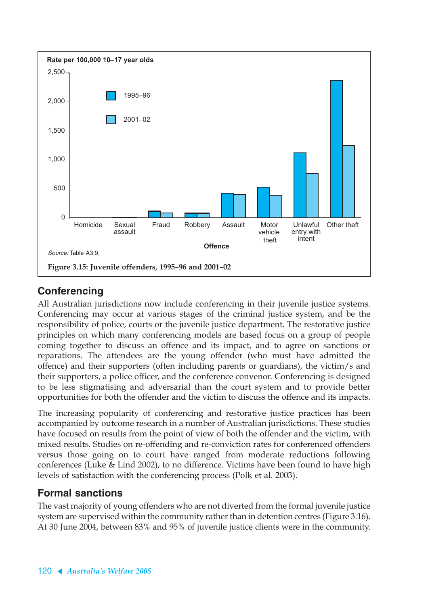

## **Conferencing**

All Australian jurisdictions now include conferencing in their juvenile justice systems. Conferencing may occur at various stages of the criminal justice system, and be the responsibility of police, courts or the juvenile justice department. The restorative justice principles on which many conferencing models are based focus on a group of people coming together to discuss an offence and its impact, and to agree on sanctions or reparations. The attendees are the young offender (who must have admitted the offence) and their supporters (often including parents or guardians), the victim/s and their supporters, a police officer, and the conference convenor. Conferencing is designed to be less stigmatising and adversarial than the court system and to provide better opportunities for both the offender and the victim to discuss the offence and its impacts.

The increasing popularity of conferencing and restorative justice practices has been accompanied by outcome research in a number of Australian jurisdictions. These studies have focused on results from the point of view of both the offender and the victim, with mixed results. Studies on re-offending and re-conviction rates for conferenced offenders versus those going on to court have ranged from moderate reductions following conferences (Luke & Lind 2002), to no difference. Victims have been found to have high levels of satisfaction with the conferencing process (Polk et al. 2003).

## **Formal sanctions**

The vast majority of young offenders who are not diverted from the formal juvenile justice system are supervised within the community rather than in detention centres (Figure 3.16). At 30 June 2004, between 83% and 95% of juvenile justice clients were in the community.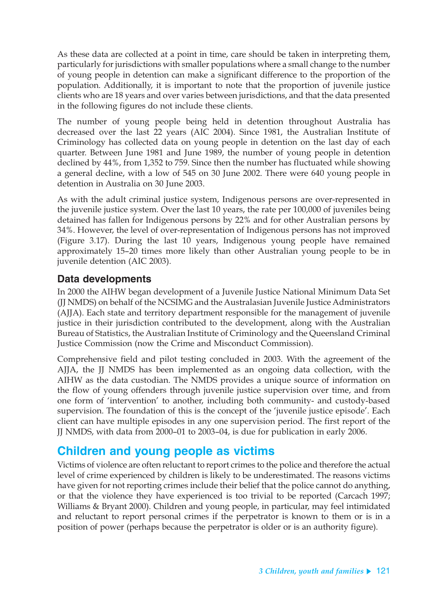As these data are collected at a point in time, care should be taken in interpreting them, particularly for jurisdictions with smaller populations where a small change to the number of young people in detention can make a significant difference to the proportion of the population. Additionally, it is important to note that the proportion of juvenile justice clients who are 18 years and over varies between jurisdictions, and that the data presented in the following figures do not include these clients.

The number of young people being held in detention throughout Australia has decreased over the last 22 years (AIC 2004). Since 1981, the Australian Institute of Criminology has collected data on young people in detention on the last day of each quarter. Between June 1981 and June 1989, the number of young people in detention declined by 44%, from 1,352 to 759. Since then the number has fluctuated while showing a general decline, with a low of 545 on 30 June 2002. There were 640 young people in detention in Australia on 30 June 2003.

As with the adult criminal justice system, Indigenous persons are over-represented in the juvenile justice system. Over the last 10 years, the rate per 100,000 of juveniles being detained has fallen for Indigenous persons by 22% and for other Australian persons by 34%. However, the level of over-representation of Indigenous persons has not improved (Figure 3.17). During the last 10 years, Indigenous young people have remained approximately 15–20 times more likely than other Australian young people to be in juvenile detention (AIC 2003).

### **Data developments**

In 2000 the AIHW began development of a Juvenile Justice National Minimum Data Set (JJ NMDS) on behalf of the NCSIMG and the Australasian Juvenile Justice Administrators (AJJA). Each state and territory department responsible for the management of juvenile justice in their jurisdiction contributed to the development, along with the Australian Bureau of Statistics, the Australian Institute of Criminology and the Queensland Criminal Justice Commission (now the Crime and Misconduct Commission).

Comprehensive field and pilot testing concluded in 2003. With the agreement of the AJJA, the JJ NMDS has been implemented as an ongoing data collection, with the AIHW as the data custodian. The NMDS provides a unique source of information on the flow of young offenders through juvenile justice supervision over time, and from one form of 'intervention' to another, including both community- and custody-based supervision. The foundation of this is the concept of the 'juvenile justice episode'. Each client can have multiple episodes in any one supervision period. The first report of the JJ NMDS, with data from 2000–01 to 2003–04, is due for publication in early 2006.

## **Children and young people as victims**

Victims of violence are often reluctant to report crimes to the police and therefore the actual level of crime experienced by children is likely to be underestimated. The reasons victims have given for not reporting crimes include their belief that the police cannot do anything, or that the violence they have experienced is too trivial to be reported (Carcach 1997; Williams & Bryant 2000). Children and young people, in particular, may feel intimidated and reluctant to report personal crimes if the perpetrator is known to them or is in a position of power (perhaps because the perpetrator is older or is an authority figure).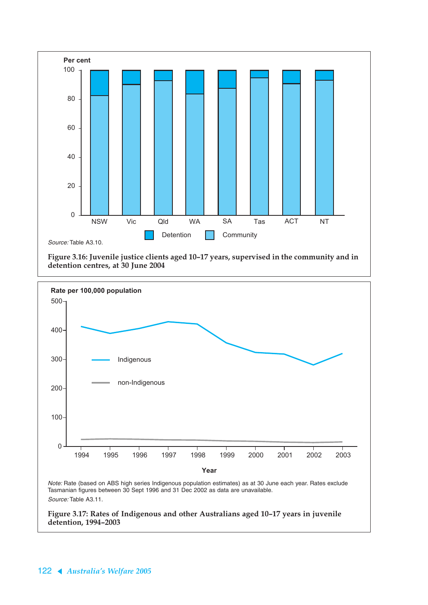

**Figure 3.16: Juvenile justice clients aged 10–17 years, supervised in the community and in detention centres, at 30 June 2004**



**detention, 1994–2003**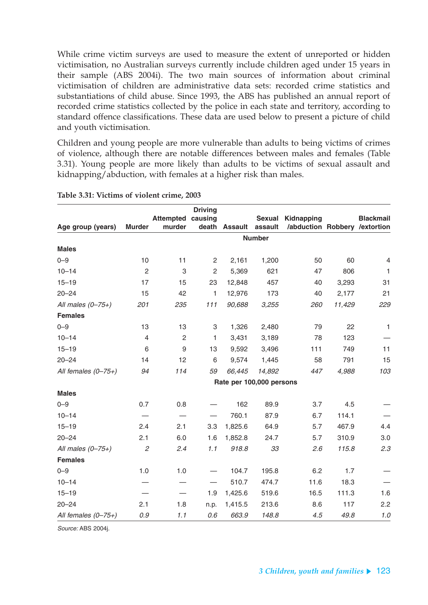While crime victim surveys are used to measure the extent of unreported or hidden victimisation, no Australian surveys currently include children aged under 15 years in their sample (ABS 2004i). The two main sources of information about criminal victimisation of children are administrative data sets: recorded crime statistics and substantiations of child abuse. Since 1993, the ABS has published an annual report of recorded crime statistics collected by the police in each state and territory, according to standard offence classifications. These data are used below to present a picture of child and youth victimisation.

Children and young people are more vulnerable than adults to being victims of crimes of violence, although there are notable differences between males and females (Table 3.31). Young people are more likely than adults to be victims of sexual assault and kidnapping/abduction, with females at a higher risk than males.

|                       |                |                  | <b>Driving</b> |                          |               |                               |        |                  |
|-----------------------|----------------|------------------|----------------|--------------------------|---------------|-------------------------------|--------|------------------|
|                       |                | <b>Attempted</b> | causing        |                          | <b>Sexual</b> | Kidnapping                    |        | <b>Blackmail</b> |
| Age group (years)     | <b>Murder</b>  | murder           |                | death Assault assault    |               | /abduction Robbery /extortion |        |                  |
|                       |                |                  |                |                          | <b>Number</b> |                               |        |                  |
| <b>Males</b>          |                |                  |                |                          |               |                               |        |                  |
| $0 - 9$               | 10             | 11               | 2              | 2,161                    | 1,200         | 50                            | 60     | 4                |
| $10 - 14$             | $\overline{2}$ | $\,3$            | $\overline{c}$ | 5,369                    | 621           | 47                            | 806    | $\mathbf{1}$     |
| $15 - 19$             | 17             | 15               | 23             | 12,848                   | 457           | 40                            | 3,293  | 31               |
| $20 - 24$             | 15             | 42               | $\mathbf{1}$   | 12,976                   | 173           | 40                            | 2,177  | 21               |
| All males $(0-75+)$   | 201            | 235              | $111$          | 90,688                   | 3,255         | 260                           | 11,429 | 229              |
| <b>Females</b>        |                |                  |                |                          |               |                               |        |                  |
| $0 - 9$               | 13             | 13               | 3              | 1,326                    | 2,480         | 79                            | 22     | $\mathbf{1}$     |
| $10 - 14$             | $\overline{4}$ | $\overline{c}$   | 1              | 3,431                    | 3,189         | 78                            | 123    |                  |
| $15 - 19$             | 6              | $\boldsymbol{9}$ | 13             | 9,592                    | 3,496         | 111                           | 749    | 11               |
| $20 - 24$             | 14             | 12               | 6              | 9,574                    | 1,445         | 58                            | 791    | 15               |
| All females $(0-75+)$ | 94             | 114              | 59             | 66,445                   | 14,892        | 447                           | 4,988  | 103              |
|                       |                |                  |                | Rate per 100,000 persons |               |                               |        |                  |
| <b>Males</b>          |                |                  |                |                          |               |                               |        |                  |
| $0 - 9$               | 0.7            | 0.8              |                | 162                      | 89.9          | 3.7                           | 4.5    |                  |
| $10 - 14$             |                |                  |                | 760.1                    | 87.9          | 6.7                           | 114.1  |                  |
| $15 - 19$             | 2.4            | 2.1              | 3.3            | 1,825.6                  | 64.9          | 5.7                           | 467.9  | 4.4              |
| $20 - 24$             | 2.1            | 6.0              | 1.6            | 1,852.8                  | 24.7          | 5.7                           | 310.9  | 3.0              |
| All males $(0-75+)$   | $\mathfrak{2}$ | 2.4              | 1.1            | 918.8                    | 33            | 2.6                           | 115.8  | 2.3              |
| <b>Females</b>        |                |                  |                |                          |               |                               |        |                  |
| $0 - 9$               | 1.0            | 1.0              |                | 104.7                    | 195.8         | 6.2                           | 1.7    |                  |
| $10 - 14$             |                |                  |                | 510.7                    | 474.7         | 11.6                          | 18.3   |                  |
| $15 - 19$             |                |                  | 1.9            | 1,425.6                  | 519.6         | 16.5                          | 111.3  | 1.6              |
| $20 - 24$             | 2.1            | 1.8              | n.p.           | 1,415.5                  | 213.6         | 8.6                           | 117    | 2.2              |
| All females $(0-75+)$ | 0.9            | 1.1              | 0.6            | 663.9                    | 148.8         | 4.5                           | 49.8   | 1.0              |

#### **Table 3.31: Victims of violent crime, 2003**

Source: ABS 2004j.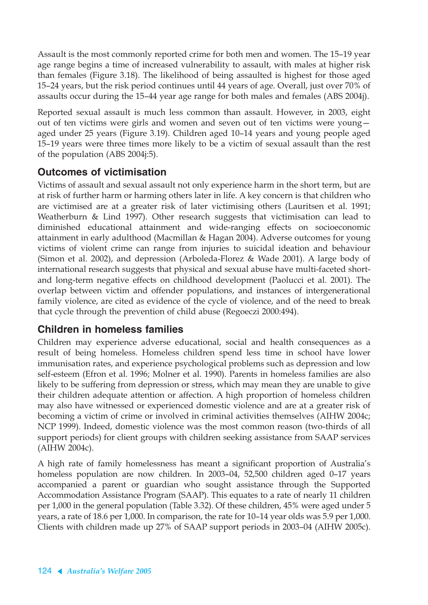Assault is the most commonly reported crime for both men and women. The 15–19 year age range begins a time of increased vulnerability to assault, with males at higher risk than females (Figure 3.18). The likelihood of being assaulted is highest for those aged 15–24 years, but the risk period continues until 44 years of age. Overall, just over 70% of assaults occur during the 15–44 year age range for both males and females (ABS 2004j).

Reported sexual assault is much less common than assault. However, in 2003, eight out of ten victims were girls and women and seven out of ten victims were young aged under 25 years (Figure 3.19). Children aged 10–14 years and young people aged 15–19 years were three times more likely to be a victim of sexual assault than the rest of the population (ABS 2004j:5).

## **Outcomes of victimisation**

Victims of assault and sexual assault not only experience harm in the short term, but are at risk of further harm or harming others later in life. A key concern is that children who are victimised are at a greater risk of later victimising others (Lauritsen et al. 1991; Weatherburn & Lind 1997). Other research suggests that victimisation can lead to diminished educational attainment and wide-ranging effects on socioeconomic attainment in early adulthood (Macmillan & Hagan 2004). Adverse outcomes for young victims of violent crime can range from injuries to suicidal ideation and behaviour (Simon et al. 2002), and depression (Arboleda-Florez & Wade 2001). A large body of international research suggests that physical and sexual abuse have multi-faceted shortand long-term negative effects on childhood development (Paolucci et al. 2001). The overlap between victim and offender populations, and instances of intergenerational family violence, are cited as evidence of the cycle of violence, and of the need to break that cycle through the prevention of child abuse (Regoeczi 2000:494).

## **Children in homeless families**

Children may experience adverse educational, social and health consequences as a result of being homeless. Homeless children spend less time in school have lower immunisation rates, and experience psychological problems such as depression and low self-esteem (Efron et al. 1996; Molner et al. 1990). Parents in homeless families are also likely to be suffering from depression or stress, which may mean they are unable to give their children adequate attention or affection. A high proportion of homeless children may also have witnessed or experienced domestic violence and are at a greater risk of becoming a victim of crime or involved in criminal activities themselves (AIHW 2004c; NCP 1999). Indeed, domestic violence was the most common reason (two-thirds of all support periods) for client groups with children seeking assistance from SAAP services (AIHW 2004c).

A high rate of family homelessness has meant a significant proportion of Australia's homeless population are now children. In 2003–04, 52,500 children aged 0–17 years accompanied a parent or guardian who sought assistance through the Supported Accommodation Assistance Program (SAAP). This equates to a rate of nearly 11 children per 1,000 in the general population (Table 3.32). Of these children, 45% were aged under 5 years, a rate of 18.6 per 1,000. In comparison, the rate for 10–14 year olds was 5.9 per 1,000. Clients with children made up 27% of SAAP support periods in 2003–04 (AIHW 2005c).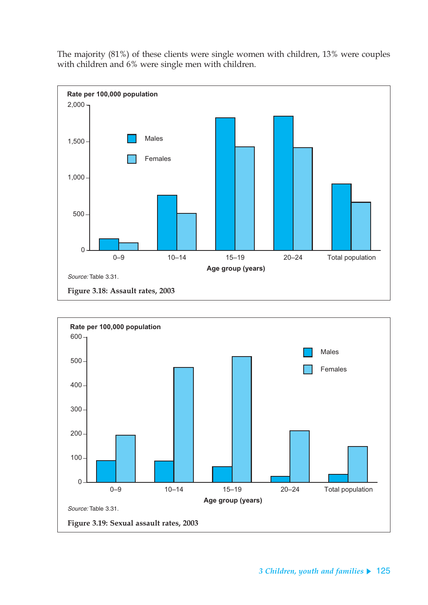The majority (81%) of these clients were single women with children, 13% were couples with children and 6% were single men with children.



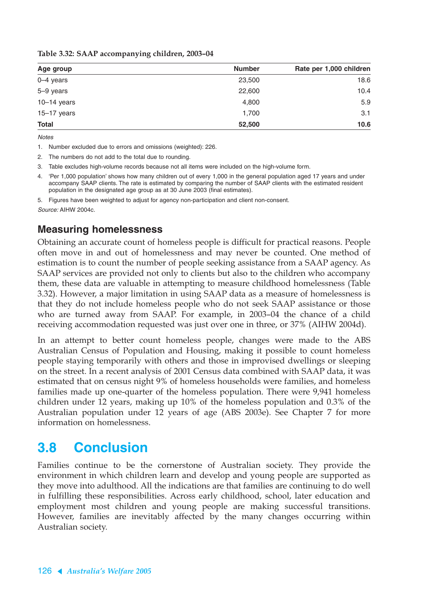|  |  |  | Table 3.32: SAAP accompanying children, 2003-04 |
|--|--|--|-------------------------------------------------|
|--|--|--|-------------------------------------------------|

| Age group       | <b>Number</b> | Rate per 1,000 children |
|-----------------|---------------|-------------------------|
| $0-4$ years     | 23,500        | 18.6                    |
| 5-9 years       | 22,600        | 10.4                    |
| $10-14$ years   | 4,800         | 5.9                     |
| $15 - 17$ years | 1,700         | 3.1                     |
| <b>Total</b>    | 52,500        | 10.6                    |

**Notes** 

1. Number excluded due to errors and omissions (weighted): 226.

2. The numbers do not add to the total due to rounding.

3. Table excludes high-volume records because not all items were included on the high-volume form.

4. 'Per 1,000 population' shows how many children out of every 1,000 in the general population aged 17 years and under accompany SAAP clients. The rate is estimated by comparing the number of SAAP clients with the estimated resident population in the designated age group as at 30 June 2003 (final estimates).

5. Figures have been weighted to adjust for agency non-participation and client non-consent. Source: AIHW 2004c.

### **Measuring homelessness**

Obtaining an accurate count of homeless people is difficult for practical reasons. People often move in and out of homelessness and may never be counted. One method of estimation is to count the number of people seeking assistance from a SAAP agency. As SAAP services are provided not only to clients but also to the children who accompany them, these data are valuable in attempting to measure childhood homelessness (Table 3.32). However, a major limitation in using SAAP data as a measure of homelessness is that they do not include homeless people who do not seek SAAP assistance or those who are turned away from SAAP. For example, in 2003–04 the chance of a child receiving accommodation requested was just over one in three, or 37% (AIHW 2004d).

In an attempt to better count homeless people, changes were made to the ABS Australian Census of Population and Housing, making it possible to count homeless people staying temporarily with others and those in improvised dwellings or sleeping on the street. In a recent analysis of 2001 Census data combined with SAAP data, it was estimated that on census night 9% of homeless households were families, and homeless families made up one-quarter of the homeless population. There were 9,941 homeless children under 12 years, making up 10% of the homeless population and 0.3% of the Australian population under 12 years of age (ABS 2003e). See Chapter 7 for more information on homelessness.

# **3.8 Conclusion**

Families continue to be the cornerstone of Australian society. They provide the environment in which children learn and develop and young people are supported as they move into adulthood. All the indications are that families are continuing to do well in fulfilling these responsibilities. Across early childhood, school, later education and employment most children and young people are making successful transitions. However, families are inevitably affected by the many changes occurring within Australian society.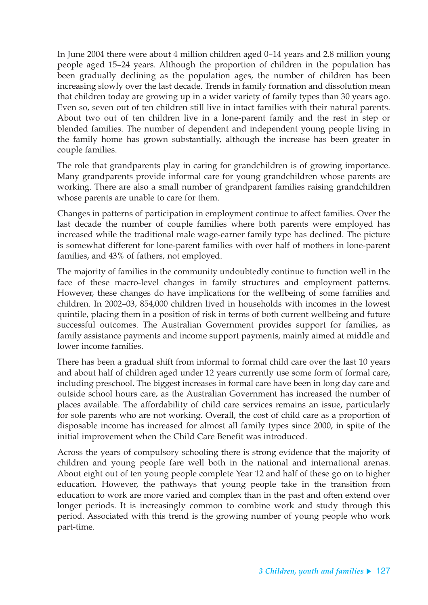In June 2004 there were about 4 million children aged 0–14 years and 2.8 million young people aged 15–24 years. Although the proportion of children in the population has been gradually declining as the population ages, the number of children has been increasing slowly over the last decade. Trends in family formation and dissolution mean that children today are growing up in a wider variety of family types than 30 years ago. Even so, seven out of ten children still live in intact families with their natural parents. About two out of ten children live in a lone-parent family and the rest in step or blended families. The number of dependent and independent young people living in the family home has grown substantially, although the increase has been greater in couple families.

The role that grandparents play in caring for grandchildren is of growing importance. Many grandparents provide informal care for young grandchildren whose parents are working. There are also a small number of grandparent families raising grandchildren whose parents are unable to care for them.

Changes in patterns of participation in employment continue to affect families. Over the last decade the number of couple families where both parents were employed has increased while the traditional male wage-earner family type has declined. The picture is somewhat different for lone-parent families with over half of mothers in lone-parent families, and 43% of fathers, not employed.

The majority of families in the community undoubtedly continue to function well in the face of these macro-level changes in family structures and employment patterns. However, these changes do have implications for the wellbeing of some families and children. In 2002–03, 854,000 children lived in households with incomes in the lowest quintile, placing them in a position of risk in terms of both current wellbeing and future successful outcomes. The Australian Government provides support for families, as family assistance payments and income support payments, mainly aimed at middle and lower income families.

There has been a gradual shift from informal to formal child care over the last 10 years and about half of children aged under 12 years currently use some form of formal care, including preschool. The biggest increases in formal care have been in long day care and outside school hours care, as the Australian Government has increased the number of places available. The affordability of child care services remains an issue, particularly for sole parents who are not working. Overall, the cost of child care as a proportion of disposable income has increased for almost all family types since 2000, in spite of the initial improvement when the Child Care Benefit was introduced.

Across the years of compulsory schooling there is strong evidence that the majority of children and young people fare well both in the national and international arenas. About eight out of ten young people complete Year 12 and half of these go on to higher education. However, the pathways that young people take in the transition from education to work are more varied and complex than in the past and often extend over longer periods. It is increasingly common to combine work and study through this period. Associated with this trend is the growing number of young people who work part-time.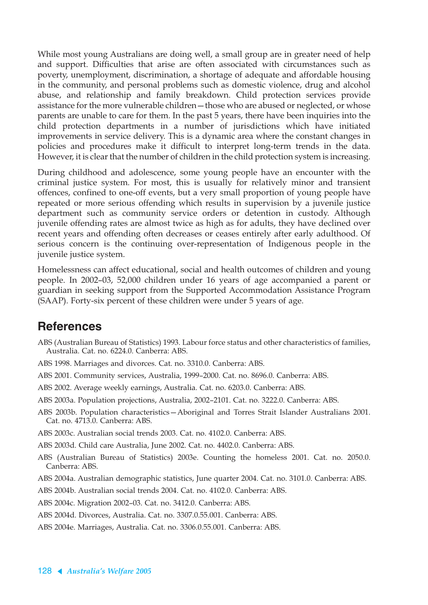While most young Australians are doing well, a small group are in greater need of help and support. Difficulties that arise are often associated with circumstances such as poverty, unemployment, discrimination, a shortage of adequate and affordable housing in the community, and personal problems such as domestic violence, drug and alcohol abuse, and relationship and family breakdown. Child protection services provide assistance for the more vulnerable children—those who are abused or neglected, or whose parents are unable to care for them. In the past 5 years, there have been inquiries into the child protection departments in a number of jurisdictions which have initiated improvements in service delivery. This is a dynamic area where the constant changes in policies and procedures make it difficult to interpret long-term trends in the data. However, it is clear that the number of children in the child protection system is increasing.

During childhood and adolescence, some young people have an encounter with the criminal justice system. For most, this is usually for relatively minor and transient offences, confined to one-off events, but a very small proportion of young people have repeated or more serious offending which results in supervision by a juvenile justice department such as community service orders or detention in custody. Although juvenile offending rates are almost twice as high as for adults, they have declined over recent years and offending often decreases or ceases entirely after early adulthood. Of serious concern is the continuing over-representation of Indigenous people in the juvenile justice system.

Homelessness can affect educational, social and health outcomes of children and young people. In 2002–03, 52,000 children under 16 years of age accompanied a parent or guardian in seeking support from the Supported Accommodation Assistance Program (SAAP). Forty-six percent of these children were under 5 years of age.

## **References**

- ABS (Australian Bureau of Statistics) 1993. Labour force status and other characteristics of families, Australia. Cat. no. 6224.0. Canberra: ABS.
- ABS 1998. Marriages and divorces. Cat. no. 3310.0. Canberra: ABS.
- ABS 2001. Community services, Australia, 1999–2000. Cat. no. 8696.0. Canberra: ABS.
- ABS 2002. Average weekly earnings, Australia. Cat. no. 6203.0. Canberra: ABS.
- ABS 2003a. Population projections, Australia, 2002–2101. Cat. no. 3222.0. Canberra: ABS.
- ABS 2003b. Population characteristics—Aboriginal and Torres Strait Islander Australians 2001. Cat. no. 4713.0. Canberra: ABS.
- ABS 2003c. Australian social trends 2003. Cat. no. 4102.0. Canberra: ABS.
- ABS 2003d. Child care Australia, June 2002. Cat. no. 4402.0. Canberra: ABS.
- ABS (Australian Bureau of Statistics) 2003e. Counting the homeless 2001. Cat. no. 2050.0. Canberra: ABS.
- ABS 2004a. Australian demographic statistics, June quarter 2004. Cat. no. 3101.0. Canberra: ABS.
- ABS 2004b. Australian social trends 2004. Cat. no. 4102.0. Canberra: ABS.
- ABS 2004c. Migration 2002–03. Cat. no. 3412.0. Canberra: ABS.
- ABS 2004d. Divorces, Australia. Cat. no. 3307.0.55.001. Canberra: ABS.
- ABS 2004e. Marriages, Australia. Cat. no. 3306.0.55.001. Canberra: ABS.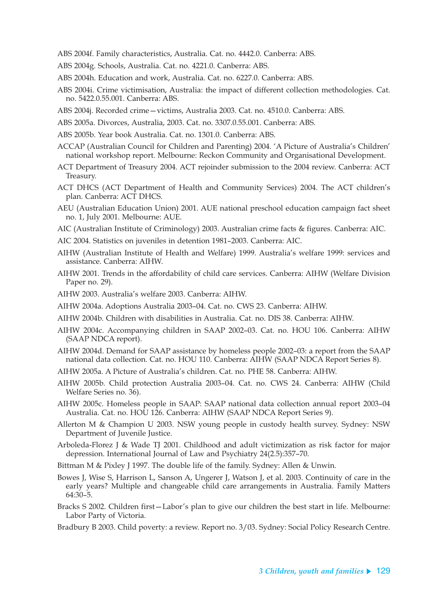ABS 2004f. Family characteristics, Australia. Cat. no. 4442.0. Canberra: ABS.

- ABS 2004g. Schools, Australia. Cat. no. 4221.0. Canberra: ABS.
- ABS 2004h. Education and work, Australia. Cat. no. 6227.0. Canberra: ABS.
- ABS 2004i. Crime victimisation, Australia: the impact of different collection methodologies. Cat. no. 5422.0.55.001. Canberra: ABS.
- ABS 2004j. Recorded crime—victims, Australia 2003. Cat. no. 4510.0. Canberra: ABS.
- ABS 2005a. Divorces, Australia, 2003. Cat. no. 3307.0.55.001. Canberra: ABS.
- ABS 2005b. Year book Australia. Cat. no. 1301.0. Canberra: ABS.
- ACCAP (Australian Council for Children and Parenting) 2004. 'A Picture of Australia's Children' national workshop report. Melbourne: Reckon Community and Organisational Development.
- ACT Department of Treasury 2004. ACT rejoinder submission to the 2004 review. Canberra: ACT Treasury.
- ACT DHCS (ACT Department of Health and Community Services) 2004. The ACT children's plan. Canberra: ACT DHCS.
- AEU (Australian Education Union) 2001. AUE national preschool education campaign fact sheet no. 1, July 2001. Melbourne: AUE.
- AIC (Australian Institute of Criminology) 2003. Australian crime facts & figures. Canberra: AIC.
- AIC 2004. Statistics on juveniles in detention 1981–2003. Canberra: AIC.
- AIHW (Australian Institute of Health and Welfare) 1999. Australia's welfare 1999: services and assistance. Canberra: AIHW.
- AIHW 2001. Trends in the affordability of child care services. Canberra: AIHW (Welfare Division Paper no. 29).
- AIHW 2003. Australia's welfare 2003. Canberra: AIHW.
- AIHW 2004a. Adoptions Australia 2003–04. Cat. no. CWS 23. Canberra: AIHW.
- AIHW 2004b. Children with disabilities in Australia. Cat. no. DIS 38. Canberra: AIHW.
- AIHW 2004c. Accompanying children in SAAP 2002–03. Cat. no. HOU 106. Canberra: AIHW (SAAP NDCA report).
- AIHW 2004d. Demand for SAAP assistance by homeless people 2002–03: a report from the SAAP national data collection. Cat. no. HOU 110. Canberra: AIHW (SAAP NDCA Report Series 8).
- AIHW 2005a. A Picture of Australia's children. Cat. no. PHE 58. Canberra: AIHW.
- AIHW 2005b. Child protection Australia 2003–04. Cat. no. CWS 24. Canberra: AIHW (Child Welfare Series no. 36).
- AIHW 2005c. Homeless people in SAAP: SAAP national data collection annual report 2003–04 Australia. Cat. no. HOU 126. Canberra: AIHW (SAAP NDCA Report Series 9).
- Allerton M & Champion U 2003. NSW young people in custody health survey. Sydney: NSW Department of Juvenile Justice.
- Arboleda-Florez J & Wade TJ 2001. Childhood and adult victimization as risk factor for major depression. International Journal of Law and Psychiatry 24(2.5):357–70.
- Bittman M & Pixley J 1997. The double life of the family. Sydney: Allen & Unwin.
- Bowes J, Wise S, Harrison L, Sanson A, Ungerer J, Watson J, et al. 2003. Continuity of care in the early years? Multiple and changeable child care arrangements in Australia. Family Matters 64:30–5.
- Bracks S 2002. Children first—Labor's plan to give our children the best start in life. Melbourne: Labor Party of Victoria.
- Bradbury B 2003. Child poverty: a review. Report no. 3/03. Sydney: Social Policy Research Centre.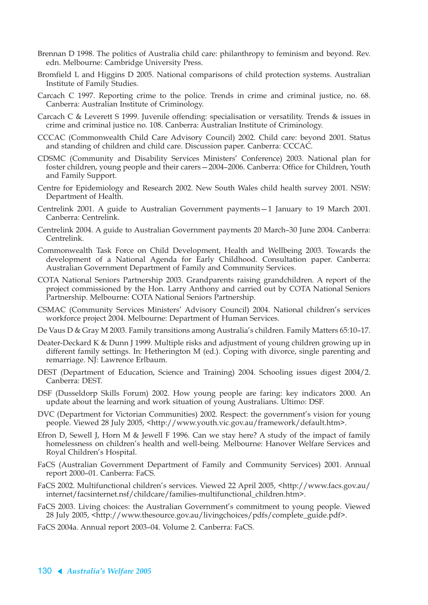- Brennan D 1998. The politics of Australia child care: philanthropy to feminism and beyond. Rev. edn. Melbourne: Cambridge University Press.
- Bromfield L and Higgins D 2005. National comparisons of child protection systems. Australian Institute of Family Studies.
- Carcach C 1997. Reporting crime to the police. Trends in crime and criminal justice, no. 68. Canberra: Australian Institute of Criminology.
- Carcach C & Leverett S 1999. Juvenile offending: specialisation or versatility. Trends & issues in crime and criminal justice no. 108. Canberra: Australian Institute of Criminology.
- CCCAC (Commonwealth Child Care Advisory Council) 2002. Child care: beyond 2001. Status and standing of children and child care. Discussion paper. Canberra: CCCAC.
- CDSMC (Community and Disability Services Ministers' Conference) 2003. National plan for foster children, young people and their carers—2004–2006. Canberra: Office for Children, Youth and Family Support.
- Centre for Epidemiology and Research 2002. New South Wales child health survey 2001. NSW: Department of Health.
- Centrelink 2001. A guide to Australian Government payments—1 January to 19 March 2001. Canberra: Centrelink.
- Centrelink 2004. A guide to Australian Government payments 20 March–30 June 2004. Canberra: Centrelink.
- Commonwealth Task Force on Child Development, Health and Wellbeing 2003. Towards the development of a National Agenda for Early Childhood. Consultation paper. Canberra: Australian Government Department of Family and Community Services.
- COTA National Seniors Partnership 2003. Grandparents raising grandchildren. A report of the project commissioned by the Hon. Larry Anthony and carried out by COTA National Seniors Partnership. Melbourne: COTA National Seniors Partnership.
- CSMAC (Community Services Ministers' Advisory Council) 2004. National children's services workforce project 2004. Melbourne: Department of Human Services.
- De Vaus D & Gray M 2003. Family transitions among Australia's children. Family Matters 65:10–17.
- Deater-Deckard K & Dunn J 1999. Multiple risks and adjustment of young children growing up in different family settings. In: Hetherington M (ed.). Coping with divorce, single parenting and remarriage. NJ: Lawrence Erlbaum.
- DEST (Department of Education, Science and Training) 2004. Schooling issues digest 2004/2. Canberra: DEST.
- DSF (Dusseldorp Skills Forum) 2002. How young people are faring: key indicators 2000. An update about the learning and work situation of young Australians. Ultimo: DSF.
- DVC (Department for Victorian Communities) 2002. Respect: the government's vision for young people. Viewed 28 July 2005, <http://www.youth.vic.gov.au/framework/default.htm>.
- Efron D, Sewell J, Horn M & Jewell F 1996. Can we stay here? A study of the impact of family homelessness on children's health and well-being. Melbourne: Hanover Welfare Services and Royal Children's Hospital.
- FaCS (Australian Government Department of Family and Community Services) 2001. Annual report 2000–01. Canberra: FaCS.
- FaCS 2002. Multifunctional children's services. Viewed 22 April 2005, <http://www.facs.gov.au/ internet/facsinternet.nsf/childcare/families-multifunctional\_children.htm>.
- FaCS 2003. Living choices: the Australian Government's commitment to young people. Viewed 28 July 2005, <http://www.thesource.gov.au/livingchoices/pdfs/complete\_guide.pdf>.
- FaCS 2004a. Annual report 2003–04. Volume 2. Canberra: FaCS.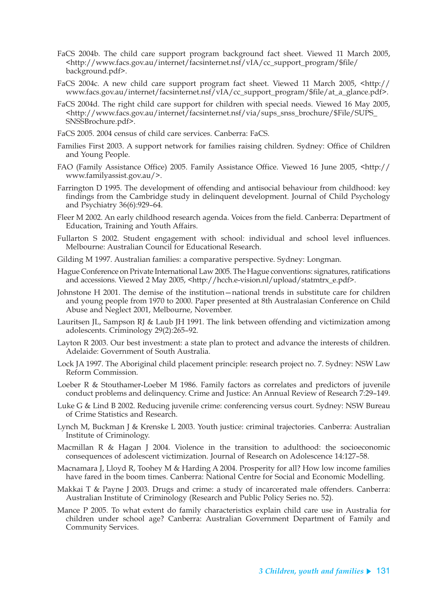- FaCS 2004b. The child care support program background fact sheet. Viewed 11 March 2005, <http://www.facs.gov.au/internet/facsinternet.nsf/vIA/cc\_support\_program/\$file/ background.pdf>.
- FaCS 2004c. A new child care support program fact sheet. Viewed 11 March 2005, <http:// www.facs.gov.au/internet/facsinternet.nsf/vIA/cc\_support\_program/\$file/at\_a\_glance.pdf>.
- FaCS 2004d. The right child care support for children with special needs. Viewed 16 May 2005, <http://www.facs.gov.au/internet/facsinternet.nsf/via/sups\_snss\_brochure/\$File/SUPS\_ SNSSBrochure.pdf>.
- FaCS 2005. 2004 census of child care services. Canberra: FaCS.
- Families First 2003. A support network for families raising children. Sydney: Office of Children and Young People.
- FAO (Family Assistance Office) 2005. Family Assistance Office. Viewed 16 June 2005, <http:// www.familyassist.gov.au/>.
- Farrington D 1995. The development of offending and antisocial behaviour from childhood: key findings from the Cambridge study in delinquent development. Journal of Child Psychology and Psychiatry 36(6):929–64.
- Fleer M 2002. An early childhood research agenda. Voices from the field. Canberra: Department of Education, Training and Youth Affairs.
- Fullarton S 2002. Student engagement with school: individual and school level influences. Melbourne: Australian Council for Educational Research.
- Gilding M 1997. Australian families: a comparative perspective. Sydney: Longman.
- Hague Conference on Private International Law 2005. The Hague conventions: signatures, ratifications and accessions. Viewed 2 May 2005, <http://hcch.e-vision.nl/upload/statmtrx\_e.pdf>.
- Johnstone H 2001. The demise of the institution—national trends in substitute care for children and young people from 1970 to 2000. Paper presented at 8th Australasian Conference on Child Abuse and Neglect 2001, Melbourne, November.
- Lauritsen JL, Sampson RJ & Laub JH 1991. The link between offending and victimization among adolescents. Criminology 29(2):265–92.
- Layton R 2003. Our best investment: a state plan to protect and advance the interests of children. Adelaide: Government of South Australia.
- Lock JA 1997. The Aboriginal child placement principle: research project no. 7. Sydney: NSW Law Reform Commission.
- Loeber R & Stouthamer-Loeber M 1986. Family factors as correlates and predictors of juvenile conduct problems and delinquency. Crime and Justice: An Annual Review of Research 7:29–149.
- Luke G & Lind B 2002. Reducing juvenile crime: conferencing versus court. Sydney: NSW Bureau of Crime Statistics and Research.
- Lynch M, Buckman J & Krenske L 2003. Youth justice: criminal trajectories. Canberra: Australian Institute of Criminology.
- Macmillan R & Hagan J 2004. Violence in the transition to adulthood: the socioeconomic consequences of adolescent victimization. Journal of Research on Adolescence 14:127–58.
- Macnamara J, Lloyd R, Toohey M & Harding A 2004. Prosperity for all? How low income families have fared in the boom times. Canberra: National Centre for Social and Economic Modelling.
- Makkai T & Payne J 2003. Drugs and crime: a study of incarcerated male offenders. Canberra: Australian Institute of Criminology (Research and Public Policy Series no. 52).
- Mance P 2005. To what extent do family characteristics explain child care use in Australia for children under school age? Canberra: Australian Government Department of Family and Community Services.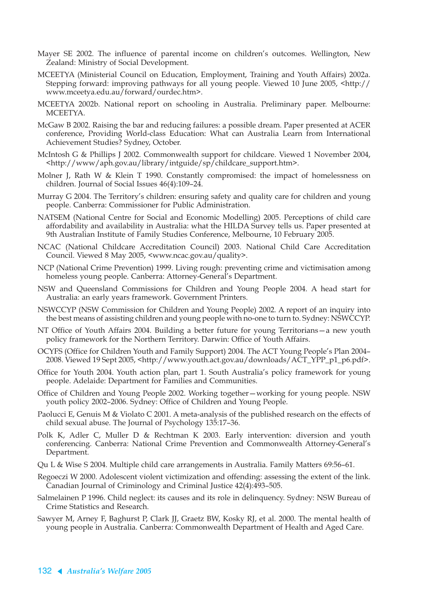- Mayer SE 2002. The influence of parental income on children's outcomes. Wellington, New Zealand: Ministry of Social Development.
- MCEETYA (Ministerial Council on Education, Employment, Training and Youth Affairs) 2002a. Stepping forward: improving pathways for all young people. Viewed 10 June 2005, <http:// www.mceetya.edu.au/forward/ourdec.htm>.
- MCEETYA 2002b. National report on schooling in Australia. Preliminary paper. Melbourne: MCEETYA.
- McGaw B 2002. Raising the bar and reducing failures: a possible dream. Paper presented at ACER conference, Providing World-class Education: What can Australia Learn from International Achievement Studies? Sydney, October.
- McIntosh G & Phillips J 2002. Commonwealth support for childcare. Viewed 1 November 2004, <http://www/aph.gov.au/library/intguide/sp/childcare\_support.htm>.
- Molner J, Rath W & Klein T 1990. Constantly compromised: the impact of homelessness on children. Journal of Social Issues 46(4):109–24.
- Murray G 2004. The Territory's children: ensuring safety and quality care for children and young people. Canberra: Commissioner for Public Administration.
- NATSEM (National Centre for Social and Economic Modelling) 2005. Perceptions of child care affordability and availability in Australia: what the HILDA Survey tells us. Paper presented at 9th Australian Institute of Family Studies Conference, Melbourne, 10 February 2005.
- NCAC (National Childcare Accreditation Council) 2003. National Child Care Accreditation Council. Viewed 8 May 2005, <www.ncac.gov.au/quality>.
- NCP (National Crime Prevention) 1999. Living rough: preventing crime and victimisation among homeless young people. Canberra: Attorney-General's Department.
- NSW and Queensland Commissions for Children and Young People 2004. A head start for Australia: an early years framework. Government Printers.
- NSWCCYP (NSW Commission for Children and Young People) 2002. A report of an inquiry into the best means of assisting children and young people with no-one to turn to. Sydney: NSWCCYP.
- NT Office of Youth Affairs 2004. Building a better future for young Territorians—a new youth policy framework for the Northern Territory. Darwin: Office of Youth Affairs.
- OCYFS (Office for Children Youth and Family Support) 2004. The ACT Young People's Plan 2004– 2008. Viewed 19 Sept 2005, <http://www.youth.act.gov.au/downloads/ACT\_YPP\_p1\_p6.pdf>.
- Office for Youth 2004. Youth action plan, part 1. South Australia's policy framework for young people. Adelaide: Department for Families and Communities.
- Office of Children and Young People 2002. Working together—working for young people. NSW youth policy 2002–2006. Sydney: Office of Children and Young People.
- Paolucci E, Genuis M & Violato C 2001. A meta-analysis of the published research on the effects of child sexual abuse. The Journal of Psychology 135:17–36.
- Polk K, Adler C, Muller D & Rechtman K 2003. Early intervention: diversion and youth conferencing. Canberra: National Crime Prevention and Commonwealth Attorney-General's Department.
- Qu L & Wise S 2004. Multiple child care arrangements in Australia. Family Matters 69:56–61.
- Regoeczi W 2000. Adolescent violent victimization and offending: assessing the extent of the link. Canadian Journal of Criminology and Criminal Justice 42(4):493–505.
- Salmelainen P 1996. Child neglect: its causes and its role in delinquency. Sydney: NSW Bureau of Crime Statistics and Research.
- Sawyer M, Arney F, Baghurst P, Clark JJ, Graetz BW, Kosky RJ, et al. 2000. The mental health of young people in Australia. Canberra: Commonwealth Department of Health and Aged Care.